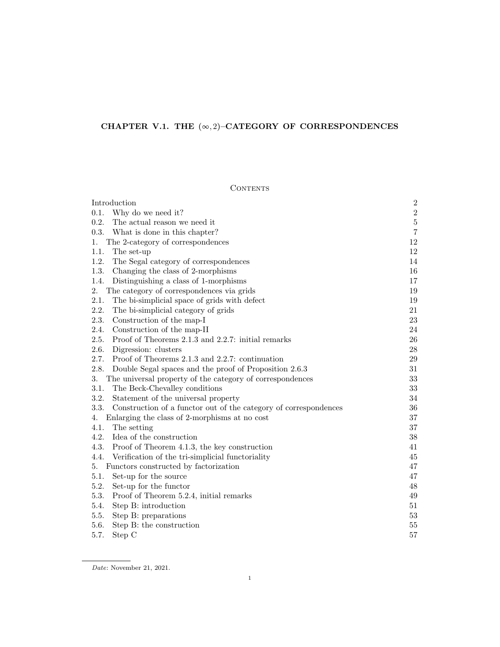# CHAPTER V.1. THE  $(\infty, 2)$ –CATEGORY OF CORRESPONDENCES

# CONTENTS

| Introduction                                                             | $\boldsymbol{2}$ |
|--------------------------------------------------------------------------|------------------|
| 0.1.<br>Why do we need it?                                               | $\,2$            |
| 0.2.<br>The actual reason we need it                                     | $\bf 5$          |
| 0.3.<br>What is done in this chapter?                                    | $\overline{7}$   |
| The 2-category of correspondences<br>1.                                  | 12               |
| 1.1.<br>The set-up                                                       | 12               |
| 1.2.<br>The Segal category of correspondences                            | 14               |
| 1.3.<br>Changing the class of 2-morphisms                                | 16               |
| 1.4.<br>Distinguishing a class of 1-morphisms                            | 17               |
| The category of correspondences via grids<br>2.                          | 19               |
| 2.1.<br>The bi-simplicial space of grids with defect                     | 19               |
| 2.2.<br>The bi-simplicial category of grids                              | 21               |
| 2.3.<br>Construction of the map-I                                        | 23               |
| 2.4.<br>Construction of the map-II                                       | 24               |
| 2.5.<br>Proof of Theorems 2.1.3 and 2.2.7: initial remarks               | 26               |
| 2.6.<br>Digression: clusters                                             | $28\,$           |
| 2.7.<br>Proof of Theorems 2.1.3 and 2.2.7: continuation                  | 29               |
| 2.8.<br>Double Segal spaces and the proof of Proposition 2.6.3           | 31               |
| 3.<br>The universal property of the category of correspondences          | 33               |
| The Beck-Chevalley conditions<br>3.1.                                    | $33\,$           |
| 3.2.<br>Statement of the universal property                              | 34               |
| 3.3.<br>Construction of a functor out of the category of correspondences | 36               |
| Enlarging the class of 2-morphisms at no cost<br>4.                      | 37               |
| 4.1.<br>The setting                                                      | 37               |
| 4.2.<br>Idea of the construction                                         | 38               |
| 4.3.<br>Proof of Theorem 4.1.3, the key construction                     | 41               |
| 4.4.<br>Verification of the tri-simplicial functoriality                 | 45               |
| Functors constructed by factorization<br>5.                              | 47               |
| 5.1.<br>Set-up for the source                                            | 47               |
| 5.2.<br>Set-up for the functor                                           | 48               |
| 5.3.<br>Proof of Theorem 5.2.4, initial remarks                          | 49               |
| 5.4.<br>Step B: introduction                                             | 51               |
| 5.5.<br>Step B: preparations                                             | 53               |
| 5.6.<br>Step B: the construction                                         | 55               |
| 5.7.<br>Step C                                                           | 57               |

Date: November 21, 2021.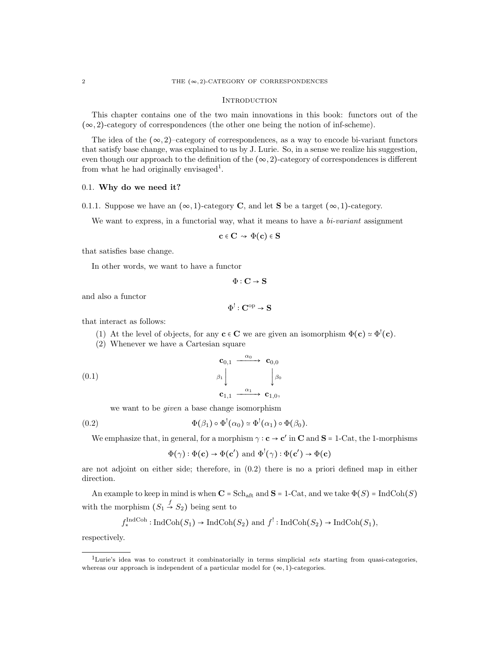#### **INTRODUCTION**

This chapter contains one of the two main innovations in this book: functors out of the  $(\infty, 2)$ -category of correspondences (the other one being the notion of inf-scheme).

The idea of the  $(\infty, 2)$ –category of correspondences, as a way to encode bi-variant functors that satisfy base change, was explained to us by J. Lurie. So, in a sense we realize his suggestion, even though our approach to the definition of the  $(\infty, 2)$ -category of correspondences is different from what he had originally envisaged<sup>1</sup>.

#### 0.1. Why do we need it?

0.1.1. Suppose we have an  $(\infty, 1)$ -category C, and let S be a target  $(\infty, 1)$ -category.

We want to express, in a functorial way, what it means to have a  $bi-variant$  assignment

$$
\mathbf{c} \in \mathbf{C} \rightsquigarrow \Phi(\mathbf{c}) \in \mathbf{S}
$$

that satisfies base change.

In other words, we want to have a functor

$$
\Phi : \mathbf{C} \to \mathbf{S}
$$

and also a functor

$$
\Phi^!: \mathbf{C}^{\mathrm{op}} \to \mathbf{S}
$$

that interact as follows:

- (1) At the level of objects, for any  $\mathbf{c} \in \mathbf{C}$  we are given an isomorphism  $\Phi(\mathbf{c}) \simeq \Phi^!(\mathbf{c})$ .<br>(2) Whangyan we have a Contain gauge.
- (2) Whenever we have a Cartesian square

$$
\begin{array}{ccc}\n\mathbf{c}_{0,1} & \xrightarrow{\alpha_0} & \mathbf{c}_{0,0} \\
\beta_1 \downarrow & \downarrow & \beta_0 \\
\mathbf{c}_{1,1} & \xrightarrow{\alpha_1} & \mathbf{c}_{1,0},\n\end{array}
$$

we want to be given a base change isomorphism

(0.2) 
$$
\Phi(\beta_1) \circ \Phi^!(\alpha_0) \simeq \Phi^!(\alpha_1) \circ \Phi(\beta_0).
$$

We emphasize that, in general, for a morphism  $\gamma : \mathbf{c} \to \mathbf{c}'$  in  $\mathbf{C}$  and  $\mathbf{S} = 1$ -Cat, the 1-morphisms

$$
\Phi(\gamma) : \Phi(c) \to \Phi(c')
$$
 and  $\Phi^!(\gamma) : \Phi(c') \to \Phi(c)$ 

are not adjoint on either side; therefore, in (0.2) there is no a priori defined map in either direction.

An example to keep in mind is when  $C = Sch_{\text{aff}}$  and  $S = 1$ -Cat, and we take  $\Phi(S) = \text{IndCoh}(S)$ with the morphism  $(S_1 \stackrel{f}{\rightarrow} S_2)$  being sent to

$$
f_*^{\text{IndCoh}}: \text{IndCoh}(S_1) \to \text{IndCoh}(S_2) \text{ and } f^!: \text{IndCoh}(S_2) \to \text{IndCoh}(S_1),
$$

respectively.

<sup>&</sup>lt;sup>1</sup>Lurie's idea was to construct it combinatorially in terms simplicial sets starting from quasi-categories, whereas our approach is independent of a particular model for  $(\infty, 1)$ -categories.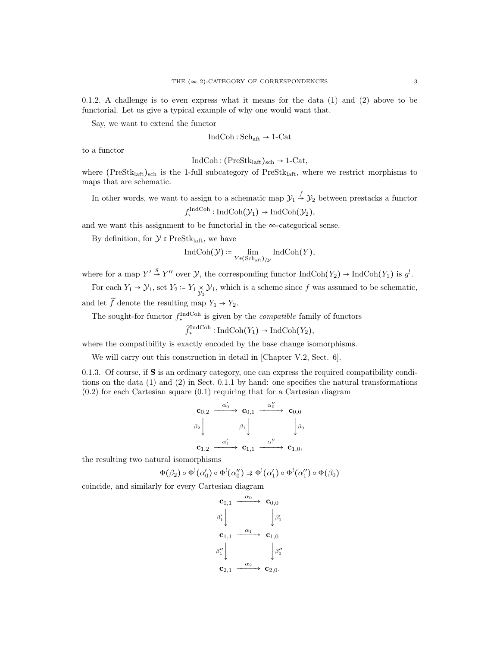0.1.2. A challenge is to even express what it means for the data (1) and (2) above to be functorial. Let us give a typical example of why one would want that.

Say, we want to extend the functor

$$
IndCoh: Sch_{\mathrm{aft}} \to 1\text{-}\mathrm{Cat}
$$

to a functor

$$
IndCoh: (PreStklaff)sch \rightarrow 1-Cat,
$$

where  $(Prestk<sub>laff</sub>)<sub>sch</sub>$  is the 1-full subcategory of  $PreStk<sub>laff</sub>$ , where we restrict morphisms to maps that are schematic.

In other words, we want to assign to a schematic map  $\mathcal{Y}_1 \stackrel{f}{\rightarrow} \mathcal{Y}_2$  between prestacks a functor  $f_*^{\text{IndCoh}}: \text{IndCoh}(\mathcal{Y}_1) \to \text{IndCoh}(\mathcal{Y}_2),$ 

and we want this assignment to be functorial in the  $\infty$ -categorical sense.

By definition, for  $\mathcal{Y} \in \text{PreStk}_{\text{laft}}$ , we have

$$
\operatorname{IndCoh}(\mathcal{Y}) \coloneqq \lim_{Y \in (\operatorname{Sch}_\mathrm{aft})_{/ \mathcal{Y}}} \operatorname{IndCoh}(Y),
$$

where for a map  $Y' \stackrel{g}{\rightarrow} Y''$  over  $\mathcal{Y}$ , the corresponding functor  $\text{IndCoh}(Y_2) \rightarrow \text{IndCoh}(Y_1)$  is  $g^!$ .

For each  $Y_1 \to Y_1$ , set  $Y_2 = Y_1 \underset{Y_2}{\times} Y_1$ , which is a scheme since f was assumed to be schematic, and let  $\widetilde{f}$  denote the resulting map  $Y_1 \rightarrow Y_2$ .

The sought-for functor  $f_{\star}^{\text{IndCoh}}$  is given by the *compatible* family of functors

 $\widetilde{f}_{*}^{\text{IndCoh}}: \text{IndCoh}(Y_1) \to \text{IndCoh}(Y_2),$ 

where the compatibility is exactly encoded by the base change isomorphisms.

We will carry out this construction in detail in [Chapter V.2, Sect. 6].

0.1.3. Of course, if S is an ordinary category, one can express the required compatibility conditions on the data (1) and (2) in Sect. 0.1.1 by hand: one specifies the natural transformations  $(0.2)$  for each Cartesian square  $(0.1)$  requiring that for a Cartesian diagram

$$
\begin{array}{ccc}\n\mathbf{c}_{0,2} & \xrightarrow{\alpha'_0} & \mathbf{c}_{0,1} & \xrightarrow{\alpha''_0} & \mathbf{c}_{0,0} \\
\beta_2 \downarrow & & \beta_1 \downarrow & & \downarrow \beta_0 \\
\mathbf{c}_{1,2} & \xrightarrow{\alpha'_1} & \mathbf{c}_{1,1} & \xrightarrow{\alpha''_1} & \mathbf{c}_{1,0},\n\end{array}
$$

the resulting two natural isomorphisms

$$
\Phi(\beta_2) \circ \Phi^!(\alpha'_0) \circ \Phi^!(\alpha''_0) \Rightarrow \Phi^!(\alpha'_1) \circ \Phi^!(\alpha''_1) \circ \Phi(\beta_0)
$$

coincide, and similarly for every Cartesian diagram

$$
\begin{array}{ccc}\n\mathbf{c}_{0,1} & \xrightarrow{\alpha_0} & \mathbf{c}_{0,0} \\
\beta'_1 \downarrow & & \downarrow \beta'_0 \\
\mathbf{c}_{1,1} & \xrightarrow{\alpha_1} & \mathbf{c}_{1,0} \\
\beta''_1 \downarrow & & \downarrow \beta''_0 \\
\mathbf{c}_{2,1} & \xrightarrow{\alpha_2} & \mathbf{c}_{2,0}.\n\end{array}
$$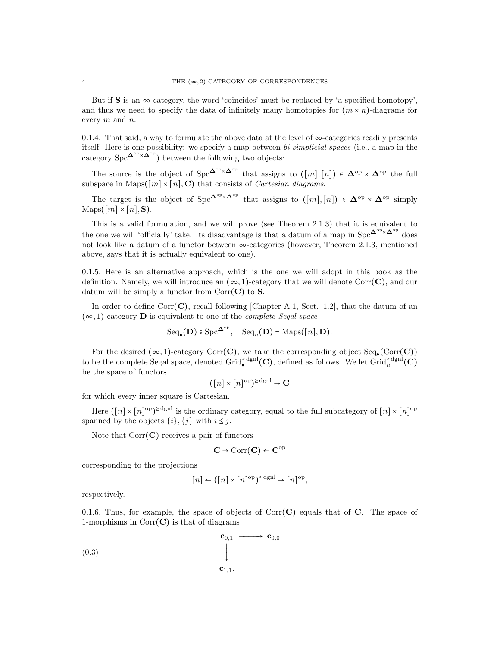But if  $S$  is an  $\infty$ -category, the word 'coincides' must be replaced by 'a specified homotopy', and thus we need to specify the data of infinitely many homotopies for  $(m \times n)$ -diagrams for every m and n.

0.1.4. That said, a way to formulate the above data at the level of  $\infty$ -categories readily presents itself. Here is one possibility: we specify a map between bi-simplicial spaces (i.e., a map in the category  $\text{Spc}^{\mathbf{\Delta}^{\text{op}} \times \mathbf{\Delta}^{\text{op}}}$ ) between the following two objects:

The source is the object of  $\text{Spec}^{\Delta^{\text{op}} \times \Delta^{\text{op}}}$  that assigns to  $([m],[n]) \in \Delta^{\text{op}} \times \Delta^{\text{op}}$  the full parameters in Mana([m], [n],  $\Omega$ ) that equation of Capterian diagrameters subspace in Maps $([m] \times [n], \mathbf{C})$  that consists of *Cartesian diagrams*.

The target is the object of  $\text{Spc}^{\Delta^{\text{op}} \times \Delta^{\text{op}}}$  that assigns to  $([m],[n]) \in \Delta^{\text{op}} \times \Delta^{\text{op}}$  simply  $\text{Maps}([m] \times [n], \mathbf{S}).$ 

This is a valid formulation, and we will prove (see Theorem 2.1.3) that it is equivalent to the one we will 'officially' take. Its disadvantage is that a datum of a map in  $\text{Spc}^{\Delta^{\bar{\text{op}}}\times\Delta^{\text{op}}}$  does not look like a datum of a functor between ∞-categories (however, Theorem 2.1.3, mentioned above, says that it is actually equivalent to one).

0.1.5. Here is an alternative approach, which is the one we will adopt in this book as the definition. Namely, we will introduce an  $(\infty, 1)$ -category that we will denote Corr $(C)$ , and our datum will be simply a functor from  $Corr(C)$  to **S**.

In order to define Corr $(C)$ , recall following [Chapter A.1, Sect. 1.2], that the datum of an  $(\infty, 1)$ -category **D** is equivalent to one of the *complete Segal space* 

$$
\mathrm{Seq}_\bullet(\mathbf{D}) \in \mathrm{Spc}^{\mathbf{\Delta}^{\mathrm{op}}}, \quad \mathrm{Seq}_n(\mathbf{D}) = \mathrm{Maps}([n], \mathbf{D}).
$$

For the desired  $(\infty, 1)$ -category Corr(**C**), we take the corresponding object Seq. (Corr(**C**)) to be the complete Segal space, denoted Grid<sup>≥dgnl</sup>(C), defined as follows. We let Grid<sup>≥dgnl</sup>(C) be the space of functors

$$
([n] \times [n]^{\text{op}})^{\ge \text{dgnl}} \to \mathbf{C}
$$

for which every inner square is Cartesian.

Here  $([n] \times [n]^{\text{op}})$ <sup>2</sup> dgnl is the ordinary category, equal to the full subcategory of  $[n] \times [n]^{\text{op}}$ spanned by the objects  $\{i\}, \{j\}$  with  $i \leq j$ .

Note that  $Corr(C)$  receives a pair of functors

$$
\mathbf{C} \to \mathrm{Corr}(\mathbf{C}) \leftarrow \mathbf{C}^{\mathrm{op}}
$$

corresponding to the projections

$$
[n] \leftarrow ([n] \times [n]^\text{op})^{\ge \text{dgnl}} \rightarrow [n]^\text{op},
$$

respectively.

0.1.6. Thus, for example, the space of objects of  $Corr(C)$  equals that of C. The space of 1-morphisms in  $Corr(C)$  is that of diagrams

$$
\begin{array}{c}\n\mathbf{c}_{0,1} & \longrightarrow & \mathbf{c}_{0,0} \\
\downarrow & & \\
\mathbf{c}_{1,1} & & \\
\end{array}
$$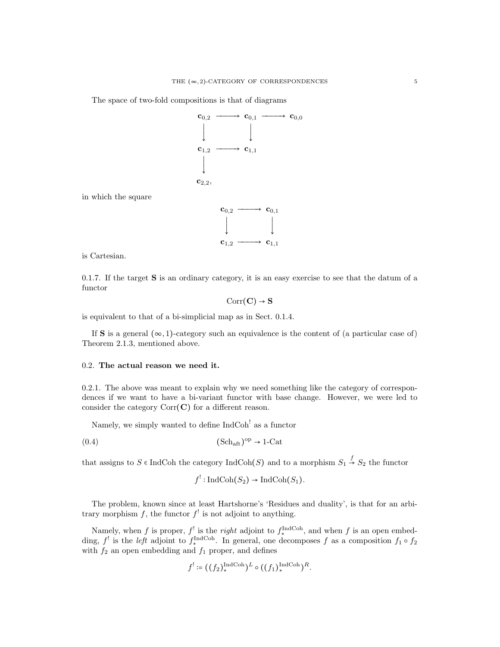The space of two-fold compositions is that of diagrams



in which the square



is Cartesian.

0.1.7. If the target S is an ordinary category, it is an easy exercise to see that the datum of a functor

$$
\mathrm{Corr}(\mathbf{C}) \to \mathbf{S}
$$

is equivalent to that of a bi-simplicial map as in Sect. 0.1.4.

If S is a general  $(\infty, 1)$ -category such an equivalence is the content of (a particular case of) Theorem 2.1.3, mentioned above.

#### 0.2. The actual reason we need it.

0.2.1. The above was meant to explain why we need something like the category of correspondences if we want to have a bi-variant functor with base change. However, we were led to consider the category  $Corr(C)$  for a different reason.

Namely, we simply wanted to define IndCoh<sup>!</sup> as a functor

$$
(0.4) \t\t\t\t (Schaff)op \to 1-Cat
$$

that assigns to  $S \in \text{IndCoh}$  the category  $\text{IndCoh}(S)$  and to a morphism  $S_1 \stackrel{f}{\rightarrow} S_2$  the functor

$$
f'
$$
: IndCoh $(S_2)$   $\rightarrow$  IndCoh $(S_1)$ .

The problem, known since at least Hartshorne's 'Residues and duality', is that for an arbitrary morphism f, the functor  $f^!$  is not adjoint to anything.

Namely, when f is proper,  $f^!$  is the *right* adjoint to  $f_*^{\text{IndCoh}}$ , and when f is an open embedding,  $f'$  is the *left* adjoint to  $f^{\text{IndCoh}}_*$ . In general, one decomposes f as a composition  $f_1 \circ f_2$ with  $f_2$  an open embedding and  $f_1$  proper, and defines

$$
f' := ((f_2)_*^{\text{IndCoh}})^L \circ ((f_1)_*^{\text{IndCoh}})^R.
$$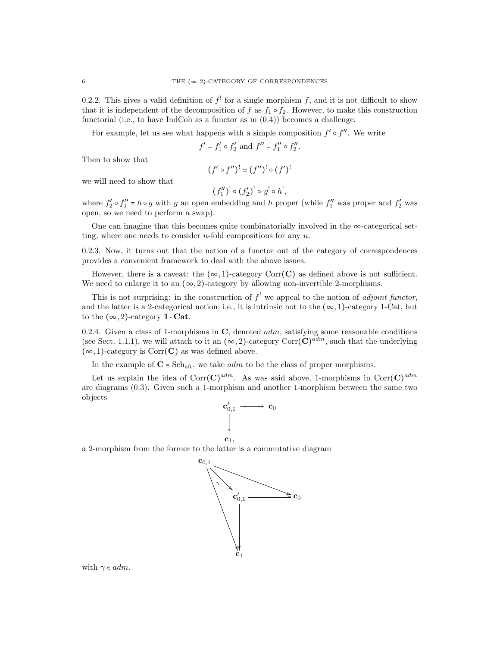0.2.2. This gives a valid definition of  $f'$  for a single morphism f, and it is not difficult to show that it is independent of the decomposition of f as  $f_1 \circ f_2$ . However, to make this construction functorial (i.e., to have IndCoh as a functor as in (0.4)) becomes a challenge.

For example, let us see what happens with a simple composition  $f' \circ f''$ . We write

$$
f' = f'_1 \circ f'_2
$$
 and  $f'' = f''_1 \circ f''_2$ .

Then to show that

$$
(f'\circ f'')^! \simeq (f'')^! \circ (f')^!
$$

we will need to show that

$$
(f_1'')^! \circ (f_2')^! \simeq g^! \circ h^!,
$$

where  $f'_2 \circ f''_1 = h \circ g$  with g an open embedding and h proper (while  $f''_1$  was proper and  $f'_2$  was open, so we need to perform a swap).

One can imagine that this becomes quite combinatorially involved in the  $\infty$ -categorical setting, where one needs to consider *n*-fold compositions for any *n*.

0.2.3. Now, it turns out that the notion of a functor out of the category of correspondences provides a convenient framework to deal with the above issues.

However, there is a caveat: the  $(\infty, 1)$ -category Corr(C) as defined above is not sufficient. We need to enlarge it to an  $(\infty, 2)$ -category by allowing non-invertible 2-morphisms.

This is not surprising: in the construction of  $f^!$  we appeal to the notion of *adjoint functor*, and the latter is a 2-categorical notion; i.e., it is intrinsic not to the  $(\infty, 1)$ -category 1-Cat, but to the  $(\infty, 2)$ -category **1** - **Cat**.

0.2.4. Given a class of 1-morphisms in  $\mathbf{C}$ , denoted  $adm$ , satisfying some reasonable conditions (see Sect. 1.1.1), we will attach to it an  $(\infty, 2)$ -category Corr $(\mathbf{C})^{adm}$ , such that the underlying  $(\infty, 1)$ -category is Corr $(C)$  as was defined above.

In the example of  $C = Sch_{\text{aft}}$ , we take *adm* to be the class of proper morphisms.

Let us explain the idea of  $Corr(\mathbf{C})^{adm}$ . As was said above, 1-morphisms in  $Corr(\mathbf{C})^{adm}$ are diagrams (0.3). Given such a 1-morphism and another 1-morphism between the same two objects



a 2-morphism from the former to the latter is a commutative diagram



with  $\gamma \in \alpha dm$ .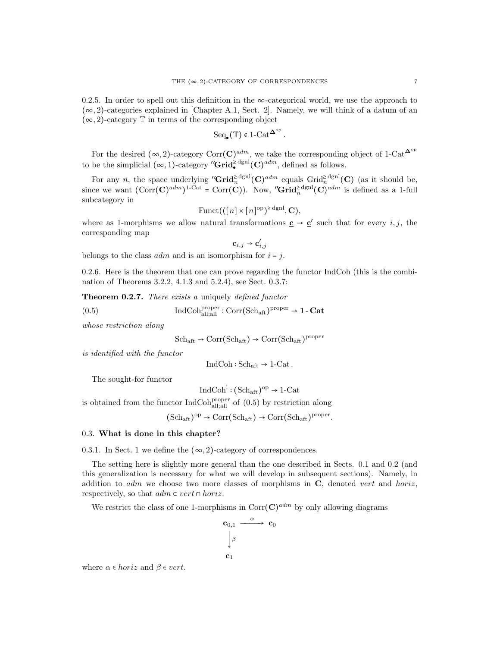0.2.5. In order to spell out this definition in the  $\infty$ -categorical world, we use the approach to  $(\infty, 2)$ -categories explained in [Chapter A.1, Sect. 2]. Namely, we will think of a datum of an  $(\infty, 2)$ -category  $\mathbb T$  in terms of the corresponding object

$$
\mathrm{Seq}_\bullet(\mathbb{T})\in 1\text{-}\mathrm{Cat}^{\mathbf{\Delta}^\mathrm{op}}\,.
$$

For the desired  $(\infty, 2)$ -category Corr $(\mathbf{C})^{adm}$ , we take the corresponding object of 1-Cat<sup> $\Delta^{\mathrm{op}}$ </sup> to be the simplicial  $(\infty, 1)$ -category "**Grid**<sup>2</sup><sup>dgnl</sup> $(C)$ <sup>*adm*</sup>, defined as follows.

For any *n*, the space underlying " $\operatorname{Grid}_n^{\geq \text{dgnl}}(\mathbf{C})^{adm}$  equals  $\operatorname{Grid}_n^{\geq \text{dgnl}}(\mathbf{C})$  (as it should be, since we want  $(\text{Corr}(\mathbf{C})^{adm})^{1-\text{Cat}} = \text{Corr}(\mathbf{C})$ . Now, "Grid<sup>>dgnl</sup> $(\mathbf{C})^{adm}$  is defined as a 1-full subcategory in

$$
\mathrm{Funct}(([n] \times [n]^\mathrm{op})^{\ge \mathrm{dgnl}}, \mathbf{C}),
$$

where as 1-morphisms we allow natural transformations  $\underline{c} \rightarrow \underline{c}'$  such that for every *i*, *j*, the corresponding map

$$
\mathbf{c}_{i,j} \rightarrow \mathbf{c}'_{i,j}
$$

belongs to the class  $\alpha dm$  and is an isomorphism for  $i = j$ .

0.2.6. Here is the theorem that one can prove regarding the functor IndCoh (this is the combination of Theorems 3.2.2, 4.1.3 and 5.2.4), see Sect. 0.3.7:

Theorem 0.2.7. There exists a uniquely defined functor

(0.5) 
$$
\operatorname{IndCoh}^{\operatorname{proper}}_{\operatorname{all;all}} : \operatorname{Corr}(\operatorname{Sch}_{\operatorname{aft}})^{\operatorname{proper}} \to 1\text{-}\operatorname{Cat}
$$

whose restriction along

 $\text{Sch}_{\text{aft}} \to \text{Corr}(\text{Sch}_{\text{aft}}) \to \text{Corr}(\text{Sch}_{\text{aft}})^{\text{proper}}$ 

is identified with the functor

$$
IndCoh: Sch_{\mathrm{aft}} \to 1\text{-Cat}.
$$

The sought-for functor

$$
\mathrm{IndCoh}^!: (\mathrm{Sch}_{\mathrm{aft}})^{\mathrm{op}} \to 1\text{-}\mathrm{Cat}
$$

is obtained from the functor  $IndCoh_{all;all}^{proper}$  of  $(0.5)$  by restriction along

 $(\mathrm{Sch}_{\mathrm{aft}})^{\mathrm{op}} \to \mathrm{Corr}(\mathrm{Sch}_{\mathrm{aft}}) \to \mathrm{Corr}(\mathrm{Sch}_{\mathrm{aft}})^{\mathrm{proper}}.$ 

#### 0.3. What is done in this chapter?

0.3.1. In Sect. 1 we define the  $(\infty, 2)$ -category of correspondences.

The setting here is slightly more general than the one described in Sects. 0.1 and 0.2 (and this generalization is necessary for what we will develop in subsequent sections). Namely, in addition to  $adm$  we choose two more classes of morphisms in  $C$ , denoted vert and horiz, respectively, so that  $adm \subset vert \cap horiz$ .

We restrict the class of one 1-morphisms in  $\text{Corr}(\mathbf{C})^{adm}$  by only allowing diagrams

$$
\begin{array}{ccc}\n\mathbf{c}_{0,1} & \xrightarrow{\alpha} & \mathbf{c}_0 \\
\downarrow{\beta} & & \\
\mathbf{c}_1 & & \n\end{array}
$$

where  $\alpha \in horiz$  and  $\beta \in vert$ .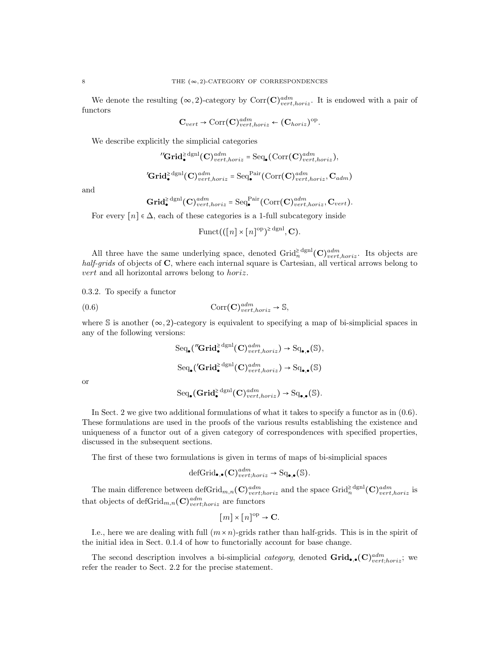We denote the resulting  $(\infty, 2)$ -category by  $Corr(\mathbf{C})^{adm}_{vert, horiz}$ . It is endowed with a pair of functors

$$
\mathbf{C}_{vert} \rightarrow \text{Corr}(\mathbf{C})_{vert,horiz}^{adm} \leftarrow (\mathbf{C}_{horiz})^{\text{op}}.
$$

We describe explicitly the simplicial categories

$$
{}^{\prime\prime}\mathbf{Grid}_{\bullet}^{\geq \mathrm{dgnl}}(\mathbf{C})_{vert, horiz}^{adm} = \mathrm{Seq}_{\bullet}(\mathrm{Corr}(\mathbf{C})_{vert, horiz}^{adm}),
$$

$$
'\mathbf{Grid}_{\bullet}^{\geq \mathrm{dgnl}}(\mathbf{C})^{adm}_{vert, horiz} = \mathrm{Seq}_{\bullet}^{\mathrm{Pair}}(\mathrm{Corr}(\mathbf{C})^{adm}_{vert, horiz}, \mathbf{C}_{adm})
$$

and

$$
\mathbf{Grid}_{\bullet}^{\geq \mathrm{dgnl}}(\mathbf{C})_{vert,loriz}^{adm} = \mathrm{Seq}_{\bullet}^{\mathrm{Pair}}(\mathrm{Corr}(\mathbf{C})_{vert,loriz}^{adm}, \mathbf{C}_{vert}).
$$

For every  $[n] \in \Delta$ , each of these categories is a 1-full subcategory inside

$$
\mathrm{Funct}(([n] \times [n]^{\mathrm{op}})^{\geq \mathrm{dgnl}}, \mathbf{C}).
$$

All three have the same underlying space, denoted  $\operatorname{Grid}_n^{\geq \text{dgnl}}(\mathbf{C})_{vert, horiz}^{adm}$ . Its objects are half-grids of objects of C, where each internal square is Cartesian, all vertical arrows belong to vert and all horizontal arrows belong to horiz.

0.3.2. To specify a functor

(0.6) 
$$
\operatorname{Corr}(\mathbf{C})_{vert,loriz}^{adm} \to \mathbb{S},
$$

where S is another  $(\infty, 2)$ -category is equivalent to specifying a map of bi-simplicial spaces in any of the following versions:

$$
\text{Seq}_{\bullet}(''\text{Grid}_{\bullet}^{\geq \text{dgnl}}(\mathbf{C})_{vert, horiz}^{adm}) \to \text{Sq}_{\bullet,\bullet}(\mathbb{S}),
$$
  

$$
\text{Seq}_{\bullet}('\text{Grid}_{\bullet}^{\geq \text{dgnl}}(\mathbf{C})_{vert, horiz}^{adm}) \to \text{Sq}_{\bullet,\bullet}(\mathbb{S})
$$

or

$$
\mathrm{Seq}_{\bullet}(\mathbf{Grid}_{\bullet}^{\geq \mathrm{dgnl}}(\mathbf{C})^{adm}_{vert,horiz}) \to \mathrm{Sq}_{\bullet,\bullet}(\mathbb{S}).
$$

In Sect. 2 we give two additional formulations of what it takes to specify a functor as in (0.6). These formulations are used in the proofs of the various results establishing the existence and uniqueness of a functor out of a given category of correspondences with specified properties, discussed in the subsequent sections.

The first of these two formulations is given in terms of maps of bi-simplicial spaces

$$
\text{defGrid}_{\bullet,\bullet}(\mathbf{C})^{adm}_{vert;horiz} \to \text{Sq}_{\bullet,\bullet}(\mathbb{S}).
$$

The main difference between  $\det(\mathbf{G})_{vert, horiz}^{adm}$  and the space  $\det_n^{\geq \det(\mathbf{G})_{vert, horiz}^{adm}}$  is that objects of defGrid $_{m,n}$ (C) $_{vert;horiz}^{adm}$  are functors

$$
[m] \times [n]^{\text{op}} \to \mathbf{C}.
$$

I.e., here we are dealing with full  $(m \times n)$ -grids rather than half-grids. This is in the spirit of the initial idea in Sect. 0.1.4 of how to functorially account for base change.

The second description involves a bi-simplicial *category*, denoted  $\mathbf{Grid}_{\bullet,\bullet}(\mathbf{C})^{adm}_{vert;horiz}$ ; we refer the reader to Sect. 2.2 for the precise statement.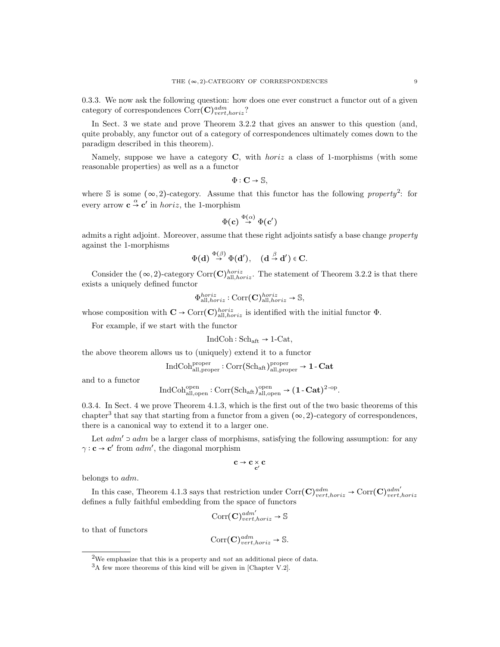0.3.3. We now ask the following question: how does one ever construct a functor out of a given category of correspondences  $Corr(\mathbf{C})^{adm}_{vert, horiz}$ ?

In Sect. 3 we state and prove Theorem 3.2.2 that gives an answer to this question (and, quite probably, any functor out of a category of correspondences ultimately comes down to the paradigm described in this theorem).

Namely, suppose we have a category  $C$ , with *horiz* a class of 1-morphisms (with some reasonable properties) as well as a a functor

$$
\Phi: \mathbf{C} \to \mathbb{S},
$$

where S is some  $(\infty, 2)$ -category. Assume that this functor has the following property<sup>2</sup>: for every arrow  $\mathbf{c} \overset{\alpha}{\rightarrow} \mathbf{c}'$  in *horiz*, the 1-morphism

$$
\Phi(\mathbf{c}) \stackrel{\Phi(\alpha)}{\rightarrow} \Phi(\mathbf{c}')
$$

admits a right adjoint. Moreover, assume that these right adjoints satisfy a base change property against the 1-morphisms

$$
\Phi(\mathbf{d}) \stackrel{\Phi(\beta)}{\rightarrow} \Phi(\mathbf{d}'), \quad (\mathbf{d} \stackrel{\beta}{\rightarrow} \mathbf{d}') \in \mathbf{C}.
$$

Consider the  $(\infty, 2)$ -category Corr $(\mathbf{C})_{\text{all},horiz}^{horiz}$ . The statement of Theorem 3.2.2 is that there exists a uniquely defined functor

$$
\Phi_{\text{all},horiz}^{horiz} : \text{Corr}(\mathbf{C})_{\text{all},horiz}^{horiz} \to \mathbb{S},
$$

whose composition with  $\mathbf{C} \to \text{Corr}(\mathbf{C})_{\text{all},horiz}^{horiz}$  is identified with the initial functor  $\Phi$ .

For example, if we start with the functor

$$
IndCoh: Sch_{\mathrm{aft}} \to 1\text{-Cat},
$$

the above theorem allows us to (uniquely) extend it to a functor

$$
\mathrm{IndCoh}^{\mathrm{proper}}_{\mathrm{all},\mathrm{proper}}: \mathrm{Corr}(\mathrm{Sch}_{\mathrm{aff}})_{\mathrm{all},\mathrm{proper}}^{\mathrm{proper}} \rightarrow 1\text{-}\mathbf{Cat}
$$

and to a functor

$$
\operatorname{IndCoh}^{\operatorname{open}}_{\operatorname{all,open}}: \operatorname{Corr}(\operatorname{Sch}_{\operatorname{aft}})^{\operatorname{open}}_{\operatorname{all,open}} \to (\mathbf{1}\operatorname{-}\mathbf{Cat})^{2\operatorname{-op}}
$$

.

0.3.4. In Sect. 4 we prove Theorem 4.1.3, which is the first out of the two basic theorems of this chapter<sup>3</sup> that say that starting from a functor from a given  $(\infty, 2)$ -category of correspondences, there is a canonical way to extend it to a larger one.

Let  $adm' \supset adm$  be a larger class of morphisms, satisfying the following assumption: for any  $\gamma : \mathbf{c} \to \mathbf{c}'$  from  $adm'$ , the diagonal morphism

$$
c \to c \underset{c'}{\times} c
$$

belongs to adm.

In this case, Theorem 4.1.3 says that restriction under  $Corr(\mathbf{C})^{adm}_{vert,loriz} \to Corr(\mathbf{C})^{adm'}_{vert,loriz}$ defines a fully faithful embedding from the space of functors

$$
\text{Corr}(\mathbf{C})^{adm'}_{vert,horiz} \to \mathbb{S}
$$

to that of functors

$$
Corr(\mathbf{C})^{adm}_{vert,horiz} \to \mathbb{S}.
$$

<sup>&</sup>lt;sup>2</sup>We emphasize that this is a property and *not* an additional piece of data.

<sup>3</sup>A few more theorems of this kind will be given in [Chapter V.2].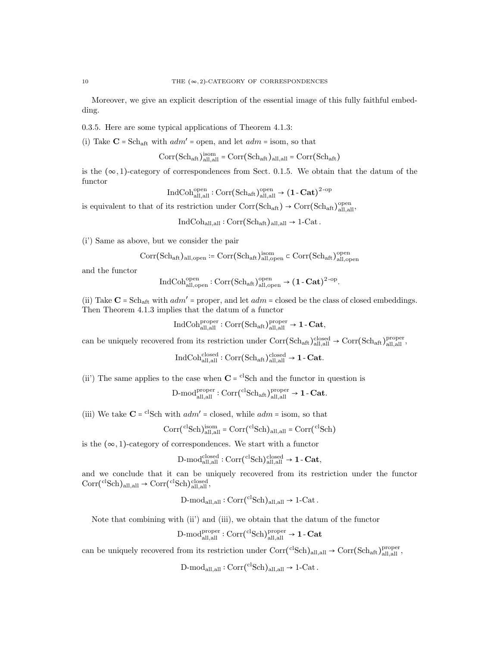Moreover, we give an explicit description of the essential image of this fully faithful embedding.

0.3.5. Here are some typical applications of Theorem 4.1.3:

(i) Take  $C = Sch_{\text{aff}}$  with  $adm' = \text{open}$ , and let  $adm = \text{isom}$ , so that

$$
\rm{Corr}(Sch_{aft})_{all,all}^{isom} = \rm{Corr}(Sch_{aft})_{all,all} = \rm{Corr}(Sch_{aft})
$$

is the  $(\infty, 1)$ -category of correspondences from Sect. 0.1.5. We obtain that the datum of the functor

$$
\operatorname{IndCoh}^{\operatorname{open}}_{\operatorname{all},\operatorname{all}}:\operatorname{Corr}(\operatorname{Sch}_{\operatorname{aft}})^{\operatorname{open}}_{\operatorname{all},\operatorname{all}}\to (\mathbf{1}\text{-}\mathbf{Cat})^{2\text{-op}}
$$

is equivalent to that of its restriction under  $Corr(Sch_{\text{aft}}) \rightarrow Corr(Sch_{\text{aft}})_{\text{all,all}}^{open}$ ,

 $IndCoh<sub>all,all</sub> : Corr(Sch<sub>aff</sub>)<sub>all,all</sub> \rightarrow 1-Cat.$ 

(i') Same as above, but we consider the pair

$$
\rm Corr(Sch_{aft})_{all,open}\coloneqq \rm Corr(Sch_{aft})_{all,open}^{isom}\subset \rm Corr(Sch_{aft})_{all,open}^{open}
$$

and the functor

$$
\operatorname{IndCoh}^{\operatorname{open}}_{\operatorname{all},\operatorname{open}}: \operatorname{Corr}(\operatorname{Sch}_{\operatorname{alt}})_{\operatorname{all},\operatorname{open}}^{\operatorname{open}} \to \left(1-\operatorname{Cat}\right)^{2-\operatorname{op}}.
$$

(ii) Take  $C = Sch_{\text{aff}}$  with  $adm'$  = proper, and let  $adm$  = closed be the class of closed embeddings. Then Theorem 4.1.3 implies that the datum of a functor

$$
\operatorname{IndCoh}^{\operatorname{proper}}_{\operatorname{all},\operatorname{all}}: \operatorname{Corr}(\operatorname{Sch}_{\operatorname{aft}})^{\operatorname{proper}}_{\operatorname{all},\operatorname{all}} \to 1\text{-}\mathbf{Cat},
$$

can be uniquely recovered from its restriction under  $Corr(Sch_{aff})_{all,all}^{closed} \rightarrow Corr(Sch_{aff})_{all,all}^{proper}$ 

$$
\operatorname{IndCoh}_{\operatorname{all},\operatorname{all}}^{\operatorname{closed}} : \operatorname{Corr}(\operatorname{Sch}_{\operatorname{aft}})_{\operatorname{all},\operatorname{all}}^{\operatorname{closed}} \to 1\text{-}\mathbf{Cat}.
$$

(ii) The same applies to the case when  $\mathbf{C} = {}^{\text{cl}}S\text{ch}$  and the functor in question is

$$
\mathrm{D\text{-}mod}_{\mathrm{all,all}}^{\mathrm{proper}}: \mathrm{Corr}({}^{\mathrm{cl}}\mathrm{Sch}_{\mathrm{aft}})_{\mathrm{all,all}}^{\mathrm{proper}} \rightarrow 1\text{-}\mathbf{Cat}.
$$

(iii) We take  $\mathbf{C} = \text{clSch}$  with  $adm' = \text{closed}$ , while  $adm = \text{isom}$ , so that

$$
\rm Corr(^{cl}Sch)_{all,all}^{isom} = \rm Corr(^{cl}Sch)_{all,all} = \rm Corr(^{cl}Sch)
$$

is the  $(\infty,1)\text{-category of correspondences. We start with a functor}$ 

$$
\mathrm{D\text{-}mod}_{\mathrm{all,all}}^{\mathrm{closed}}: \mathrm{Corr}({}^{\mathrm{cl}}\mathrm{Sch})_{\mathrm{all,all}}^{\mathrm{closed}} \to 1\text{-}\mathrm{Cat},
$$

and we conclude that it can be uniquely recovered from its restriction under the functor  $Corr(^{cl}Sch)_{all,all} \rightarrow Corr(^{cl}Sch)_{all,all}^{closed},$ 

$$
D\text{-mod}_{\text{all},\text{all}}:Corr(^{\text{cl}}Sch)_{\text{all},\text{all}} \to 1\text{-Cat}\,.
$$

Note that combining with (ii') and (iii), we obtain that the datum of the functor

$$
\mathrm{D\text{-}mod}_{\mathrm{all,all}}^{\mathrm{proper}}: \mathrm{Corr}({}^{\mathrm{cl}}\mathrm{Sch})_{\mathrm{all,all}}^{\mathrm{proper}} \to \mathbf{1}\text{-}\mathbf{Cat}
$$

can be uniquely recovered from its restriction under  $Corr(^{cl}Sch)_{all,all} \rightarrow Corr(Sch_{att})_{all,all}^{proper}$ 

 $D\text{-mod}_{all,all}: Corr(^{cl}Sch)_{all,all} \rightarrow 1\text{-Cat}.$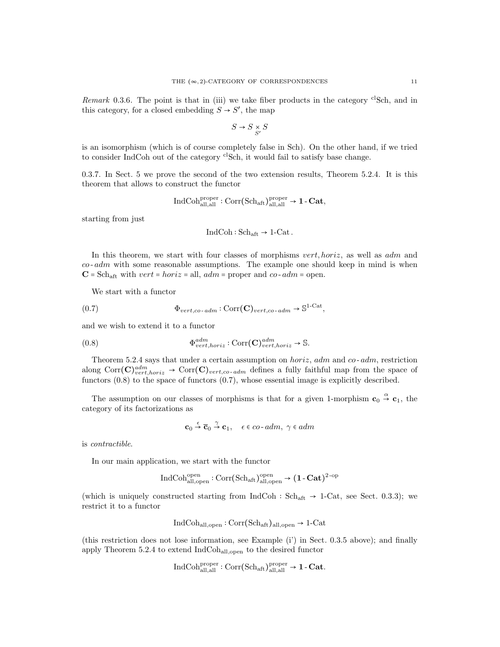*Remark* 0.3.6. The point is that in (iii) we take fiber products in the category <sup>cl</sup>Sch, and in this category, for a closed embedding  $S \to S'$ , the map

$$
S \to S \underset{S'}{\times} S
$$

is an isomorphism (which is of course completely false in Sch). On the other hand, if we tried to consider IndCoh out of the category <sup>cl</sup>Sch, it would fail to satisfy base change.

0.3.7. In Sect. 5 we prove the second of the two extension results, Theorem 5.2.4. It is this theorem that allows to construct the functor

$$
\operatorname{IndCoh}^{\operatorname{proper}}_{\operatorname{all,all}}: \operatorname{Corr}(\operatorname{Sch}_{\operatorname{aft}})^{\operatorname{proper}}_{\operatorname{all,all}} \to 1\text{-}\operatorname{\mathbf{Cat}},
$$

starting from just

$$
IndCoh: Sch_{\mathrm{aft}} \to 1\text{-Cat}.
$$

In this theorem, we start with four classes of morphisms vert, horiz, as well as adm and  $co$ -  $adm$  with some reasonable assumptions. The example one should keep in mind is when  $\mathbf{C} = \mathrm{Sch}_{\mathrm{aff}}$  with  $vert = horiz =$  all,  $adm =$  proper and  $co\text{-}adm =$  open.

We start with a functor

(0.7) 
$$
\Phi_{vert, co\text{-}adm}: \text{Corr}(\mathbf{C})_{vert, co\text{-}adm} \to \mathbb{S}^{1-\text{Cat}},
$$

and we wish to extend it to a functor

(0.8) 
$$
\Phi_{vert,horiz}^{adm}: \text{Corr}(\mathbf{C})_{vert,horiz}^{adm} \to \mathbb{S}.
$$

Theorem 5.2.4 says that under a certain assumption on  $horiz$ ,  $adm$  and  $co$ - $adm$ , restriction along  $Corr(C)_{vert,loriz}^{adm}$   $\rightarrow Corr(C)_{vert,co-adm}$  defines a fully faithful map from the space of functors (0.8) to the space of functors (0.7), whose essential image is explicitly described.

The assumption on our classes of morphisms is that for a given 1-morphism  $\mathbf{c}_0 \overset{\alpha}{\rightarrow} \mathbf{c}_1$ , the category of its factorizations as

$$
\mathbf{c}_0 \xrightarrow{\epsilon} \overline{\mathbf{c}}_0 \xrightarrow{\gamma} \mathbf{c}_1, \quad \epsilon \in co\text{-}adm, \ \gamma \in adm
$$

is contractible.

In our main application, we start with the functor

$$
\operatorname{IndCoh}^{\operatorname{open}}_{\operatorname{all},\operatorname{open}}: \operatorname{Corr}(\operatorname{Sch}_{\operatorname{aff}})_{\operatorname{all},\operatorname{open}}^{\operatorname{open}} \to \bigl(1\operatorname{-}\mathbf{Cat}\bigr)^{2\operatorname{-op}}
$$

(which is uniquely constructed starting from IndCoh :  $Sch_{\text{aft}} \rightarrow 1$ -Cat, see Sect. 0.3.3); we restrict it to a functor

$$
IndCohall,open : Corr(Schaff)all,open \rightarrow 1-Cat
$$

(this restriction does not lose information, see Example (i') in Sect. 0.3.5 above); and finally apply Theorem 5.2.4 to extend IndCohall,open to the desired functor

$$
\mathrm{IndCoh}_{\mathrm{all,all}}^{\mathrm{proper}}:\mathrm{Corr}(\mathrm{Sch}_{\mathrm{aft}})_{\mathrm{all,all}}^{\mathrm{proper}}\rightarrow 1\text{-}\mathbf{Cat}
$$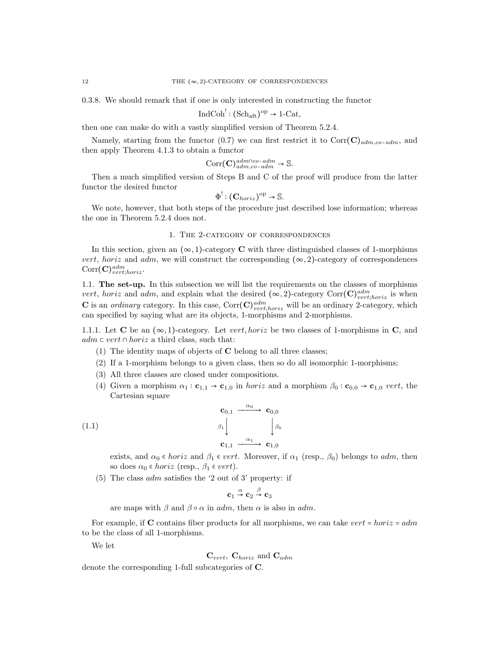0.3.8. We should remark that if one is only interested in constructing the functor

$$
\operatorname{IndCoh}^{!} : (\mathrm{Sch}_{\mathrm{aff}})^{\mathrm{op}} \to 1\text{-}\mathrm{Cat},
$$

then one can make do with a vastly simplified version of Theorem 5.2.4.

Namely, starting from the functor (0.7) we can first restrict it to Corr $(C)_{adm,co-dm}$ , and then apply Theorem 4.1.3 to obtain a functor

$$
Corr(\mathbf{C})^{adm \cap co\text{-}adm}_{adm,co\text{-}adm} \to \mathbb{S}.
$$

Then a much simplified version of Steps B and C of the proof will produce from the latter functor the desired functor

$$
\Phi^!: (\mathbf{C}_{horiz})^{\mathrm{op}} \to \mathbb{S}.
$$

We note, however, that both steps of the procedure just described lose information; whereas the one in Theorem 5.2.4 does not.

#### 1. The 2-category of correspondences

In this section, given an  $(\infty, 1)$ -category **C** with three distinguished classes of 1-morphisms vert, horiz and adm, we will construct the corresponding  $(\infty, 2)$ -category of correspondences  $\mathrm{Corr}(\mathbf{C})^{adm}_{vert;horiz}.$ 

1.1. The set-up. In this subsection we will list the requirements on the classes of morphisms vert, horiz and adm, and explain what the desired  $(\infty, 2)$ -category Corr $(\mathbf{C})^{adm}_{vert;horiz}$  is when **C** is an *ordinary* category. In this case,  $Corr(C)_{vert, horiz}^{adm}$  will be an ordinary 2-category, which can specified by saying what are its objects, 1-morphisms and 2-morphisms.

1.1.1. Let C be an  $(\infty, 1)$ -category. Let *vert, horiz* be two classes of 1-morphisms in C, and  $adm \subset vert \cap horiz$  a third class, such that:

- (1) The identity maps of objects of C belong to all three classes;
- (2) If a 1-morphism belongs to a given class, then so do all isomorphic 1-morphisms;
- (3) All three classes are closed under compositions.
- (4) Given a morphism  $\alpha_1 : \mathbf{c}_{1,1} \to \mathbf{c}_{1,0}$  in *horiz* and a morphism  $\beta_0 : \mathbf{c}_{0,0} \to \mathbf{c}_{1,0}$  vert, the Cartesian square

$$
\begin{array}{ccc}\n\mathbf{c}_{0,1} & \xrightarrow{\alpha_0} & \mathbf{c}_{0,0} \\
\beta_1 & & \beta_0 \\
\mathbf{c}_{1,1} & \xrightarrow{\alpha_1} & \mathbf{c}_{1,0}\n\end{array}
$$

exists, and  $\alpha_0 \in horiz$  and  $\beta_1 \in vert.$  Moreover, if  $\alpha_1$  (resp.,  $\beta_0$ ) belongs to *adm*, then so does  $\alpha_0 \in horiz$  (resp.,  $\beta_1 \in vert$ ).

(5) The class  $adm$  satisfies the '2 out of 3' property: if

$$
\mathbf{c}_1 \stackrel{\alpha}{\rightarrow} \mathbf{c}_2 \stackrel{\beta}{\rightarrow} \mathbf{c}_3
$$

are maps with  $\beta$  and  $\beta \circ \alpha$  in adm, then  $\alpha$  is also in adm.

For example, if C contains fiber products for all morphisms, we can take vert = horiz =  $adm$ to be the class of all 1-morphisms.

We let

$$
C_{vert}
$$
,  $C_{horiz}$  and  $C_{adm}$ 

denote the corresponding 1-full subcategories of C.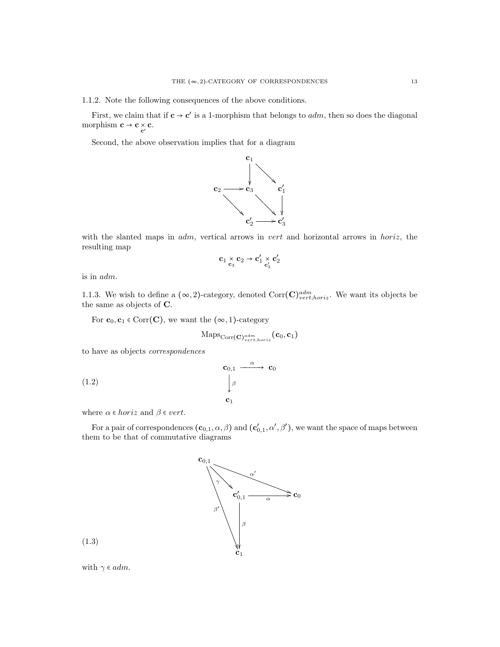1.1.2. Note the following consequences of the above conditions.

First, we claim that if  $c \to c'$  is a 1-morphism that belongs to *adm*, then so does the diagonal morphism  $\mathbf{c} \to \mathbf{c} \underset{\mathbf{c}'}{\times} \mathbf{c}$ .

Second, the above observation implies that for a diagram



with the slanted maps in  $adm$ , vertical arrows in vert and horizontal arrows in horiz, the resulting map

$$
\mathbf{c}_1 \underset{\mathbf{c}_3}{\times} \mathbf{c}_2 \rightarrow \mathbf{c}_1' \underset{\mathbf{c}_3'}{\times} \mathbf{c}_2'
$$

is in adm.

1.1.3. We wish to define a  $(\infty, 2)$ -category, denoted  $Corr(\mathbf{C})^{adm}_{vert, horiz}$ . We want its objects be the same as objects of C.

For  $\mathbf{c}_0, \mathbf{c}_1 \in \text{Corr}(\mathbf{C})$ , we want the  $(\infty, 1)$ -category

$$
\mathrm{Maps}_{\mathrm{Corr}(\mathbf{C})^{adm}_{vert;horiz}}(\mathbf{c}_0, \mathbf{c}_1)
$$

to have as objects correspondences

$$
\begin{array}{ccc}\n\mathbf{c}_{0,1} & \xrightarrow{\alpha} & \mathbf{c}_0 \\
\downarrow^{\beta} & & \\
\mathbf{c}_1 & & \\
\end{array}
$$

where  $\alpha \in horiz$  and  $\beta \in vert$ .

For a pair of correspondences  $(c_{0,1}, \alpha, \beta)$  and  $(c'_{0,1}, \alpha', \beta')$ , we want the space of maps between them to be that of commutative diagrams



with  $\gamma \in \alpha dm$ .

(1.3)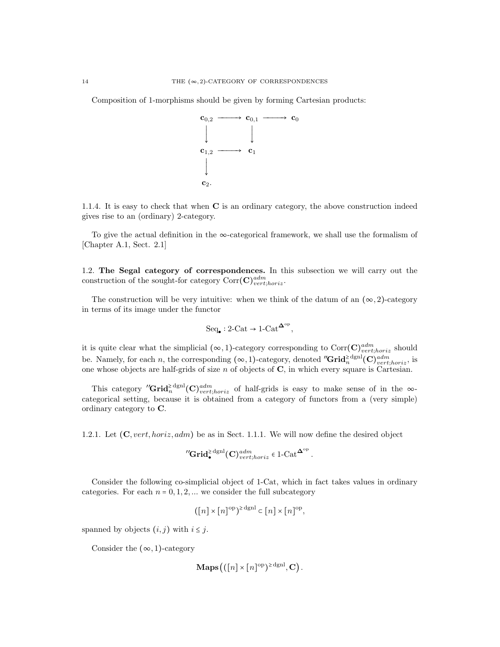Composition of 1-morphisms should be given by forming Cartesian products:



1.1.4. It is easy to check that when C is an ordinary category, the above construction indeed gives rise to an (ordinary) 2-category.

To give the actual definition in the  $\infty$ -categorical framework, we shall use the formalism of [Chapter A.1, Sect. 2.1]

1.2. The Segal category of correspondences. In this subsection we will carry out the construction of the sought-for category  $\text{Corr}(\mathbf{C})^{adm}_{vert;horiz}$ .

The construction will be very intuitive: when we think of the datum of an  $(\infty, 2)$ -category in terms of its image under the functor

$$
\mathrm{Seq}_{\bullet}: 2\text{-}\mathrm{Cat} \to 1\text{-}\mathrm{Cat}^{\mathbf{\Delta}^{\mathrm{op}}},
$$

it is quite clear what the simplicial  $(\infty, 1)$ -category corresponding to  $Corr(\mathbf{C})^{adm}_{vert;horiz}$  should be. Namely, for each n, the corresponding  $(\infty, 1)$ -category, denoted "Grid<sup>>dgnl</sup>(C)<sup>adm</sup><sub>vert;horiz</sub>, is one whose objects are half-grids of size  $n$  of objects of  $C$ , in which every square is Cartesian.

This category "Grid<sub>n</sub><sup>2 dgnl</sup>(C)<sup>adm</sup><sub>vert;horiz</sub> of half-grids is easy to make sense of in the ∞categorical setting, because it is obtained from a category of functors from a (very simple) ordinary category to C.

1.2.1. Let  $(C, vert, horiz, adm)$  be as in Sect. 1.1.1. We will now define the desired object

$$
{}^{\prime\prime}\mathbf{Grid}_{\bullet}^{\geq \text{dgnl}}(\mathbf{C})^{adm}_{vert;horiz} \in 1\text{-}\mathrm{Cat}^{\mathbf{\Delta}^{\mathrm{op}}}.
$$

Consider the following co-simplicial object of 1-Cat, which in fact takes values in ordinary categories. For each  $n = 0, 1, 2, ...$  we consider the full subcategory

$$
([n] \times [n]^{\text{op}})^{\ge \text{dgnl}} \subset [n] \times [n]^{\text{op}},
$$

spanned by objects  $(i, j)$  with  $i \leq j$ .

Consider the  $(\infty, 1)$ -category

$$
\mathbf{Maps}(([n] \times [n]^\mathrm{op})^{\ge \mathrm{dgnl}}, \mathbf{C}).
$$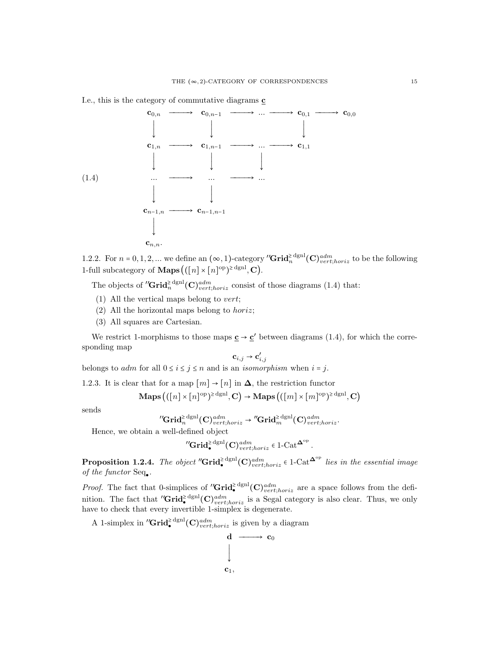

1.2.2. For  $n = 0, 1, 2, ...$  we define an  $(\infty, 1)$ -category "Grid<sup>>dgnl</sup>(C)<sup>adm</sup>  $(\infty)$  to be the following 1-full subcategory of **Maps**  $((n] \times [n]^\text{op})^{\ge \text{dgnl}}, \mathbf{C})$ .

The objects of " $\mathbf{Grid}_{n}^{\geq \text{dgnl}}(\mathbf{C})_{vert, horiz}^{adm}$  consist of those diagrams (1.4) that:

- (1) All the vertical maps belong to vert;
- (2) All the horizontal maps belong to *horiz*;
- (3) All squares are Cartesian.

We restrict 1-morphisms to those maps  $\underline{\mathbf{c}} \to \underline{\mathbf{c}}'$  between diagrams (1.4), for which the corresponding map

$$
\mathbf{c}_{i,j} \rightarrow \mathbf{c}'_{i,j}
$$

belongs to *adm* for all  $0 \le i \le j \le n$  and is an *isomorphism* when  $i = j$ .

1.2.3. It is clear that for a map  $[m] \rightarrow [n]$  in  $\Delta$ , the restriction functor

$$
\mathbf{Maps}((n] \times [n]^{\mathrm{op}})^{\geq \mathrm{dgnl}}, \mathbf{C}) \to \mathbf{Maps}((m] \times [m]^{\mathrm{op}})^{\geq \mathrm{dgnl}}, \mathbf{C})
$$

sends

$$
^{\prime \prime }\mathrm{Grid}_{n}^{\geq \mathrm{dgnl}}(\mathbf{C})_{vert;horiz}^{adm} \rightarrow {^{\prime \prime}\mathrm{Grid}^{\geq \mathrm{dgnl}}_{m}}(\mathbf{C})_{vert;horiz}^{adm}.
$$

Hence, we obtain a well-defined object

$$
{}^{\prime\prime}\mathbf{Grid}_{\bullet}^{\geq \mathrm{dgnl}}(\mathbf{C})_{vert;horiz}^{adm} \in 1\text{-}\mathrm{Cat}^{\mathbf{\Delta}^{\mathrm{op}}}.
$$

**Proposition 1.2.4.** The object "Grid<sup>≥dgnl</sup>(C)<sup>adm</sup>  $\epsilon$  1-Cat<sup> $\Delta^{\rm op}$ </sup> lies in the essential image of the functor  $Seq_{\bullet}$ .

*Proof.* The fact that 0-simplices of " $\mathbf{Grid}_{\bullet}^{\geq \text{dgnl}}(\mathbf{C})_{vert;horiz}^{adm}$  are a space follows from the definition. The fact that  ${}^{\prime\prime}\text{Grid}_{\bullet}^{\geq \text{dgm}}(C)_{vert,loriz}^{adm}$  is a Segal category is also clear. Thus, we only have to check that every invertible 1-simplex is degenerate.

A 1-simplex in " $\mathbf{Grid}_{\bullet}^{\geq \text{dgnl}}(\mathbf{C})_{vert,loriz}^{adm}$  is given by a diagram

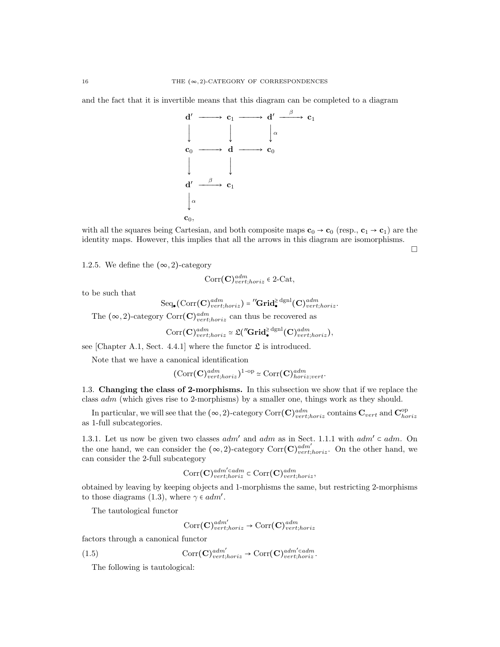and the fact that it is invertible means that this diagram can be completed to a diagram



with all the squares being Cartesian, and both composite maps  $\mathbf{c}_0 \to \mathbf{c}_0$  (resp.,  $\mathbf{c}_1 \to \mathbf{c}_1$ ) are the identity maps. However, this implies that all the arrows in this diagram are isomorphisms.

 $\Box$ 

1.2.5. We define the  $(\infty, 2)$ -category

$$
Corr(\mathbf{C})^{adm}_{vert;horiz} \in 2\text{-Cat},
$$

to be such that

$$
\mathrm{Seq}_\bullet\big(\mathrm{Corr}(\mathbf{C})^{adm}_{vert;horiz}\big) = \text{''\mathbf{Grid}^{\geq}_\bullet}^{\mathrm{dgm}}(\mathbf{C})^{adm}_{vert;horiz}.
$$

The  $(\infty, 2)$ -category  $Corr(\mathbf{C})^{adm}_{vert;horiz}$  can thus be recovered as

$$
\text{Corr}(\mathbf{C})^{adm}_{vert,horiz} \simeq \mathfrak{L}('\mathbf{Grid}^{\geq \mathrm{dgnl}}_{\bullet}(\mathbf{C})^{adm}_{vert,horiz}),
$$

see [Chapter A.1, Sect. 4.4.1] where the functor  $\mathfrak L$  is introduced.

Note that we have a canonical identification

$$
(\mathrm{Corr}(\mathbf{C})^{adm}_{vert;horiz})^{1\text{-op}} \simeq \mathrm{Corr}(\mathbf{C})^{adm}_{horiz;vert}.
$$

1.3. Changing the class of 2-morphisms. In this subsection we show that if we replace the class adm (which gives rise to 2-morphisms) by a smaller one, things work as they should.

In particular, we will see that the  $(\infty, 2)$ -category Corr $(\mathbf{C})^{adm}_{vert, horiz}$  contains  $\mathbf{C}_{vert}$  and  $\mathbf{C}^{op}_{horiz}$ as 1-full subcategories.

1.3.1. Let us now be given two classes  $adm'$  and  $adm$  as in Sect. 1.1.1 with  $adm' \subset adm$ . On the one hand, we can consider the  $(\infty, 2)$ -category Corr $(\mathbf{C})^{adm'}_{vert, horiz}$ . On the other hand, we can consider the 2-full subcategory

$$
\text{Corr}(\mathbf{C})^{adm' \subset adm}_{vert;horiz} \subset \text{Corr}(\mathbf{C})^{adm}_{vert;horiz},
$$

obtained by leaving by keeping objects and 1-morphisms the same, but restricting 2-morphisms to those diagrams (1.3), where  $\gamma \in adm'.$ 

The tautological functor

$$
\text{Corr}(\mathbf{C})^{adm'}_{vert,loriz} \rightarrow \text{Corr}(\mathbf{C})^{adm}_{vert;loriz}
$$

factors through a canonical functor

(1.5) 
$$
\text{Corr}(\mathbf{C})^{adm'}_{vert;horiz} \to \text{Corr}(\mathbf{C})^{adm'cadm}_{vert;horiz}.
$$

The following is tautological: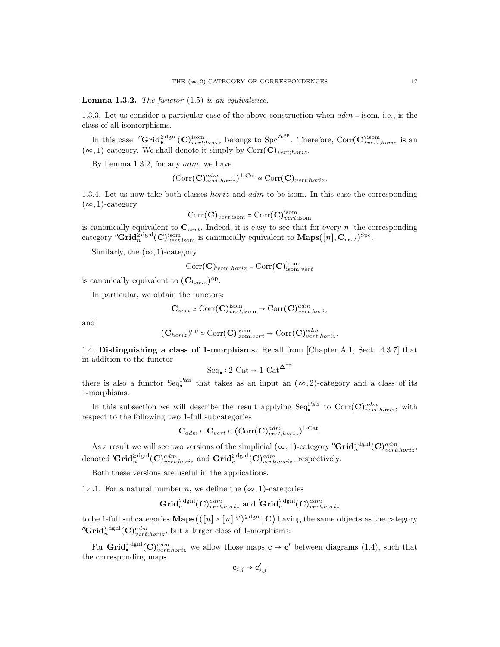**Lemma 1.3.2.** The functor  $(1.5)$  is an equivalence.

1.3.3. Let us consider a particular case of the above construction when adm <sup>=</sup> isom, i.e., is the class of all isomorphisms.

In this case,  ${}^{\prime\prime}\text{Grid}_{\bullet}^{\geq \text{dgm}}(\mathbf{C})_{vert,horiz}^{\text{isom}}$  belongs to  $\text{Spc}^{\mathbf{\Delta}^{\text{op}}}$ . Therefore,  $\text{Corr}(\mathbf{C})_{vert,loriz}^{\text{isom}}$  is an  $(\infty, 1)$ -category. We shall denote it simply by  $Corr(\mathbf{C})_{vert; horiz}$ .

By Lemma 1.3.2, for any  $adm$ , we have

$$
(\mathrm{Corr}(\mathbf{C})_{vert,horiz}^{adm})^{1-\mathrm{Cat}} \simeq \mathrm{Corr}(\mathbf{C})_{vert;horiz}.
$$

1.3.4. Let us now take both classes *horiz* and *adm* to be isom. In this case the corresponding  $(\infty, 1)$ -category

$$
Corr(\mathbf{C})_{vert; \text{isom}} = Corr(\mathbf{C})_{vert; \text{isom}}^{\text{isom}}
$$

is canonically equivalent to  $\mathbf{C}_{vert}$ . Indeed, it is easy to see that for every n, the corresponding category "Grid $^>_{n}$ <sup>dgnl</sup>(C)<sup>isom</sup> is canonically equivalent to **Maps**([n], C<sub>vert</sub>)<sup>Spc</sup>.

Similarly, the  $(\infty, 1)$ -category

$$
Corr(\mathbf{C})_{\text{isom};horiz} = \text{Corr}(\mathbf{C})_{\text{isom},vert}^{\text{isom}}
$$

is canonically equivalent to  $(\mathbf{C}_{horiz})^{\text{op}}$ .

In particular, we obtain the functors:

$$
\mathbf{C}_{vert} \simeq \text{Corr}(\mathbf{C})_{vert; \text{isom}}^{\text{isom}} \to \text{Corr}(\mathbf{C})_{vert; \text{horiz}}^{adm}
$$

and

$$
(\mathbf{C}_{horiz})^{\mathrm{op}} \simeq \mathrm{Corr}(\mathbf{C})^{\mathrm{isom}}_{\mathrm{isom},vert} \to \mathrm{Corr}(\mathbf{C})^{adm}_{vert;horiz}.
$$

1.4. Distinguishing a class of 1-morphisms. Recall from [Chapter A.1, Sect. 4.3.7] that in addition to the functor

$$
\text{Seq}_{\bullet}: 2\text{-}\text{Cat} \to 1\text{-}\text{Cat}^{\mathbf{\Delta}^{\text{op}}}
$$

there is also a functor  $\text{Seq}_{\bullet}^{\text{Pair}}$  that takes as an input an  $(\infty, 2)$ -category and a class of its 1-morphisms.

In this subsection we will describe the result applying  $\text{Seq}_{\bullet}^{\text{Pair}}$  to  $\text{Corr}(\mathbf{C})_{vert;horiz}^{adm}$ , with respect to the following two 1-full subcategories

$$
\mathbf{C}_{adm} \subset \mathbf{C}_{vert} \subset (\text{Corr}(\mathbf{C})_{vert,horiz}^{adm})^{1-\text{Cat}}
$$

.

As a result we will see two versions of the simplicial  $(\infty, 1)$ -category "Grid<sup>>dgnl</sup>(C)<sup>adm</sup><sub>vert;horiz</sub>, denoted ' $\mathbf{Grid}_{n}^{\geq \text{dgnl}}(\mathbf{C})_{vert;loriz}^{adm}$  and  $\mathbf{Grid}_{n}^{\geq \text{dgnl}}(\mathbf{C})_{vert;horiz}^{adm}$ , respectively.

Both these versions are useful in the applications.

1.4.1. For a natural number n, we define the  $(\infty, 1)$ -categories

$$
\mathbf{Grid}_{n}^{\geq \text{dgnl}}(\mathbf{C})_{vert;horiz}^{adm} \text{ and } \mathbf{Grid}_{n}^{\geq \text{dgnl}}(\mathbf{C})_{vert;horiz}^{adm}
$$

to be 1-full subcategories  $\mathbf{Maps}((n] \times [n]^{op})^{\geq \text{dgnl}}, \mathbf{C})$  having the same objects as the category "Grid $\mathbf{d}_{n}^{\geq \text{dgnl}}(\mathbf{C})_{vert;horiz}^{adm}$ , but a larger class of 1-morphisms:

For  $\mathbf{Grid}_{\bullet}^{\geq \text{dgm}}(\mathbf{C})_{vert;horiz}^{adm}$  we allow those maps  $\underline{\mathbf{c}} \to \underline{\mathbf{c}}'$  between diagrams (1.4), such that the corresponding maps

$$
\mathbf{c}_{i,j} \rightarrow \mathbf{c}'_{i,j}
$$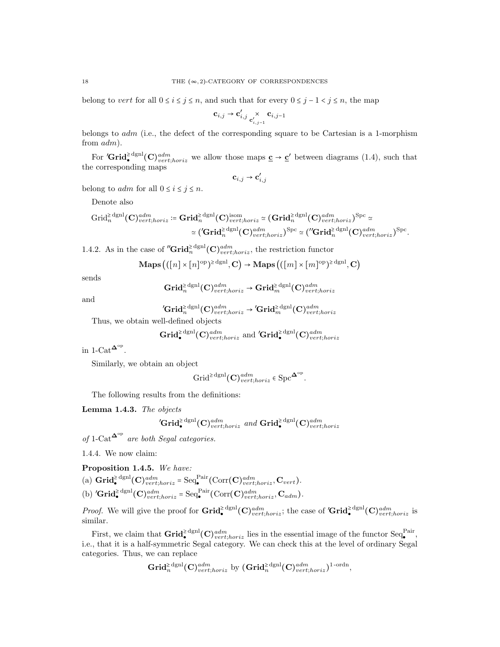belong to vert for all  $0 \le i \le j \le n$ , and such that for every  $0 \le j - 1 < j \le n$ , the map

$$
\mathbf{c}_{i,j} \rightarrow \mathbf{c}'_{i,j} \underset{\mathbf{c}'_{i,j-1}}{\times} \mathbf{c}_{i,j-1}
$$

belongs to  $adm$  (i.e., the defect of the corresponding square to be Cartesian is a 1-morphism from adm).

For  $'Grid_{\bullet}^{\geq \text{dgm}}(C)_{vert;horiz}^{adm}$  we allow those maps  $\underline{c} \to \underline{c}'$  between diagrams (1.4), such that the corresponding maps

$$
\mathbf{c}_{i,j} \rightarrow \mathbf{c}'_{i,j}
$$

belong to *adm* for all  $0 \le i \le j \le n$ .

Denote also

$$
\operatorname{Grid}_{n}^{\geq \operatorname{dgnl}}(\mathbf{C})_{vert;horiz}^{\operatorname{adm}} := \mathbf{Grid}_{n}^{\geq \operatorname{dgnl}}(\mathbf{C})_{vert;horiz}^{\operatorname{isom}} \simeq (\mathbf{Grid}_{n}^{\geq \operatorname{dgnl}}(\mathbf{C})_{vert;horiz}^{\operatorname{adm}})^{\operatorname{Spc}} \simeq
$$
  

$$
\simeq (\mathbf{Grid}_{n}^{\geq \operatorname{dgnl}}(\mathbf{C})_{vert;horiz}^{\operatorname{adm}})^{\operatorname{Spc}} \simeq (\mathbf{''\mathbf{Grid}}_{n}^{\geq \operatorname{dgnl}}(\mathbf{C})_{vert;horiz}^{\operatorname{adm}})^{\operatorname{Spc}}.
$$

1.4.2. As in the case of " $\mathbf{Grid}_n^{\geq \text{dgnl}}(\mathbf{C})_{vert;horiz}^{adm}$ , the restriction functor

$$
\mathbf{Maps}((n] \times [n]^{\mathrm{op}})^{\ge \mathrm{dgnl}}, \mathbf{C}) \to \mathbf{Maps}((m] \times [m]^{\mathrm{op}})^{\ge \mathrm{dgnl}}, \mathbf{C})
$$

sends

$$
\mathbf{Grid}_{n}^{\geq \mathrm{dgnl}}(\mathbf{C})^{adm}_{vert;horiz} \rightarrow \mathbf{Grid}_{m}^{\geq \mathrm{dgnl}}(\mathbf{C})^{adm}_{vert;horiz}
$$

and

$$
{}^{\prime}\mathbf{Grid}_{n}^{\geq \mathrm{dgnl}}(\mathbf{C})^{adm}_{vert;horiz} \rightarrow {}^{\prime}\mathbf{Grid}_{m}^{\geq \mathrm{dgnl}}(\mathbf{C})^{adm}_{vert;horiz}
$$

Thus, we obtain well-defined objects

$$
\mathbf{Grid}_{\bullet}^{\geq \text{dgnl}}(\mathbf{C})^{adm}_{vert;horiz} \text{ and } {'}\mathbf{Grid}_{\bullet}^{\geq \text{dgnl}}(\mathbf{C})^{adm}_{vert;horiz}
$$

in  $1$ -Cat<sup> $\Delta^{\rm op}$ </sup>.

Similarly, we obtain an object

$$
\operatorname{Grid}^{\geq \operatorname{dgnl}}(\mathbf{C})^{adm}_{vert;horiz} \in \operatorname{Spc}^{\mathbf{\Delta}^{\operatorname{op}}}.
$$

The following results from the definitions:

#### Lemma 1.4.3. The objects

$$
{}'{\bf Grid}_\bullet^{\geq {\rm dgnl}}({\bf C})^{adm}_{vert;horiz} \textit{ and } {\bf Grid}_\bullet^{\geq {\rm dgnl}}({\bf C})^{adm}_{vert;horiz}
$$

of 1-Cat<sup> $\Delta^{\rm op}$ </sup> are both Segal categories.

1.4.4. We now claim:

Proposition 1.4.5. We have: (a)  $\operatorname{Grid}_{\bullet}^{\geq \operatorname{dgnl}}(\mathbf{C})^{adm}_{vert,horiz} = \operatorname{Seq}_{\bullet}^{\operatorname{Pair}}(\operatorname{Corr}(\mathbf{C})^{adm}_{vert,horiz}, \mathbf{C}_{vert}).$ (b) ' $\mathbf{Grid}_{\bullet}^{\geq \mathrm{dgm}}(\mathbf{C})_{vert,horiz}^{adm} = \mathrm{Seq}_{\bullet}^{\mathrm{Pair}}(\mathrm{Corr}(\mathbf{C})_{vert,horiz}^{adm}, \mathbf{C}_{adm}).$ 

*Proof.* We will give the proof for  $\mathbf{Grid}_{\bullet}^{\geq \text{dgnl}}(\mathbf{C})_{vert,loriz}^{adm}$ ; the case of  $'\mathbf{Grid}_{\bullet}^{\geq \text{dgnl}}(\mathbf{C})_{vert;loriz}^{adm}$  is similar.

First, we claim that  $\mathbf{Grid}^{\geq \text{dgnl}}_{\bullet}(\mathbf{C})^{adm}_{vert;horiz}$  lies in the essential image of the functor  $\text{Seq}^{\text{Pair}}_{\bullet}$ , i.e., that it is a half-symmetric Segal category. We can check this at the level of ordinary Segal categories. Thus, we can replace

$$
\mathbf{Grid}_{n}^{\geq \text{dgnl}}(\mathbf{C})_{vert;loriz}^{adm} \text{ by } (\mathbf{Grid}_{n}^{\geq \text{dgnl}}(\mathbf{C})_{vert;loriz}^{adm})^{1\text{-ordn}},
$$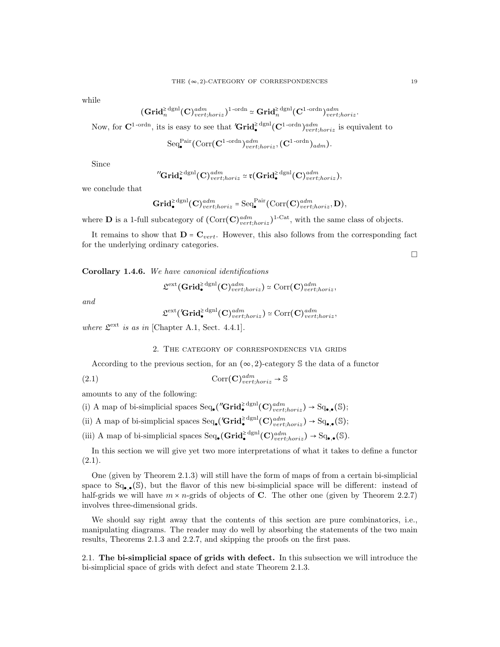while

$$
\big(\mathbf{Grid}_n^{\geq \mathrm{dgnl}}(\mathbf{C})^{adm}_{vert;horiz}\big)^{1\text{-ordn}} \simeq \mathbf{Grid}_n^{\geq \mathrm{dgnl}}(\mathbf{C}^{1\text{-ordn}})^{adm}_{vert;horiz}.
$$

Now, for  $C^{1-{\rm ordn}}$ , its is easy to see that  $'Grid^{\geq \text{dgnl}}_{\bullet}(C^{1-{\rm ordn}})_{vert, horiz}^{adm}$  is equivalent to

$$
\mathrm{Seq}_\bullet^{\mathrm{Pair}}(\mathrm{Corr}(\mathbf{C}^{1\mathrm{-ordn}})^{adm}_{vert;horiz},(\mathbf{C}^{1\mathrm{-ordn}})_{adm}).
$$

Since

$$
{}^{\prime\prime}\mathbf{Grid}_{\bullet}^{\geq \mathrm{dgnl}}(\mathbf{C})^{adm}_{vert;horiz} \simeq \mathfrak{r}(\mathbf{Grid}_{\bullet}^{\geq \mathrm{dgnl}}(\mathbf{C})^{adm}_{vert;horiz}),
$$

we conclude that

$$
\mathbf{Grid}_{\bullet}^{\geq \mathrm{dgnl}}(\mathbf{C})^{adm}_{vert;horiz} = \mathrm{Seq}_{\bullet}^{\mathrm{Pair}}(\mathrm{Corr}(\mathbf{C})^{adm}_{vert;horiz}, \mathbf{D}),
$$

where **D** is a 1-full subcategory of  $(\text{Corr}(\mathbf{C})_{vert,horiz}^{adm})^{1-\text{Cat}}$ , with the same class of objects.

It remains to show that  $\mathbf{D} = \mathbf{C}_{vert}$ . However, this also follows from the corresponding fact for the underlying ordinary categories.

 $\Box$ 

Corollary 1.4.6. We have canonical identifications

$$
\mathfrak{L}^{\text{ext}}(\mathbf{Grid}_{\bullet}^{\geq \text{dgnl}}(\mathbf{C})_{vert;horiz}^{adm}) \simeq \text{Corr}(\mathbf{C})_{vert;horiz}^{adm},
$$

and

$$
\mathfrak{L}^{\text{ext}}(\textbf{Grid}_{\bullet}^{\geq \text{dgnl}}(\mathbf{C})_{vert;horiz}^{adm}) \simeq \text{Corr}(\mathbf{C})_{vert;horiz}^{adm},
$$

where  $\mathfrak{L}^{\text{ext}}$  is as in [Chapter A.1, Sect. 4.4.1].

#### 2. The category of correspondences via grids

According to the previous section, for an  $(\infty, 2)$ -category S the data of a functor

(2.1) 
$$
\operatorname{Corr}(\mathbf{C})_{vert;horiz}^{adm} \to \mathbb{S}
$$

amounts to any of the following:

(i) A map of bi-simplicial spaces  $\text{Seq}_{\bullet}(\text{''Grid}_{\bullet}^{\geq \text{dgnl}}(\mathbf{C})_{vert,loriz}^{adm}) \to \text{Sq}_{\bullet,\bullet}(\mathbb{S});$ 

(ii) A map of bi-simplicial spaces  $\text{Seq}_{\bullet}(\text{Grid}_{\bullet}^{\geq \text{dgnl}}(\mathbf{C})_{vert, horiz}) \to \text{Sq}_{\bullet,\bullet}(\mathbb{S});$ 

(iii) A map of bi-simplicial spaces  $\text{Seq}_{\bullet}(\mathbf{Grid}_{\bullet}^{\geq \text{dgnl}}(\mathbf{C})_{vert,loriz}^{adm}) \to \text{Sq}_{\bullet,\bullet}(\mathbb{S})$ .

In this section we will give yet two more interpretations of what it takes to define a functor  $(2.1).$ 

One (given by Theorem 2.1.3) will still have the form of maps of from a certain bi-simplicial space to  $Sq_{\bullet,\bullet}(\mathbb{S})$ , but the flavor of this new bi-simplicial space will be different: instead of half-grids we will have  $m \times n$ -grids of objects of C. The other one (given by Theorem 2.2.7) involves three-dimensional grids.

We should say right away that the contents of this section are pure combinatorics, i.e., manipulating diagrams. The reader may do well by absorbing the statements of the two main results, Theorems 2.1.3 and 2.2.7, and skipping the proofs on the first pass.

2.1. The bi-simplicial space of grids with defect. In this subsection we will introduce the bi-simplicial space of grids with defect and state Theorem 2.1.3.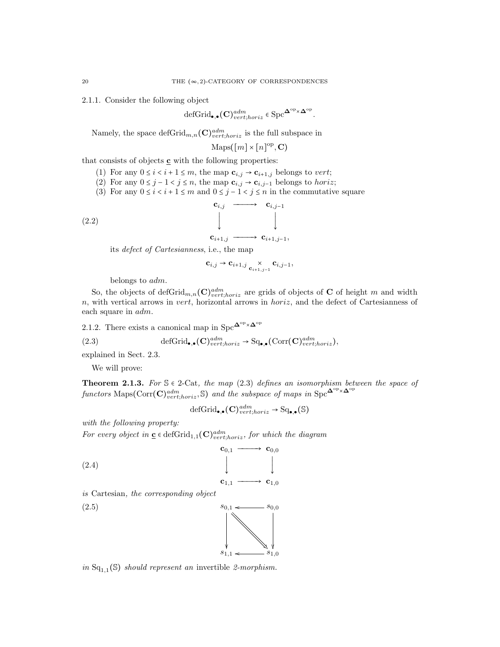2.1.1. Consider the following object

$$
\operatorname{defGrid}_{\bullet,\bullet}(\mathbf{C})^{adm}_{vert;horiz} \in \operatorname{Spc}^{\mathbf{\Delta}^{\operatorname{op}}\times\mathbf{\Delta}^{\operatorname{op}}}
$$

.

Namely, the space  $\mathrm{defGrid}_{m,n}(\mathbf{C})^{adm}_{vert;horiz}$  is the full subspace in

$$
\mathrm{Maps}([m] \times [n]^{\mathrm{op}}, \mathbf{C})
$$

that consists of objects  $\underline{\mathbf{c}}$  with the following properties:

- (1) For any  $0 \le i \le i+1 \le m$ , the map  $\mathbf{c}_{i,j} \to \mathbf{c}_{i+1,j}$  belongs to vert;
- (2) For any  $0 \leq j 1 < j \leq n$ , the map  $\mathbf{c}_{i,j} \to \mathbf{c}_{i,j-1}$  belongs to *horiz*;
- (3) For any  $0 \le i \le i + 1 \le m$  and  $0 \le j 1 \le j \le n$  in the commutative square

$$
\begin{array}{cccc}\n\mathbf{c}_{i,j} & \longrightarrow & \mathbf{c}_{i,j-1} \\
\downarrow & & \downarrow \\
\mathbf{c}_{i+1,j} & \longrightarrow & \mathbf{c}_{i+1,j-1},\n\end{array}
$$

its defect of Cartesianness, i.e., the map

$$
\mathbf{c}_{i,j} \rightarrow \mathbf{c}_{i+1,j} \underset{\mathbf{c}_{i+1,j-1}}{\times} \mathbf{c}_{i,j-1},
$$

belongs to adm.

So, the objects of defGrid<sub>m,n</sub>(C)<sup>dm</sup><sub>vert</sub>,horiz are grids of objects of C of height m and width  $n$ , with vertical arrows in vert, horizontal arrows in *horiz*, and the defect of Cartesianness of each square in adm.

2.1.2. There exists a canonical map in  $\mathrm{Spc}^{\mathbf{\Delta}^{\mathrm{op}}\times \mathbf{\Delta}^{\mathrm{op}}}$ 

(2.3) 
$$
\text{defGrid}_{\bullet,\bullet}(\mathbf{C})^{adm}_{vert;horiz} \to \text{Sq}_{\bullet,\bullet}(\text{Corr}(\mathbf{C})^{adm}_{vert;horiz}),
$$

explained in Sect. 2.3.

We will prove:

**Theorem 2.1.3.** For  $\mathcal{S} \in 2$ -Cat, the map (2.3) defines an isomorphism between the space of  $\text{functors}\ \text{Maps}(\text{Corr}(\mathbf{C})_{vert,loriz}^{adm}, \mathbb{S})$  and the subspace of maps in  $\text{Spc}^{\mathbf{\Delta}^{\text{op}}\times\mathbf{\Delta}^{\text{op}}}$ 

$$
\text{defGrid}_{\bullet,\bullet}(\mathbf{C})^{adm}_{vert;horiz} \to \text{Sq}_{\bullet,\bullet}(\mathbb{S})
$$

with the following property:

For every object in  $\underline{\mathbf{c}} \in \text{defGrid}_{1,1}(\mathbf{C})^{adm}_{vert,horiz}$ , for which the diagram

 $s_{1,1}$ 

o

 $\frac{1}{2}$ o

 $-31.0$ 

$$
\begin{array}{ccc}\n\mathbf{c}_{0,1} & \longrightarrow & \mathbf{c}_{0,0} \\
\downarrow & & \downarrow \\
\mathbf{c}_{1,1} & \longrightarrow & \mathbf{c}_{1,0}\n\end{array}
$$

is Cartesian, the corresponding object

 $(s_{0,1} \leftarrow s_{0,0})$ 

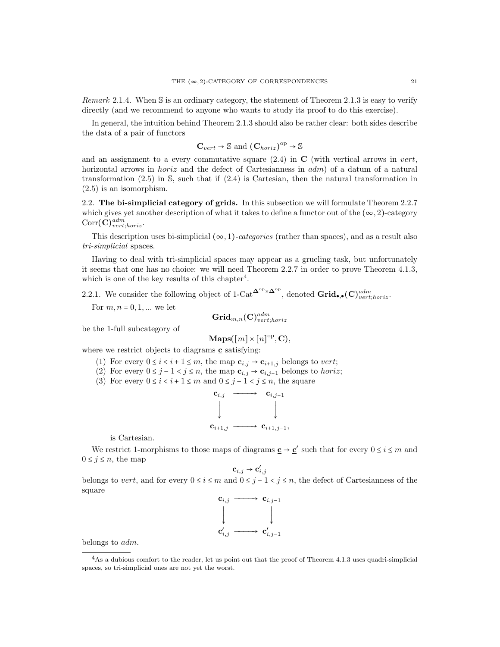Remark 2.1.4. When S is an ordinary category, the statement of Theorem 2.1.3 is easy to verify directly (and we recommend to anyone who wants to study its proof to do this exercise).

In general, the intuition behind Theorem 2.1.3 should also be rather clear: both sides describe the data of a pair of functors

$$
\mathbf{C}_{vert} \to \mathbb{S} \text{ and } (\mathbf{C}_{horiz})^{\mathrm{op}} \to \mathbb{S}
$$

and an assignment to a every commutative square  $(2.4)$  in C (with vertical arrows in vert, horizontal arrows in *horiz* and the defect of Cartesianness in  $adm$  of a datum of a natural transformation  $(2.5)$  in S, such that if  $(2.4)$  is Cartesian, then the natural transformation in (2.5) is an isomorphism.

2.2. The bi-simplicial category of grids. In this subsection we will formulate Theorem 2.2.7 which gives yet another description of what it takes to define a functor out of the  $(\infty, 2)$ -category  $\mathrm{Corr}(\mathbf{C})^{adm}_{vert;horiz}.$ 

This description uses bi-simplicial  $(\infty, 1)$ -categories (rather than spaces), and as a result also tri-simplicial spaces.

Having to deal with tri-simplicial spaces may appear as a grueling task, but unfortunately it seems that one has no choice: we will need Theorem 2.2.7 in order to prove Theorem 4.1.3, which is one of the key results of this chapter<sup>4</sup>.

2.2.1. We consider the following object of 1-Cat<sup> $\Delta^{\text{op}} \times \Delta^{\text{op}}$ </sup>, denoted  $\mathbf{Grid}_{\bullet,\bullet}(\mathbf{C})^{adm}_{vert;horiz}$ .

For  $m, n = 0, 1, ...$  we let

$$
\mathbf{Grid}_{m,n}(\mathbf{C})^{adm}_{vert;horiz}
$$

be the 1-full subcategory of

$$
\mathbf{Maps}([m] \times [n]^{\mathrm{op}}, \mathbf{C}),
$$

where we restrict objects to diagrams  $\underline{\mathbf{c}}$  satisfying:

- (1) For every  $0 \le i < i+1 \le m$ , the map  $\mathbf{c}_{i,j} \to \mathbf{c}_{i+1,j}$  belongs to vert;
- (2) For every  $0 \leq j 1 < j \leq n$ , the map  $\mathbf{c}_{i,j} \to \mathbf{c}_{i,j-1}$  belongs to *horiz*;
- (3) For every  $0 \le i < i+1 \le m$  and  $0 \le j-1 < j \le n$ , the square

$$
\begin{array}{ccc}\n\mathbf{c}_{i,j} & \longrightarrow & \mathbf{c}_{i,j-1} \\
\downarrow & & \downarrow \\
\mathbf{c}_{i+1,j} & \longrightarrow & \mathbf{c}_{i+1,j-1},\n\end{array}
$$

is Cartesian.

We restrict 1-morphisms to those maps of diagrams  $\underline{\mathbf{c}} \to \underline{\mathbf{c}}'$  such that for every  $0 \le i \le m$  and  $0 \leq j \leq n$ , the map

$$
\mathbf{c}_{i,j} \rightarrow \mathbf{c}'_{i,j}
$$

belongs to vert, and for every  $0 \le i \le m$  and  $0 \le j - 1 < j \le n$ , the defect of Cartesianness of the square



belongs to adm.

<sup>4</sup>As a dubious comfort to the reader, let us point out that the proof of Theorem 4.1.3 uses quadri-simplicial spaces, so tri-simplicial ones are not yet the worst.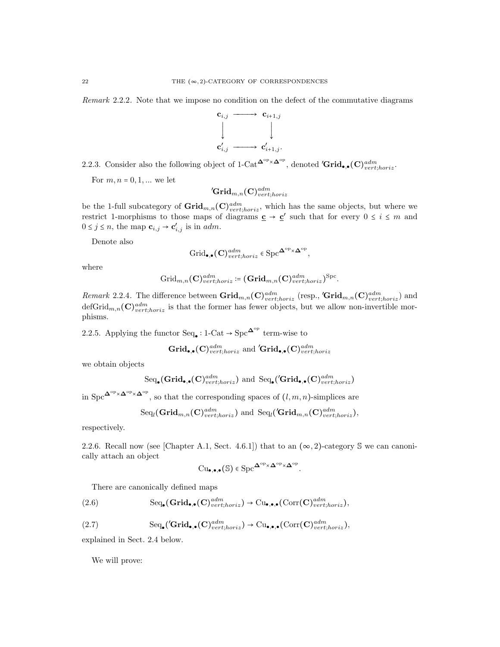Remark 2.2.2. Note that we impose no condition on the defect of the commutative diagrams



2.2.3. Consider also the following object of 1-Cat<sup> $\mathbf{\Delta}^{\text{op}} \times \mathbf{\Delta}^{\text{op}}$ , denoted  $'\mathbf{Grid}_{\bullet,\bullet}(\mathbf{C})^{adm}_{vert;horiz}$ .</sup>

For  $m, n = 0, 1, ...$  we let

$$
'\mathbf{Grid}_{m,n}(\mathbf{C})^{adm}_{vert;horiz}
$$

be the 1-full subcategory of  $\mathbf{Grid}_{m,n}(\mathbf{C})^{adm}_{vert;horiz}$ , which has the same objects, but where we restrict 1-morphisms to those maps of diagrams  $\underline{\mathbf{c}} \to \underline{\mathbf{c}}'$  such that for every  $0 \le i \le m$  and  $0 \leq j \leq n$ , the map  $\mathbf{c}_{i,j} \to \mathbf{c}'_{i,j}$  is in *adm*.

Denote also

$$
\operatorname{Grid}_{\bullet,\bullet}(\mathbf{C})^{adm}_{vert;horiz} \in \operatorname{Spc}^{\mathbf{\Delta}^{\mathrm{op}}\times\mathbf{\Delta}^{\mathrm{op}}},
$$

where

$$
\text{Grid}_{m,n}(\mathbf{C})^{adm}_{vert;horiz}\coloneqq(\mathbf{Grid}_{m,n}(\mathbf{C})^{adm}_{vert;horiz})^{\text{Spc}}
$$

.

Remark 2.2.4. The difference between  $\mathbf{Grid}_{m,n}(\mathbf{C})^{adm}_{vert;horiz}$  (resp.,  $'\mathbf{Grid}_{m,n}(\mathbf{C})^{adm}_{vert;horiz}$ ) and defGrid $_{m,n}$ (C) $_{vert;horiz}^{adm}$  is that the former has fewer objects, but we allow non-invertible morphisms.

2.2.5. Applying the functor  $\text{Seq}_{\bullet}: 1\text{-}\text{Cat} \to \text{Spc}^{\mathbf{\Delta}^{\text{op}}}$  term-wise to

 $\operatorname{Grid}_{\bullet,\bullet}(\mathbf{C})^{adm}_{vert;horiz}$  and  $'\!\mathrm{Grid}_{\bullet,\bullet}(\mathbf{C})^{adm}_{vert;horiz}$ 

we obtain objects

$$
\text{Seq}_{\bullet}(\text{Grid}_{\bullet,\bullet}(C)^{adm}_{vert;horiz}) \text{ and } \text{Seq}_{\bullet}(\text{Grid}_{\bullet,\bullet}(C)^{adm}_{vert;horiz})
$$

in  $\operatorname{Spc}^{\mathbf{\Delta}^{\mathrm{op}}\times\mathbf{\Delta}^{\mathrm{op}}},$  so that the corresponding spaces of  $(l,m,n)$ -simplices are

$$
\text{Seq}_{l}(\mathbf{Grid}_{m,n}(\mathbf{C})_{vert,loriz}^{adm}) \text{ and } \text{Seq}_{l}(\text{Grid}_{m,n}(\mathbf{C})_{vert,loriz}^{adm}),
$$

respectively.

2.2.6. Recall now (see [Chapter A.1, Sect. 4.6.1]) that to an  $(\infty, 2)$ -category S we can canonically attach an object

$$
\mathrm{Cu}_{\bullet,\bullet,\bullet}(\mathbb{S}) \in \mathrm{Spc}^{\mathbf{\Delta}^{\mathrm{op}} \times \mathbf{\Delta}^{\mathrm{op}} \times \mathbf{\Delta}^{\mathrm{op}}}.
$$

There are canonically defined maps

(2.6) 
$$
\text{Seq}_{\bullet}(\text{Grid}_{\bullet,\bullet}(\mathbf{C})^{adm}_{vert,horiz}) \to \text{Cu}_{\bullet,\bullet,\bullet}(\text{Corr}(\mathbf{C})^{adm}_{vert;horiz}),
$$

$$
(2.7) \qquad \qquad \text{Seq}_{\bullet}(\text{Grid}_{\bullet,\bullet}(\mathbf{C})^{adm}_{vert,horiz}) \to \text{Cu}_{\bullet,\bullet,\bullet}(\text{Corr}(\mathbf{C})^{adm}_{vert,horiz}),
$$

explained in Sect. 2.4 below.

We will prove: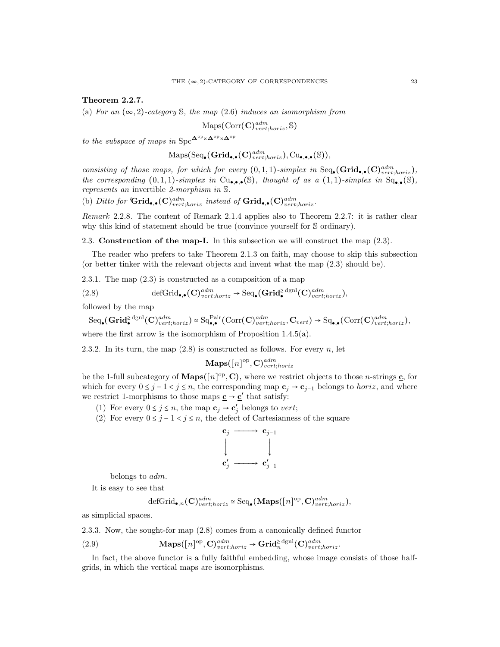Theorem 2.2.7.

(a) For an  $(\infty, 2)$ -category S, the map (2.6) induces an isomorphism from

$$
\mathrm{Maps}(\mathrm{Corr}(\mathbf{C})^{adm}_{vert;horiz}, \mathbb{S})
$$

to the subspace of maps in  $\mathrm{Spc}^{\mathbf{\Delta}^{\mathrm{op}}\times \mathbf{\Delta}^{\mathrm{op}}\times \mathbf{\Delta}^{\mathrm{op}}}$ 

$$
\mathrm{Maps}(\mathrm{Seq}_\bullet(\mathbf{Grid}_{\bullet,\bullet}(\mathbf{C})^{adm}_{vert;horiz}), \mathrm{Cu}_{\bullet,\bullet,\bullet}(\mathbb{S})),
$$

consisting of those maps, for which for every  $(0,1,1)$ -simplex in Seq.  $(\mathbf{Grid}_{\bullet,\bullet}(\mathbf{C})_{vert;horiz}^{adm})$ , the corresponding  $(0,1,1)$ -simplex in  $Cu_{\bullet,\bullet,\bullet}(\mathbb{S})$ , thought of as a  $(1,1)$ -simplex in  $Sq_{\bullet,\bullet}(\mathbb{S})$ , represents an invertible 2-morphism in S.

(b) Ditto for 'Grid.,.(C)<sup>adm</sup> instead of Grid.,.(C)<sup>adm</sup> instead of Grid.

Remark 2.2.8. The content of Remark 2.1.4 applies also to Theorem 2.2.7: it is rather clear why this kind of statement should be true (convince yourself for S ordinary).

2.3. Construction of the map-I. In this subsection we will construct the map (2.3).

The reader who prefers to take Theorem 2.1.3 on faith, may choose to skip this subsection (or better tinker with the relevant objects and invent what the map (2.3) should be).

2.3.1. The map (2.3) is constructed as a composition of a map

(2.8) 
$$
\text{defGrid}_{\bullet,\bullet}(\mathbf{C})^{adm}_{vert;horiz} \to \text{Seq}_{\bullet}(\mathbf{Grid}_{\bullet}^{\geq \text{dgnl}}(\mathbf{C})^{adm}_{vert;horiz}),
$$

followed by the map

 $\text{Seq}_{\bullet}(\mathbf{Grid}_{\bullet}^{\geq \text{dgnl}}(\mathbf{C})^{adm}_{vert;horiz}) \simeq \text{Sq}_{\bullet,\bullet}^{\text{Pair}}(\text{Corr}(\mathbf{C})^{adm}_{vert;horiz}, \mathbf{C}_{vert}) \rightarrow \text{Sq}_{\bullet,\bullet}(\text{Corr}(\mathbf{C})^{adm}_{vert;horiz}),$ 

where the first arrow is the isomorphism of Proposition 1.4.5(a).

2.3.2. In its turn, the map  $(2.8)$  is constructed as follows. For every n, let

$$
\mathbf{Maps}([n]^\mathrm{op}, \mathbf{C})^{adm}_{vert;horiz}
$$

be the 1-full subcategory of **Maps**( $[n]^{\text{op}}, \mathbf{C}$ ), where we restrict objects to those *n*-strings  $\underline{\mathbf{c}}$ , for which for every  $0 \leq j - 1 < j \leq n$ , the corresponding map  $c_j \to c_{j-1}$  belongs to *horiz*, and where we restrict 1-morphisms to those maps  $\underline{\mathbf{c}} \to \underline{\mathbf{c}}'$  that satisfy:

- (1) For every  $0 \le j \le n$ , the map  $\mathbf{c}_j \to \mathbf{c}'_j$  belongs to vert;
- (2) For every  $0 \leq j 1 < j \leq n$ , the defect of Cartesianness of the square



belongs to adm.

It is easy to see that

$$
\mathrm{defGrid}_{\bullet,n}(\mathbf{C})^{adm}_{vert,horiz} \simeq \mathrm{Seq}_{\bullet}(\mathbf{Maps}([n]^\mathrm{op}, \mathbf{C})^{adm}_{vert,horiz}),
$$

as simplicial spaces.

2.3.3. Now, the sought-for map 
$$
(2.8)
$$
 comes from a canonically defined functor

(2.9) 
$$
\mathbf{Maps}([n]^\text{op}, \mathbf{C})^{adm}_{vert;horiz} \to \mathbf{Grid}_n^{\geq \text{dgnl}}(\mathbf{C})^{adm}_{vert;horiz}.
$$

In fact, the above functor is a fully faithful embedding, whose image consists of those halfgrids, in which the vertical maps are isomorphisms.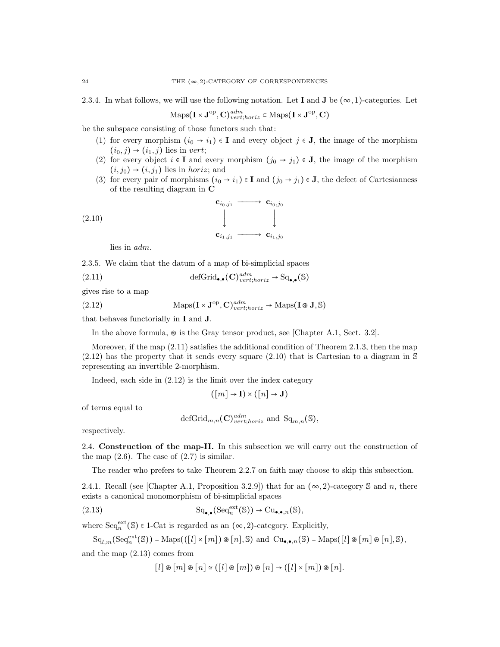2.3.4. In what follows, we will use the following notation. Let I and J be  $(\infty, 1)$ -categories. Let

$$
\mathrm{Maps}(\mathbf{I} \times \mathbf{J}^{\mathrm{op}}, \mathbf{C})^{adm}_{vert;horiz} \subset \mathrm{Maps}(\mathbf{I} \times \mathbf{J}^{\mathrm{op}}, \mathbf{C})
$$

be the subspace consisting of those functors such that:

- (1) for every morphism  $(i_0 \rightarrow i_1) \in I$  and every object  $j \in J$ , the image of the morphism  $(i_0, j) \rightarrow (i_1, j)$  lies in vert;
- (2) for every object  $i \in I$  and every morphism  $(j_0 \rightarrow j_1) \in J$ , the image of the morphism  $(i, j_0) \rightarrow (i, j_1)$  lies in *horiz*; and
- (3) for every pair of morphisms  $(i_0 \rightarrow i_1) \in I$  and  $(j_0 \rightarrow j_1) \in J$ , the defect of Cartesianness of the resulting diagram in C

$$
(2.10)
$$
\n
$$
\downarrow \qquad \qquad \downarrow \qquad \qquad \downarrow
$$
\n
$$
\mathbf{c}_{i_1,j_1} \longrightarrow \mathbf{c}_{i_1,j_0}
$$

lies in adm.

2.3.5. We claim that the datum of a map of bi-simplicial spaces

(2.11) 
$$
\text{defGrid}_{\bullet,\bullet}(\mathbf{C})^{adm}_{vert;horiz} \to \text{Sq}_{\bullet,\bullet}(\mathbb{S})
$$

gives rise to a map

(2.12) 
$$
\text{Maps}(\mathbf{I} \times \mathbf{J}^{\text{op}}, \mathbf{C})^{adm}_{vert, horiz} \to \text{Maps}(\mathbf{I} \otimes \mathbf{J}, \mathbb{S})
$$

that behaves functorially in I and J.

In the above formula, ⊛ is the Gray tensor product, see [Chapter A.1, Sect. 3.2].

Moreover, if the map (2.11) satisfies the additional condition of Theorem 2.1.3, then the map  $(2.12)$  has the property that it sends every square  $(2.10)$  that is Cartesian to a diagram in S representing an invertible 2-morphism.

Indeed, each side in (2.12) is the limit over the index category

$$
([m] \to I) \times ([n] \to J)
$$

of terms equal to

$$
\text{defGrid}_{m,n}(\mathbf{C})^{adm}_{vert;loriz} \text{ and } \text{Sq}_{m,n}(\mathbb{S}),
$$

respectively.

2.4. Construction of the map-II. In this subsection we will carry out the construction of the map  $(2.6)$ . The case of  $(2.7)$  is similar.

The reader who prefers to take Theorem 2.2.7 on faith may choose to skip this subsection.

2.4.1. Recall (see [Chapter A.1, Proposition 3.2.9]) that for an  $(\infty, 2)$ -category S and n, there exists a canonical monomorphism of bi-simplicial spaces

$$
\mathrm{Sq}_{\bullet,\bullet}(\mathrm{Seq}_n^{\mathrm{ext}}(\mathbb{S})) \to \mathrm{Cu}_{\bullet,\bullet,n}(\mathbb{S}),
$$

where  $\text{Seq}_n^{\text{ext}}(\mathbb{S})$   $\in$  1-Cat is regarded as an  $(\infty, 2)$ -category. Explicitly,

$$
\mathrm{Sq}_{l,m}(\mathrm{Seq}_n^{\mathrm{ext}}(\mathbb{S})) = \mathrm{Maps}(([l] \times [m]) \otimes [n], \mathbb{S}) \text{ and } \mathrm{Cu}_{\bullet,\bullet,n}(\mathbb{S}) = \mathrm{Maps}([l] \otimes [m] \otimes [n], \mathbb{S}),
$$

and the map (2.13) comes from

$$
[l] \circledast [m] \circledast [n] \simeq ([l] \circledast [m]) \circledast [n] \rightarrow ([l] \times [m]) \circledast [n].
$$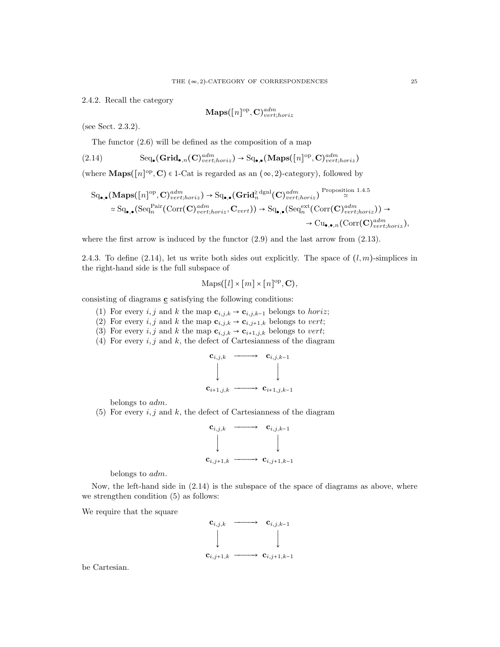2.4.2. Recall the category

$$
\mathbf{Maps}([n]^{\rm op}, \mathbf{C})^{adm}_{vert;horiz}
$$

(see Sect. 2.3.2).

The functor (2.6) will be defined as the composition of a map

$$
(2.14) \qquad \text{Seq}_{\bullet}(\mathbf{Grid}_{\bullet,n}(\mathbf{C})^{adm}_{vert;horiz}) \to \text{Sq}_{\bullet,\bullet}(\mathbf{Maps}([n]^\text{op},\mathbf{C})^{adm}_{vert;horiz})
$$

(where  $\mathbf{Maps}([n]^{\text{op}}, \mathbf{C}) \in 1\text{-Cat}$  is regarded as an  $(\infty, 2)$ -category), followed by

$$
Sq_{\bullet,\bullet}(\mathbf{Maps}([n]^{op}, \mathbf{C})^{adm}_{vert;horiz}) \rightarrow Sq_{\bullet,\bullet}(\mathbf{Grid}^{\geq \text{dgnl}}(\mathbf{C})^{adm}_{vert;horiz}) \overset{\text{Proposition 1.4.5}}{\simeq} \\\ \simeq Sq_{\bullet,\bullet}(Seq^{Pair}_{n}(\text{Corr}(\mathbf{C})^{adm}_{vert;horiz}, \mathbf{C}_{vert})) \rightarrow Sq_{\bullet,\bullet}(Seq^{ext}_{n}(\text{Corr}(\mathbf{C})^{adm}_{vert;horiz})) \rightarrow \\ \rightarrow Cu_{\bullet,\bullet,n}(\text{Corr}(\mathbf{C})^{adm}_{vert;horiz}),
$$

where the first arrow is induced by the functor  $(2.9)$  and the last arrow from  $(2.13)$ .

2.4.3. To define (2.14), let us write both sides out explicitly. The space of  $(l, m)$ -simplices in the right-hand side is the full subspace of

$$
Maps([l] \times [m] \times [n]^{op}, \mathbf{C}),
$$

consisting of diagrams c satisfying the following conditions:

- (1) For every i, j and k the map  $\mathbf{c}_{i,j,k} \rightarrow \mathbf{c}_{i,j,k-1}$  belongs to horiz;
- (2) For every i, j and k the map  $\mathbf{c}_{i,j,k} \to \mathbf{c}_{i,j+1,k}$  belongs to vert;
- (3) For every i, j and k the map  $\mathbf{c}_{i,j,k} \to \mathbf{c}_{i+1,j,k}$  belongs to vert;
- (4) For every  $i, j$  and  $k$ , the defect of Cartesianness of the diagram



belongs to adm.

(5) For every  $i, j$  and  $k$ , the defect of Cartesianness of the diagram

$$
\begin{array}{ccc}\n\mathbf{c}_{i,j,k} & \xrightarrow{\mathbf{c}_{i,j,k-1}} \\
\downarrow & & \downarrow \\
\mathbf{c}_{i,j+1,k} & \xrightarrow{\mathbf{c}_{i,j+1,k-1}}\n\end{array}
$$

belongs to adm.

Now, the left-hand side in (2.14) is the subspace of the space of diagrams as above, where we strengthen condition (5) as follows:

We require that the square



be Cartesian.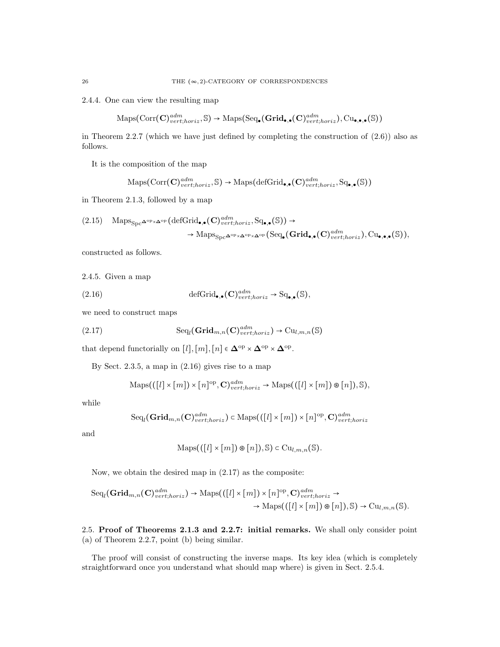2.4.4. One can view the resulting map

$$
\mathrm{Maps}(\mathrm{Corr}(\mathbf{C})^{adm}_{vert,horiz}, \mathbb{S}) \rightarrow \mathrm{Maps}(\mathrm{Seq}_\bullet(\mathbf{Grid}_{\bullet,\bullet}(\mathbf{C})^{adm}_{vert,horiz}), \mathrm{Cu}_{\bullet,\bullet,\bullet}(\mathbb{S}))
$$

in Theorem 2.2.7 (which we have just defined by completing the construction of  $(2.6)$ ) also as follows.

It is the composition of the map

$$
\mathrm{Maps}(\mathrm{Corr}(\mathbf{C})^{adm}_{vert,horiz}, \mathbb{S}) \rightarrow \mathrm{Maps}(\mathrm{defGrid}_{\bullet,\bullet}(\mathbf{C})^{adm}_{vert;horiz}, \mathrm{Sq}_{\bullet,\bullet}(\mathbb{S}))
$$

in Theorem 2.1.3, followed by a map

$$
(2.15) \quad \text{Maps}_{\text{Spc}}\text{A}^{\text{op}}\times\text{A}^{\text{op}}(\text{defGrid}_{\bullet,\bullet}(C)^{adm}_{vert,horiz}, \text{Sq}_{\bullet,\bullet}(\mathbb{S})) \rightarrow \\ \rightarrow \text{Maps}_{\text{Spc}}\text{A}^{\text{op}}\times\text{A}^{\text{op}}\times\text{A}^{\text{op}}(\text{Seq}_{\bullet}(Grid_{\bullet,\bullet}(C)^{adm}_{vert,horiz}), \text{Cu}_{\bullet,\bullet,\bullet}(\mathbb{S})),
$$

constructed as follows.

2.4.5. Given a map

(2.16) 
$$
\text{defGrid}_{\bullet,\bullet}(\mathbf{C})_{vert,horiz}^{adm} \to \text{Sq}_{\bullet,\bullet}(\mathbb{S}),
$$

we need to construct maps

(2.17) 
$$
\mathrm{Seq}_{l}(\mathbf{Grid}_{m,n}(\mathbf{C})_{vert,loriz}^{adm}) \rightarrow \mathrm{Cu}_{l,m,n}(\mathbb{S})
$$

that depend functorially on  $[l],[m],[n] \in \mathbf{\Delta}^{\mathrm{op}} \times \mathbf{\Delta}^{\mathrm{op}} \times \mathbf{\Delta}^{\mathrm{op}}.$ 

By Sect. 2.3.5, a map in (2.16) gives rise to a map

$$
\mathrm{Maps}(([l] \times [m]) \times [n]^{\mathrm{op}}, \mathbf{C})^{adm}_{vert;horiz} \to \mathrm{Maps}(([l] \times [m]) \otimes [n]), \mathbb{S}),
$$

while

$$
Seq_{l}(\mathbf{Grid}_{m,n}(\mathbf{C})^{adm}_{vert,horiz}) \subset \mathrm{Maps}(([l] \times [m]) \times [n]^{op}, \mathbf{C})^{adm}_{vert;horiz}
$$

and

$$
Maps(([l] \times [m]) \otimes [n]), \mathbb{S}) \subset \mathrm{Cu}_{l,m,n}(\mathbb{S}).
$$

Now, we obtain the desired map in (2.17) as the composite:

$$
\text{Seq}_l(\mathbf{Grid}_{m,n}(\mathbf{C})_{vert,horiz}^{adm}) \to \text{Maps}(([l] \times [m]) \times [n]^{\text{op}}, \mathbf{C})_{vert,horiz}^{adm} \to \text{Maps}(([l] \times [m]) \otimes [n]), \mathbb{S}) \to \text{Cu}_{l,m,n}(\mathbb{S}).
$$

2.5. Proof of Theorems 2.1.3 and 2.2.7: initial remarks. We shall only consider point (a) of Theorem 2.2.7, point (b) being similar.

The proof will consist of constructing the inverse maps. Its key idea (which is completely straightforward once you understand what should map where) is given in Sect. 2.5.4.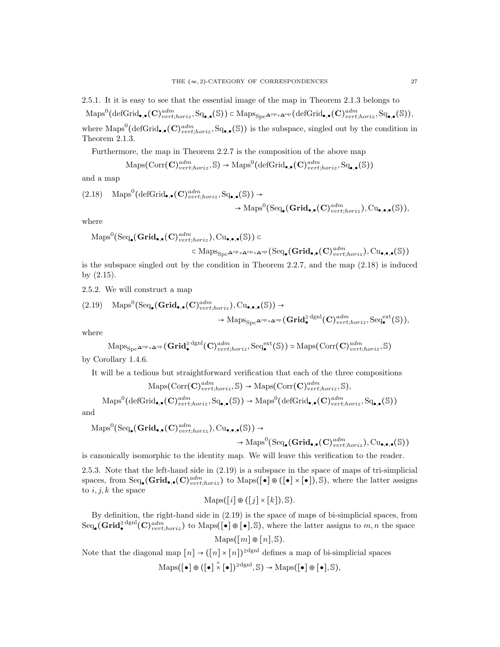2.5.1. It it is easy to see that the essential image of the map in Theorem 2.1.3 belongs to  $\mathrm{Maps}^0(\mathrm{defGrid}_{\bullet,\bullet}(\mathbf{C})^{adm}_{vert,horiz}, \mathrm{Sq}_{\bullet,\bullet}(\mathbb{S})) \subset \mathrm{Maps}_{\mathrm{Spc}}\Delta^{\mathrm{op}}\times \Delta^{\mathrm{op}}(\mathrm{defGrid}_{\bullet,\bullet}(\mathbf{C})^{adm}_{vert,horiz}, \mathrm{Sq}_{\bullet,\bullet}(\mathbb{S})),$ where  $\text{Maps}^{0}(\text{defGrid}_{\bullet,\bullet}(\mathbf{C})^{adm}_{vert;horiz}, \text{Sq}_{\bullet,\bullet}(\mathbb{S}))$  is the subspace, singled out by the condition in Theorem 2.1.3.

Furthermore, the map in Theorem 2.2.7 is the composition of the above map

$$
\mathrm{Maps}(\mathrm{Corr}(\mathbf{C})^{adm}_{vert;horiz}, \mathbb{S}) \to \mathrm{Maps}^0(\mathrm{defGrid}_{\bullet,\bullet}(\mathbf{C})^{adm}_{vert;horiz}, \mathrm{Sq}_{\bullet,\bullet}(\mathbb{S}))
$$

and a map

$$
(2.18) \quad \text{Maps}^{0}(\text{defGrid}_{\bullet,\bullet}(C)^{adm}_{vert;horiz}, \text{Sq}_{\bullet,\bullet}(\mathbb{S})) \rightarrow \rightarrow \text{Maps}^{0}(\text{Seq}_{\bullet}(G)^{adm}_{vert;horiz}), \text{Cu}_{\bullet,\bullet,\bullet}(\mathbb{S})),
$$

where

$$
\mathrm{Maps}^{0}(\mathrm{Seq}_{\bullet}(\mathbf{Grid}_{\bullet,\bullet}(\mathbf{C})^{adm}_{vert;horiz}), \mathrm{Cu}_{\bullet,\bullet,\bullet}(\mathbb{S})) \subset
$$

$$
\subset \mathrm{Maps}_{\mathrm{Spc}^{\mathbf{\Delta}^{\mathrm{op}}\times\mathbf{\Delta}^{\mathrm{op}}}}(\mathrm{Seq}_\bullet(\mathbf{Grid}_{\bullet,\bullet}(\mathbf{C})^{adm}_{vert,horiz}), \mathrm{Cu}_{\bullet,\bullet,\bullet}(\mathbb{S}))
$$

is the subspace singled out by the condition in Theorem 2.2.7, and the map  $(2.18)$  is induced by (2.15).

2.5.2. We will construct a map

$$
(2.19) \quad \text{Maps}^{0}(\text{Seq}_{\bullet}(\mathbf{Grid}_{\bullet,\bullet}(\mathbf{C})^{adm}_{vert,horiz}), \text{Cu}_{\bullet,\bullet,\bullet}(\mathbb{S})) \rightarrow \\ \rightarrow \text{Maps}_{\text{Spec}^{\mathbf{Q}^{\text{op}}\times\mathbf{\Delta}^{\text{op}}}}(\mathbf{Grid}^{\geq}^{\text{def}}_{\bullet}(\mathbf{C})^{adm}_{vert;horiz}, \text{Seq}^{\text{ext}}_{\bullet}(\mathbb{S})),
$$

where

$$
\mathrm{Maps}_{\mathrm{Spc}}\Delta^{\mathrm{op}}\times \Delta^{\mathrm{op}}(\mathbf{Grid}^{\geq \mathrm{dgnl}}_{\bullet}(\mathbf{C})^{adm}_{vert;horiz}, \mathrm{Seq}^{\mathrm{ext}}_{\bullet}(\mathbb{S})) \simeq \mathrm{Maps}(\mathrm{Corr}(\mathbf{C})^{adm}_{vert;horiz}, \mathbb{S})
$$

by Corollary 1.4.6.

It will be a tedious but straightforward verification that each of the three compositions

$$
\mathrm{Maps}(\mathrm{Corr}(\mathbf{C})^{adm}_{vert,horiz}, \mathbb{S}) \to \mathrm{Maps}(\mathrm{Corr}(\mathbf{C})^{adm}_{vert,horiz}, \mathbb{S}),
$$

$$
\mathrm{Maps}^{0}(\mathrm{defGrid}_{\bullet,\bullet}(\mathbf{C})^{adm}_{vert,horiz}, \mathrm{Sq}_{\bullet,\bullet}(\mathbb{S})) \to \mathrm{Maps}^{0}(\mathrm{defGrid}_{\bullet,\bullet}(\mathbf{C})^{adm}_{vert,horiz}, \mathrm{Sq}_{\bullet,\bullet}(\mathbb{S}))
$$

and

$$
\mathrm{Maps}^{0}(\mathrm{Seq}_{\bullet}(\mathbf{Grid}_{\bullet,\bullet}(\mathbf{C})^{adm}_{vert;horiz}), \mathrm{Cu}_{\bullet,\bullet,\bullet}(\mathbb{S})) \rightarrow
$$

$$
\rightarrow \mathrm{Maps}^{0}(\mathrm{Seq}_{\bullet}(\mathbf{Grid}_{\bullet,\bullet}(\mathbf{C})^{adm}_{vert;horiz}), \mathrm{Cu}_{\bullet,\bullet,\bullet}(\mathbb{S}))
$$

is canonically isomorphic to the identity map. We will leave this verification to the reader.

2.5.3. Note that the left-hand side in (2.19) is a subspace in the space of maps of tri-simplicial spaces, from  $\text{Seq}_{\bullet}(\mathbf{Grid}_{\bullet,\bullet}(\mathbf{C})^{adm}_{vert,loriz})$  to  $\text{Maps}([\bullet] \otimes ([\bullet] \times [\bullet]), \mathbb{S})$ , where the latter assigns to  $i, j, k$  the space

$$
Maps([i] \otimes ([j] \times [k]), \mathbb{S}).
$$

By definition, the right-hand side in (2.19) is the space of maps of bi-simplicial spaces, from  $\text{Seq}_{\bullet}(\mathbf{Grid}_{\bullet}^{\geq \text{dgnl}}(\mathbf{C})_{vert;loriz}^{adm})$  to  $\text{Maps}([\bullet] \otimes [\bullet], \mathbb{S})$ , where the latter assigns to  $m, n$  the space

$$
\mathrm{Maps}\big([m]\circledast [n], \mathbb{S}\big).
$$

Note that the diagonal map  $[n] \to ([n] \times [n])^{2dgnl}$  defines a map of bi-simplicial spaces

$$
\mathrm{Maps}([\bullet] \circledast ([\bullet] \overset{=}{\times} [\bullet])^{\geq \mathrm{dgnl}}, \mathbb{S}) \rightarrow \mathrm{Maps}([\bullet] \circledast [\bullet], \mathbb{S}),
$$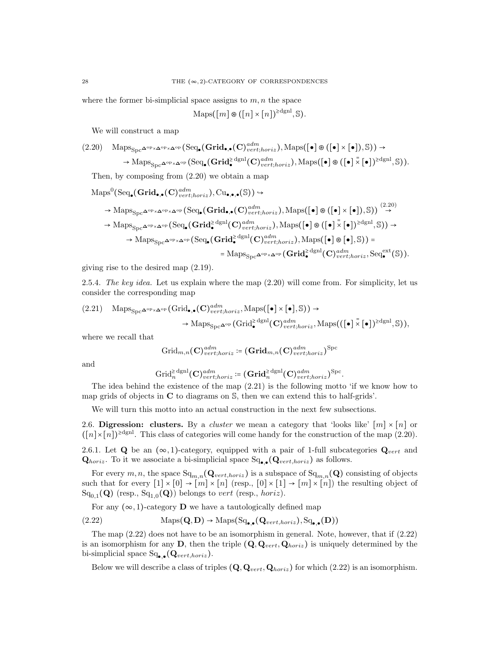where the former bi-simplicial space assigns to  $m, n$  the space

$$
Maps([m] \otimes ([n] \times [n])^{\geq dgnl}, \mathbb{S}).
$$

We will construct a map

$$
(2.20) \quad \underset{\text{Maps}_{\text{Spc}}\Delta^{\text{op}}\times\Delta^{\text{op}}\times\Delta^{\text{op}}} \text{(Seq}_{\bullet}(\text{Grid}_{\bullet,\bullet}(C)^{adm}_{vert,horiz}),\text{Maps}([\bullet]\circledast([\bullet]\times[\bullet]),\mathbb{S})) \rightarrow \\ \rightarrow \underset{\text{Maps}_{\text{Spc}}\Delta^{\text{op}}\times\Delta^{\text{op}}} \text{(Seq}_{\bullet}(\text{Grid}_{\bullet}^{\geq} \text{dyn}(C)^{adm}_{vert,horiz}),\text{Maps}([\bullet]\circledast([\bullet]\times[\bullet])^{\geq dgnl},\mathbb{S})).
$$

Then, by composing from (2.20) we obtain a map

$$
\begin{split} \mathrm{Maps}^{0}(\mathrm{Seq}_{\bullet}(\mathbf{Grid}_{\bullet,\bullet}(\mathbf{C})^{adm}_{vert,horiz}), \mathrm{Cu}_{\bullet,\bullet,\bullet}(\mathbb{S})) &\rightarrow \\ &\rightarrow \mathrm{Maps}_{\mathrm{Spc}}\Delta^{\mathrm{op}} \times \Delta^{\mathrm{op}} \times \Delta^{\mathrm{op}}(\mathrm{Seq}_{\bullet}(\mathbf{Grid}_{\bullet,\bullet}(\mathbf{C})^{adm}_{vert,horiz}), \mathrm{Maps}([\bullet] \circledast ([\bullet] \times [\bullet]), \mathbb{S})) \stackrel{(2.20)}{\rightarrow} \\ &\rightarrow \mathrm{Maps}_{\mathrm{Spc}}\Delta^{\mathrm{op}} \times \Delta^{\mathrm{op}}(\mathrm{Seq}_{\bullet}(\mathbf{Grid}_{\bullet}^{\geq} \mathrm{dgnl}(\mathbf{C})^{adm}_{vert,horiz}), \mathrm{Maps}([\bullet] \circledast ([\bullet] \times [\bullet])^{\geq \mathrm{dgnl}}, \mathbb{S})) \rightarrow \\ &\rightarrow \mathrm{Maps}_{\mathrm{Spc}}\Delta^{\mathrm{op}} \times \Delta^{\mathrm{op}}(\mathrm{Seq}_{\bullet}(\mathbf{Grid}_{\bullet}^{\geq \mathrm{dgnl}}(\mathbf{C})^{adm}_{vert,horiz}), \mathrm{Maps}([\bullet] \circledast [\bullet], \mathbb{S})) = \\ &= \mathrm{Maps}_{\mathrm{Spc}}\Delta^{\mathrm{op}} \times \Delta^{\mathrm{op}}(\mathbf{Grid}_{\bullet}^{\geq \mathrm{dgnl}}(\mathbf{C})^{adm}_{vert,horiz}, \mathrm{Seq}_{\bullet}^{\mathrm{ext}}(\mathbb{S})). \end{split}
$$

giving rise to the desired map (2.19).

2.5.4. The key idea. Let us explain where the map  $(2.20)$  will come from. For simplicity, let us consider the corresponding map

$$
(2.21) \quad \text{Maps}_{\text{Spc}}\text{A}^{\text{op}}\times\text{A}^{\text{op}}(\text{Grid}_{\bullet,\bullet}(\mathbf{C})^{adm}_{vert;horiz}, \text{Maps}([\bullet] \times [\bullet], \mathbb{S})) \rightarrow \\ \rightarrow \text{Maps}_{\text{Spc}}\text{A}^{\text{op}}(\text{Grid}_{\bullet}^{\geq} \text{dyn}(\mathbf{C})^{adm}_{vert;horiz}, \text{Maps}(([\bullet] \times [\bullet])^{\geq} \text{dyn}^1, \mathbb{S})),
$$

where we recall that

$$
\displaystyle \mathrm{Grid}_{m,n}(\mathbf{C})^{adm}_{vert;horiz}\coloneqq (\mathbf{Grid}_{m,n}(\mathbf{C})^{adm}_{vert;horiz})^{\mathrm{Spc}}
$$

and

$$
\mathrm{Grid}_{n}^{\geq \mathrm{dgnl}}(\mathbf{C})^{adm}_{vert;horiz}\coloneqq(\mathbf{Grid}_{n}^{\geq \mathrm{dgnl}}(\mathbf{C})^{adm}_{vert;horiz})^{\mathrm{Spc}}.
$$

The idea behind the existence of the map (2.21) is the following motto 'if we know how to map grids of objects in C to diagrams on S, then we can extend this to half-grids'.

We will turn this motto into an actual construction in the next few subsections.

2.6. Digression: clusters. By a *cluster* we mean a category that 'looks like'  $[m] \times [n]$  or  $([n] \times [n])^{\geq dgn}$ . This class of categories will come handy for the construction of the map (2.20).

2.6.1. Let Q be an  $(\infty, 1)$ -category, equipped with a pair of 1-full subcategories  $Q_{vert}$  and  $\mathbf{Q}_{horiz}$ . To it we associate a bi-simplicial space  $\text{Sq}_{\bullet,\bullet}(\mathbf{Q}_{vert,horiz})$  as follows.

For every  $m, n$ , the space  $\text{Sq}_{m,n}(\mathbf{Q}_{vert, horiz})$  is a subspace of  $\text{Sq}_{m,n}(\mathbf{Q})$  consisting of objects such that for every  $[1] \times [0] \rightarrow [m] \times [n]$  (resp.,  $[0] \times [1] \rightarrow [m] \times [n]$ ) the resulting object of  $\operatorname{Sq}_{0,1}(\mathbf{Q})$  (resp.,  $\operatorname{Sq}_{1,0}(\mathbf{Q})$ ) belongs to *vert* (resp., *horiz*).

For any  $(\infty, 1)$ -category **D** we have a tautologically defined map

$$
(2.22) \qquad \text{Maps}(\mathbf{Q}, \mathbf{D}) \to \text{Maps}(\text{Sq}_{\bullet,\bullet}(\mathbf{Q}_{vert,horiz}), \text{Sq}_{\bullet,\bullet}(\mathbf{D}))
$$

The map (2.22) does not have to be an isomorphism in general. Note, however, that if (2.22) is an isomorphism for any D, then the triple  $(Q, Q_{vert}, Q_{horiz})$  is uniquely determined by the bi-simplicial space  $\text{Sq}_{\bullet,\bullet}(\mathbf{Q}_{vert,horiz})$ .

Below we will describe a class of triples  $(Q, Q_{vert}, Q_{horiz})$  for which (2.22) is an isomorphism.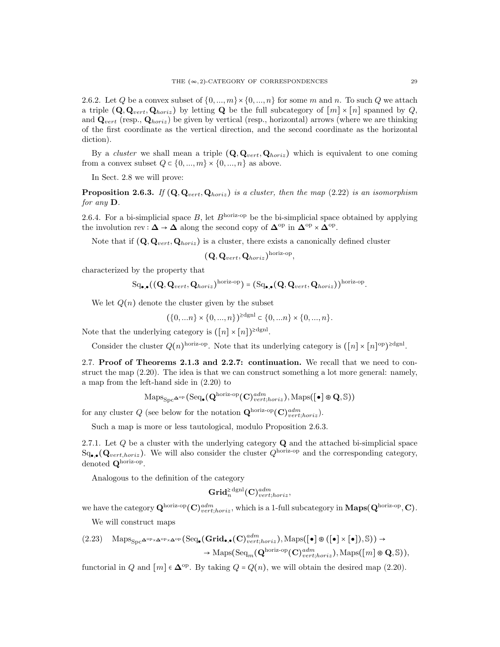2.6.2. Let Q be a convex subset of  $\{0, ..., m\} \times \{0, ..., n\}$  for some m and n. To such Q we attach a triple  $(Q, Q_{vert}, Q_{horiz})$  by letting Q be the full subcategory of  $[m] \times [n]$  spanned by Q, and  $\mathbf{Q}_{vert}$  (resp.,  $\mathbf{Q}_{horiz}$ ) be given by vertical (resp., horizontal) arrows (where we are thinking of the first coordinate as the vertical direction, and the second coordinate as the horizontal diction).

By a cluster we shall mean a triple  $(Q, Q_{vert}, Q_{horiz})$  which is equivalent to one coming from a convex subset  $Q \subset \{0, ..., m\} \times \{0, ..., n\}$  as above.

In Sect. 2.8 we will prove:

**Proposition 2.6.3.** If  $(Q, Q_{vert}, Q_{horiz})$  is a cluster, then the map  $(2.22)$  is an isomorphism for any D.

2.6.4. For a bi-simplicial space B, let  $B<sup>horiz-op</sup>$  be the bi-simplicial space obtained by applying the involution rev :  $\Delta \to \Delta$  along the second copy of  $\Delta^{\text{op}}$  in  $\Delta^{\text{op}} \times \Delta^{\text{op}}$ .

Note that if  $(Q, Q_{vert}, Q_{horiz})$  is a cluster, there exists a canonically defined cluster

$$
(\mathbf{Q},\mathbf{Q}_{vert},\mathbf{Q}_{horiz})^{\text{horiz-op}}
$$

,

characterized by the property that

$$
Sq_{\bullet,\bullet}((\mathbf{Q},\mathbf{Q}_{vert},\mathbf{Q}_{horiz})^{\text{horiz-op}}) = (Sq_{\bullet,\bullet}(\mathbf{Q},\mathbf{Q}_{vert},\mathbf{Q}_{horiz}))^{\text{horiz-op}}.
$$

We let  $Q(n)$  denote the cluster given by the subset

$$
(\{0, \ldots n\} \times \{0, \ldots, n\})^{\ge d \text{gln}} \subset \{0, \ldots n\} \times \{0, \ldots, n\}.
$$

Note that the underlying category is  $([n] \times [n])^{\geq \text{dgnl}}$ .

Consider the cluster  $Q(n)^{\text{horiz-op}}$ . Note that its underlying category is  $([n] \times [n]^\text{op})^{\geq \text{dgnl}}$ .

2.7. Proof of Theorems 2.1.3 and 2.2.7: continuation. We recall that we need to construct the map (2.20). The idea is that we can construct something a lot more general: namely, a map from the left-hand side in (2.20) to

$$
\mathrm{Maps}_{\mathrm{Spc}} \Delta^{\mathrm{op}} \left( \mathrm{Seq}_\bullet ( \mathbf{Q}^{\mathrm{horiz}\text{-}\mathrm{op}}(\mathbf{C})^{adm}_{vert, horiz}), \mathrm{Maps}([\bullet] \circledast \mathbf{Q}, \mathbb{S}) \right)
$$

for any cluster Q (see below for the notation  $\mathbf{Q}^{\text{horiz-op}}(\mathbf{C})^{adm}_{vert,horiz}).$ 

Such a map is more or less tautological, modulo Proposition 2.6.3.

2.7.1. Let  $Q$  be a cluster with the underlying category  $Q$  and the attached bi-simplicial space  $\operatorname{Sq}_{\bullet,\bullet}(Q_{vert,horiz})$ . We will also consider the cluster  $Q^{\text{horiz-op}}$  and the corresponding category, denoted  $\mathbf{Q}^{\text{horiz-op}}$ .

Analogous to the definition of the category

$$
\mathbf{Grid}_{n}^{\geq \mathrm{dgnl}}(\mathbf{C})_{vert;horiz}^{adm},
$$

we have the category  $\mathbf{Q}^{\text{horiz-op}}(\mathbf{C})^{adm}_{vert;horiz}$ , which is a 1-full subcategory in  $\mathbf{Maps}(\mathbf{Q}^{\text{horiz-op}}, \mathbf{C})$ .

We will construct maps

$$
(2.23) \quad \text{Maps}_{\text{Spc}}\text{A}^{\text{op}}\times\text{A}^{\text{op}}\times\text{A}^{\text{op}}\left(\text{Seq}_{\bullet}(\text{Grid}_{\bullet,\bullet}(C)^{adm}_{vert;horiz}),\text{Maps}([\bullet]\circledast([\bullet]\times[\bullet]),\mathbb{S})\right)\to \\ \rightarrow \text{Maps}(\text{Seq}_{m}(\text{Q}^{\text{horiz-op}}(C)^{adm}_{vert;horiz}),\text{Maps}([m]\circledast \text{Q},\mathbb{S})),
$$

functorial in Q and  $[m] \in \mathbb{\Delta}^{\text{op}}$ . By taking  $Q = Q(n)$ , we will obtain the desired map (2.20).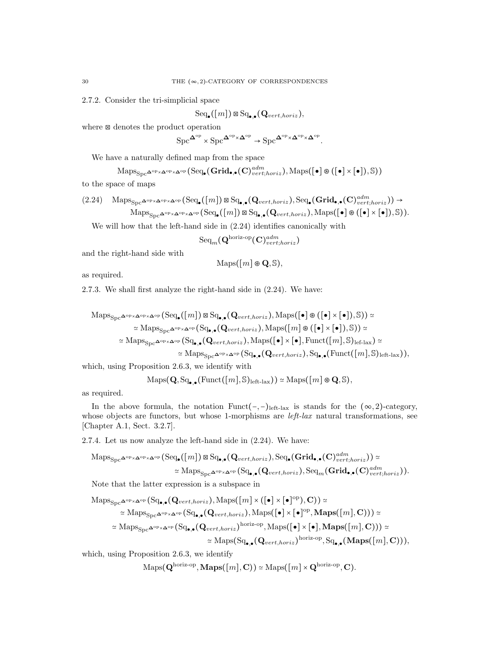2.7.2. Consider the tri-simplicial space

 $\mathrm{Seq}_\bullet([m]) \boxtimes \mathrm{Sq}_{\bullet,\bullet}(\mathbf{Q}_{vert,horiz}),$ 

where ⊠ denotes the product operation

 $\operatorname{Spc}^{\mathbf{\Delta}^{\mathrm{op}}} \times \operatorname{Spc}^{\mathbf{\Delta}^{\mathrm{op}} \times \mathbf{\Delta}^{\mathrm{op}}} \to \operatorname{Spc}^{\mathbf{\Delta}^{\mathrm{op}} \times \mathbf{\Delta}^{\mathrm{op}} \times \mathbf{\Delta}^{\mathrm{op}}}.$ 

We have a naturally defined map from the space

$$
\mathrm{Maps}_{\mathrm{Spc}^{\mathbf{\Delta}^{\mathrm{op}}\times\mathbf{\Delta}^{\mathrm{op}}\times\mathbf{\Delta}^{\mathrm{op}}}}(\mathrm{Seq}_\bullet(\mathbf{Grid}_{\bullet,\bullet}(\mathbf{C})^{adm}_{vert;horiz}),\mathrm{Maps}(\llbracket\bullet\rrbracket\circ\llbracket\bullet\rrbracket)\times\llbracket\bullet\rrbracket),\mathbb{S}))
$$

to the space of maps

$$
(2.24) \quad \underset{\text{Maps}_{\text{Spc}}\Delta^{\text{op}}\times\Delta^{\text{op}}\times\Delta^{\text{op}}}{\text{Maps}_{\text{Spc}}\Delta^{\text{op}}\times\Delta^{\text{op}}}\left(\text{Seq}_{\bullet}([m])\boxtimes\text{Sq}_{\bullet,\bullet}(\mathbf{Q}_{vert,horiz}),\text{Seq}_{\bullet}(\mathbf{Grid}_{\bullet,\bullet}(\mathbf{C})_{vert,horiz}^{adm})\right)\rightarrow \text{Maps}_{\text{Spc}}\Delta^{\text{op}}\times\Delta^{\text{op}}\left(\text{Seq}_{\bullet}([m])\boxtimes\text{Sq}_{\bullet,\bullet}(\mathbf{Q}_{vert,horiz}),\text{Maps}([\bullet]\otimes([\bullet]\times[\bullet]),\mathbb{S})\right).
$$

We will how that the left-hand side in (2.24) identifies canonically with

$$
\mathrm{Seq}_m(\mathbf{Q}^{\text{horiz-op}}(\mathbf{C})^{adm}_{vert;horiz})
$$

and the right-hand side with

$$
\mathrm{Maps}([\mathit{m}]\circledast\mathbf{Q},\mathbb{S}),
$$

as required.

2.7.3. We shall first analyze the right-hand side in (2.24). We have:

$$
\begin{aligned}\n\text{Maps}_{\text{Spc}}\Delta^{\text{op}} \times \Delta^{\text{op}} \text{(Seq}_{\bullet}([m]) \boxtimes \text{Sq}_{\bullet,\bullet}(\mathbf{Q}_{vert,horiz}), \text{Maps}([\bullet] \otimes ([\bullet] \times [\bullet]), \mathbb{S})) &\simeq \\
&\simeq \text{Maps}_{\text{Spc}}\Delta^{\text{op}} \times \Delta^{\text{op}} (\text{Sq}_{\bullet,\bullet}(\mathbf{Q}_{vert,horiz}), \text{Maps}([m] \otimes ([\bullet] \times [\bullet]), \mathbb{S})) &\simeq \\
&\simeq \text{Maps}_{\text{Spc}}\Delta^{\text{op}} \times \Delta^{\text{op}} (\text{Sq}_{\bullet,\bullet}(\mathbf{Q}_{vert,horiz}), \text{Maps}([\bullet] \times [\bullet], \text{Funct}([m], \mathbb{S})_{\text{left-lax}}) &\simeq \\
&\simeq \text{Maps}_{\text{Spc}}\Delta^{\text{op}} \times \Delta^{\text{op}} (\text{Sq}_{\bullet,\bullet}(\mathbf{Q}_{vert,horiz}), \text{Sq}_{\bullet,\bullet}(\text{Funct}([m], \mathbb{S})_{\text{left-lax}})),\n\end{aligned}
$$

which, using Proposition 2.6.3, we identify with

$$
\mathrm{Maps}(\mathbf{Q}, \mathrm{Sq}_{\bullet,\bullet}(\mathrm{Funct}([m], \mathbb{S})_{\mathrm{left\text{-}lax}})) \simeq \mathrm{Maps}([m] \circledast \mathbf{Q}, \mathbb{S}),
$$

as required.

In the above formula, the notation Funct(-,-)left-lax is stands for the  $(\infty, 2)$ -category, whose objects are functors, but whose 1-morphisms are  $left-law$  natural transformations, see [Chapter A.1, Sect. 3.2.7].

2.7.4. Let us now analyze the left-hand side in (2.24). We have:

$$
\mathrm{Maps}_{\mathrm{Spc}}\mathbf{\Delta}^{\mathrm{op}} \times \mathbf{\Delta}^{\mathrm{op}} (\mathrm{Seq}_{\bullet}([m]) \boxtimes \mathrm{Sq}_{\bullet,\bullet}(\mathbf{Q}_{vert,horiz}), \mathrm{Seq}_{\bullet}(\mathbf{Grid}_{\bullet,\bullet}(\mathbf{C})_{vert,horiz}^{adm})) \simeq \\ \simeq \mathrm{Maps}_{\mathrm{Spc}}\mathbf{\Delta}^{\mathrm{op}} \times \mathbf{\Delta}^{\mathrm{op}} (\mathrm{Sq}_{\bullet,\bullet}(\mathbf{Q}_{vert,horiz}), \mathrm{Seq}_{m}(\mathbf{Grid}_{\bullet,\bullet}(\mathbf{C})_{vert,horiz}^{adm})).
$$

Note that the latter expression is a subspace in

$$
\operatorname{Maps}_{\operatorname{Spc}^{\Delta^{op}\times\Delta^{op}}}(\operatorname{Sq}_{\bullet,\bullet}(Q_{vert,horiz}),\operatorname{Maps}([m]\times([\bullet]\times[\bullet]^{\operatorname{op}}),C))\simeq\\\simeq\operatorname{Maps}_{\operatorname{Spc}^{\Delta^{op}\times\Delta^{op}}}(\operatorname{Sq}_{\bullet,\bullet}(Q_{vert,horiz}),\operatorname{Maps}([\bullet]\times[\bullet]\times[\bullet]^{\operatorname{op}},\operatorname{Maps}([m],C)))\simeq\\\simeq\operatorname{Maps}_{\operatorname{Spc}^{\Delta^{op}\times\Delta^{op}}}(\operatorname{Sq}_{\bullet,\bullet}(Q_{vert,horiz})^{\operatorname{horiz-op}},\operatorname{Maps}([\bullet]\times[\bullet],\operatorname{Maps}([m],C)))\simeq\\\simeq\operatorname{Maps}(\operatorname{Sq}_{\bullet,\bullet}(Q_{vert,horiz})^{\operatorname{horiz-op}},\operatorname{Sq}_{\bullet,\bullet}(\operatorname{Maps}([m],C))),
$$

which, using Proposition 2.6.3, we identify

$$
\mathrm{Maps}(\mathbf{Q}^{\mathrm{horiz-op}}, \mathbf{Maps}([m], \mathbf{C})) \simeq \mathrm{Maps}([m] \times \mathbf{Q}^{\mathrm{horiz-op}}, \mathbf{C}).
$$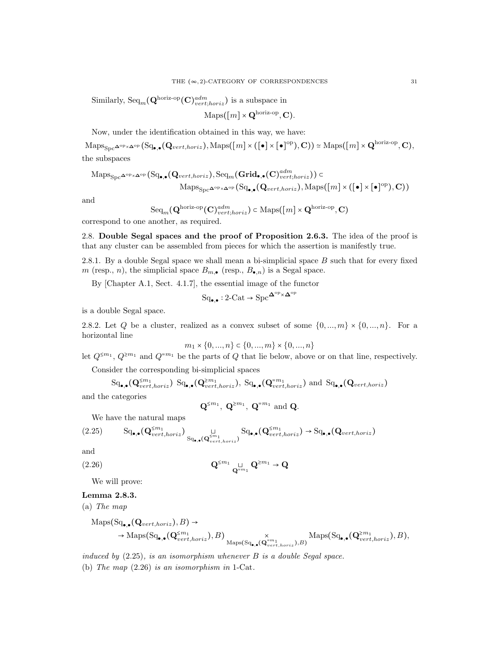Similarly,  $\text{Seq}_m(\mathbf{Q}^{\text{horiz-op}}(\mathbf{C})^{adm}_{vert;horiz})$  is a subspace in

$$
\mathrm{Maps}([m] \times \mathbf{Q}^{\mathrm{horiz-op}}, \mathbf{C}).
$$

Now, under the identification obtained in this way, we have:

 $\mathrm{Maps}_{\mathrm{Spc}}\Delta^{\mathrm{op}} \times \Delta^{\mathrm{op}}(\mathrm{Sq}_{\bullet,\bullet}(\mathbf{Q}_{vert,horiz}), \mathrm{Maps}([m] \times ([\bullet] \times [\bullet]^\mathrm{op}), \mathbf{C})) \simeq \mathrm{Maps}([m] \times \mathbf{Q}^{\mathrm{horiz-op}}, \mathbf{C}),$ the subspaces

$$
\mathrm{Maps}_{\mathrm{Spc}^{\Delta^{\mathrm{op}}\times\Delta^{\mathrm{op}}}}(\mathrm{Sq}_{\bullet,\bullet}(Q_{vert,horiz}), \mathrm{Seq}_{m}(\mathbf{Grid}_{\bullet,\bullet}(C)^{adm}_{vert,horiz})) \subset \mathrm{Maps}_{\mathrm{Spc}^{\Delta^{\mathrm{op}}\times\Delta^{\mathrm{op}}}}(\mathrm{Sq}_{\bullet,\bullet}(Q_{vert,horiz}), \mathrm{Maps}([m] \times ([\bullet] \times [\bullet]^\mathrm{op}), \mathbf{C}))
$$

and

$$
\mathrm{Seq}_m(\mathbf{Q}^{\text{horiz-op}}(\mathbf{C})^{adm}_{vert;horiz}) \subset \mathrm{Maps}([m] \times \mathbf{Q}^{\text{horiz-op}}, \mathbf{C})
$$

correspond to one another, as required.

2.8. Double Segal spaces and the proof of Proposition 2.6.3. The idea of the proof is that any cluster can be assembled from pieces for which the assertion is manifestly true.

2.8.1. By a double Segal space we shall mean a bi-simplicial space B such that for every fixed m (resp., n), the simplicial space  $B_{m,\bullet}$  (resp.,  $B_{\bullet,n}$ ) is a Segal space.

By [Chapter A.1, Sect. 4.1.7], the essential image of the functor

$$
\mathrm{Sq}_{\bullet,\bullet}: 2\text{-}\mathrm{Cat} \to \mathrm{Spc}^{\mathbf{\Delta}^{\mathrm{op}} \times \mathbf{\Delta}^{\mathrm{op}}}
$$

is a double Segal space.

2.8.2. Let Q be a cluster, realized as a convex subset of some  $\{0, ..., m\} \times \{0, ..., n\}$ . For a horizontal line

$$
m_1 \times \{0, ..., n\} \subset \{0, ..., m\} \times \{0, ..., n\}
$$

 $m_1 \times \{0, ..., n\} \subset \{0, ..., m\} \times \{0, ..., n\}$ <br>let  $Q^{\leq m_1}$ ,  $Q^{\geq m_1}$  and  $Q^{=m_1}$  be the parts of Q that lie below, above or on that line, respectively.

Consider the corresponding bi-simplicial spaces

$$
\mathrm{Sq}_{\bullet,\bullet}(\mathbf{Q}_{vert,horiz}^{\leq m_1}) \ \mathrm{Sq}_{\bullet,\bullet}(\mathbf{Q}_{vert,horiz}^{\geq m_1}), \ \mathrm{Sq}_{\bullet,\bullet}(\mathbf{Q}_{vert,horiz}^{\leq m_1}) \ \mathrm{and} \ \mathrm{Sq}_{\bullet,\bullet}(\mathbf{Q}_{vert,horiz})
$$

and the categories

$$
\mathbf{Q}^{\leq m_1}, \ \mathbf{Q}^{\geq m_1}, \ \mathbf{Q}^{=m_1} \ \text{and} \ \mathbf{Q}.
$$

We have the natural maps

$$
(2.25) \qquad \mathrm{Sq}_{\bullet,\bullet}(\mathbf{Q}_{vert,horiz}^{\leq m_1}) \underset{\mathrm{Sq}_{\bullet,\bullet}(\mathbf{Q}_{vert,horiz}^{\leq m_1})}{\sqcup} \mathrm{Sq}_{\bullet,\bullet}(\mathbf{Q}_{vert,horiz}^{\leq m_1}) \to \mathrm{Sq}_{\bullet,\bullet}(\mathbf{Q}_{vert,horiz})
$$

and

$$
Q^{\leq m_1} Q^{\leq m_1} Q^{\geq m_1} \to Q
$$

We will prove:

## Lemma 2.8.3.

(a) The map

$$
\mathrm{Maps}(Sq_{\bullet,\bullet}(Q_{vert,horiz}), B) \rightarrow \longrightarrow \mathrm{Maps}(Sq_{\bullet,\bullet}(Q_{vert,horiz}^{\leq m_1}), B) \underset{\mathrm{Maps}(Sq_{\bullet,\bullet}(Q_{vert,horiz}^{\leq m_1}), B)}{\times} \mathrm{Maps}(Sq_{\bullet,\bullet}(Q_{vert,horiz}^{\geq m_1}), B),
$$

induced by  $(2.25)$ , is an isomorphism whenever  $B$  is a double Segal space. (b) The map (2.26) is an isomorphism in 1-Cat.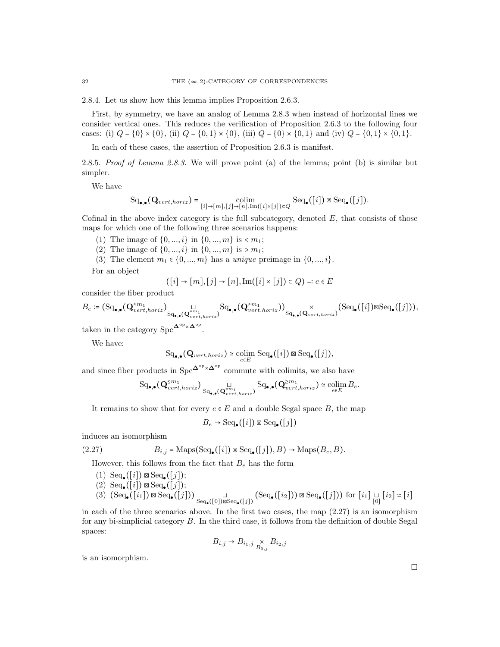2.8.4. Let us show how this lemma implies Proposition 2.6.3.

First, by symmetry, we have an analog of Lemma 2.8.3 when instead of horizontal lines we consider vertical ones. This reduces the verification of Proposition 2.6.3 to the following four cases: (i)  $Q = \{0\} \times \{0\}$ , (ii)  $Q = \{0,1\} \times \{0\}$ , (iii)  $Q = \{0\} \times \{0,1\}$  and (iv)  $Q = \{0,1\} \times \{0,1\}$ .

In each of these cases, the assertion of Proposition 2.6.3 is manifest.

2.8.5. Proof of Lemma 2.8.3. We will prove point (a) of the lemma; point (b) is similar but simpler.

We have

$$
\mathrm{Sq}_{\bullet,\bullet}(\mathbf{Q}_{vert,horiz}) = \underset{[i] \to [m], [j] \to [n], \mathrm{Im}([i] \times [j]) \subset Q}{\mathrm{colim}} \mathrm{Seq}_{\bullet}([i]) \boxtimes \mathrm{Seq}_{\bullet}([j]).
$$

Cofinal in the above index category is the full subcategory, denoted  $E$ , that consists of those maps for which one of the following three scenarios happens:

- (1) The image of  $\{0, ..., i\}$  in  $\{0, ..., m\}$  is  $\langle m_1;$
- (2) The image of  $\{0, ..., i\}$  in  $\{0, ..., m\}$  is > m<sub>1</sub>;
- (3) The element  $m_1 \in \{0, ..., m\}$  has a *unique* preimage in  $\{0, ..., i\}$ .

For an object

$$
([i] \to [m], [j] \to [n], \text{Im}([i] \times [j]) \subset Q) =: e \in E
$$

consider the fiber product

$$
B_e \coloneqq (\mathrm{Sq}_{\bullet,\bullet}(\mathbf{Q}^{\leq m_1}_{vert,horiz})_{\mathrm{Sq}_{\bullet,\bullet}(\mathbf{Q}^{\geq m_1}_{vert,horiz})} \mathrm{Sq}_{\bullet,\bullet}(\mathbf{Q}^{\geq m_1}_{vert,horiz}))_{\mathrm{Sq}_{\bullet,\bullet}(\mathbf{Q}_{vert,horiz})} \times (\mathrm{Seq}_{\bullet}([i]) \boxtimes \mathrm{Seq}_{\bullet}([j])),
$$

taken in the category Spc $\mathbf{\Delta}^{\mathrm{op}} \times \mathbf{\Delta}^{\mathrm{op}}$ .

We have:

$$
\mathrm{Sq}_{\bullet,\bullet}(\mathbf{Q}_{vert,horiz}) \simeq \underset{e \in E}{\mathrm{colim}} \ \mathrm{Seq}_{\bullet}([i]) \boxtimes \mathrm{Seq}_{\bullet}([j]),
$$

and since fiber products in Spc $\Delta^{\rm op} \times \Delta^{\rm op}$  commute with colimits, we also have

$$
\text{Sq}_{\bullet,\bullet}(\mathbf{Q}^{\leq m_1}_{vert,horiz}) \underset{\text{Sq}_{\bullet,\bullet}(\mathbf{Q}^{= m_1}_{vert,horiz})}{\sqcup} \text{Sq}_{\bullet,\bullet}(\mathbf{Q}^{\geq m_1}_{vert,horiz}) \simeq \underset{e \in E}{\text{colim}} \, B_e.
$$

It remains to show that for every  $e \in E$  and a double Segal space B, the map

$$
B_e \to \text{Seq}_{\bullet}([i]) \boxtimes \text{Seq}_{\bullet}([j])
$$

induces an isomorphism

(2.27) 
$$
B_{i,j} = \text{Maps}(\text{Seq}_{\bullet}([i]) \boxtimes \text{Seq}_{\bullet}([j]), B) \to \text{Maps}(B_e, B).
$$

However, this follows from the fact that  $B_e$  has the form

 $(1) \ \text{Seq}_{\bullet}([i]) \boxtimes \text{Seq}_{\bullet}([j]);$  $(2) \ \text{Seq}_{\bullet}([i]) \boxtimes \text{Seq}_{\bullet}([j]);$  $(3)$   $(\text{Seq}_{\bullet}([i_1]) \boxtimes \text{Seq}_{\bullet}([j])) \bigcup_{\text{Seq}_{\bullet}([0]) \boxtimes \text{Seq}_{\bullet}([j])} (\text{Seq}_{\bullet}([i_2])) \boxtimes \text{Seq}_{\bullet}([j]))$  for  $[i_1] \sqcup_{[0]} [i_2] \simeq [i]$ 

in each of the three scenarios above. In the first two cases, the map (2.27) is an isomorphism for any bi-simplicial category B. In the third case, it follows from the definition of double Segal spaces:

$$
B_{i,j} \to B_{i_1,j} \underset{B_{0,j}}{\times} B_{i_2,j}
$$

is an isomorphism.

 $\Box$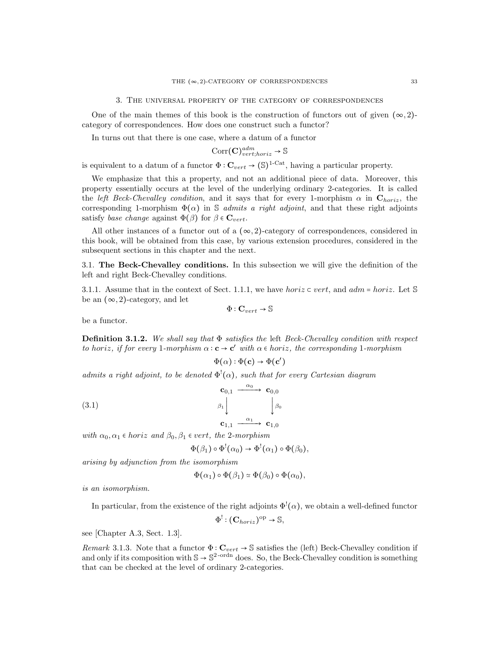One of the main themes of this book is the construction of functors out of given  $(\infty, 2)$ category of correspondences. How does one construct such a functor?

In turns out that there is one case, where a datum of a functor

$$
\text{Corr}(\mathbf{C})^{adm}_{vert;horiz} \to \mathbb{S}
$$

is equivalent to a datum of a functor  $\Phi : \mathbf{C}_{vert} \to (\mathbb{S})^{1-\text{Cat}}$ , having a particular property.

We emphasize that this a property, and not an additional piece of data. Moreover, this property essentially occurs at the level of the underlying ordinary 2-categories. It is called the left Beck-Chevalley condition, and it says that for every 1-morphism  $\alpha$  in  $\mathbf{C}_{horiz}$ , the corresponding 1-morphism  $\Phi(\alpha)$  in S *admits a right adjoint*, and that these right adjoints satisfy base change against  $\Phi(\beta)$  for  $\beta \in \mathbf{C}_{vert}$ .

All other instances of a functor out of a  $(\infty, 2)$ -category of correspondences, considered in this book, will be obtained from this case, by various extension procedures, considered in the subsequent sections in this chapter and the next.

3.1. The Beck-Chevalley conditions. In this subsection we will give the definition of the left and right Beck-Chevalley conditions.

3.1.1. Assume that in the context of Sect. 1.1.1, we have horiz  $\subset$  vert, and  $adm = horiz$ . Let S be an  $(\infty, 2)$ -category, and let

$$
\Phi : \mathbf{C}_{vert} \to \mathbb{S}
$$

be a functor.

**Definition 3.1.2.** We shall say that  $\Phi$  satisfies the left Beck-Chevalley condition with respect to horiz, if for every 1-morphism  $\alpha : \mathbf{c} \to \mathbf{c}'$  with  $\alpha \in \text{horiz}$ , the corresponding 1-morphism

$$
\Phi(\alpha): \Phi(\mathbf{c}) \to \Phi(\mathbf{c}')
$$

admits a right adjoint, to be denoted  $\Phi^{\text{!`}}(\alpha)$ , such that for every Cartesian diagram

(3.1) 
$$
\begin{array}{ccc}\n\mathbf{c}_{0,1} & \xrightarrow{\alpha_0} & \mathbf{c}_{0,0} \\
\beta_1 \downarrow & & \downarrow \beta_0 \\
\mathbf{c}_{1,1} & \xrightarrow{\alpha_1} & \mathbf{c}_{1,0}\n\end{array}
$$

with  $\alpha_0, \alpha_1 \in horiz$  and  $\beta_0, \beta_1 \in vert$ , the 2-morphism

$$
\Phi(\beta_1) \circ \Phi^!(\alpha_0) \to \Phi^!(\alpha_1) \circ \Phi(\beta_0),
$$

arising by adjunction from the isomorphism

$$
\Phi(\alpha_1) \circ \Phi(\beta_1) \simeq \Phi(\beta_0) \circ \Phi(\alpha_0),
$$

is an isomorphism.

In particular, from the existence of the right adjoints  $\Phi^!(\alpha)$ , we obtain a well-defined functor

$$
\Phi^!: (\mathbf{C}_{horiz})^{\mathrm{op}} \to \mathbb{S},
$$

see [Chapter A.3, Sect. 1.3].

Remark 3.1.3. Note that a functor  $\Phi : \mathbf{C}_{vert} \to \mathbb{S}$  satisfies the (left) Beck-Chevalley condition if and only if its composition with  $\mathbb{S} \to \mathbb{S}^2$ -ordn does. So, the Beck-Chevalley condition is something that can be checked at the level of ordinary 2-categories.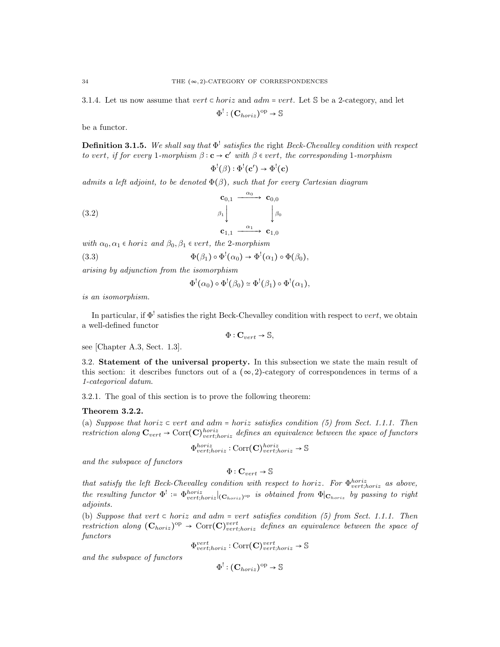3.1.4. Let us now assume that  $vert \subset horiz$  and  $adm = vert$ . Let S be a 2-category, and let

$$
\Phi^! : (\mathbf{C}_{horiz})^{\mathrm{op}} \to \mathbb{S}
$$

be a functor.

**Definition 3.1.5.** We shall say that  $\Phi^!$  satisfies the right Beck-Chevalley condition with respect to vert, if for every 1-morphism  $\beta : \mathbf{c} \to \mathbf{c}'$  with  $\beta \in \text{vert}$ , the corresponding 1-morphism

 $\Phi^!(\beta):\Phi^!(\mathbf{c}')\to\Phi^!(\mathbf{c})$ 

admits a left adjoint, to be denoted  $\Phi(\beta)$ , such that for every Cartesian diagram

(3.2) 
$$
\begin{array}{ccc}\n\mathbf{c}_{0,1} & \xrightarrow{\alpha_0} & \mathbf{c}_{0,0} \\
\beta_1 \downarrow & & \downarrow \beta_0 \\
\mathbf{c}_{1,1} & \xrightarrow{\alpha_1} & \mathbf{c}_{1,0}\n\end{array}
$$

with  $\alpha_0, \alpha_1 \in horiz$  and  $\beta_0, \beta_1 \in vert$ , the 2-morphism<br>(3.3)  $\Phi(\beta_1) \circ \Phi^!(\alpha_0) \to \Phi^!(\alpha_0)$ (3.3)  $\Phi(\beta_1) \circ \Phi^!(\alpha_0) \to \Phi^!(\alpha_1) \circ \Phi(\beta_0),$ 

arising by adjunction from the isomorphism

$$
\Phi^!(\alpha_0) \circ \Phi^!(\beta_0) \simeq \Phi^!(\beta_1) \circ \Phi^!(\alpha_1),
$$

is an isomorphism.

In particular, if  $\Phi^!$  satisfies the right Beck-Chevalley condition with respect to vert, we obtain a well-defined functor

$$
\Phi:\mathbf{C}_{vert}\rightarrow\mathbb{S},
$$

see [Chapter A.3, Sect. 1.3].

3.2. Statement of the universal property. In this subsection we state the main result of this section: it describes functors out of a  $(\infty, 2)$ -category of correspondences in terms of a 1-categorical datum.

3.2.1. The goal of this section is to prove the following theorem:

#### Theorem 3.2.2.

(a) Suppose that horiz  $\subset$  vert and adm = horiz satisfies condition (5) from Sect. 1.1.1. Then restriction along  $\mathbf{C}_{vert} \rightarrow \text{Corr}(\mathbf{C})_{vert;horiz}^{horiz}$  defines an equivalence between the space of functors

$$
\Phi_{vert;horiz}^{horiz} : \text{Corr}(\mathbf{C})_{vert;horiz}^{horiz} \to \mathbb{S}
$$

and the subspace of functors

$$
\Phi : \mathbf{C}_{vert} \to \mathbb{S}
$$

that satisfy the left Beck-Chevalley condition with respect to horiz. For  $\Phi_{vert;horiz}^{horiz}$  as above, the resulting functor  $\Phi^!$  :=  $\Phi_{vert;horiz}^{horiz}|_{(\mathbf{C}_{horiz})^{\text{op}}}$  is obtained from  $\Phi|_{\mathbf{C}_{horiz}}$  by passing to right adjoints.

(b) Suppose that vert  $\subset$  horiz and adm = vert satisfies condition (5) from Sect. 1.1.1. Then restriction along  $(C_{horiz})^{\text{op}} \rightarrow \text{Corr}(C)_{vert; horiz}^{vert}$  defines an equivalence between the space of functors

 $\Phi_{vert;horiz}^{vert} : \text{Corr}(\mathbf{C})_{vert;horiz}^{vert} \rightarrow \mathbb{S}$ 

and the subspace of functors

$$
\Phi^!: (\mathbf{C}_{horiz})^{\mathrm{op}} \to \mathbb{S}
$$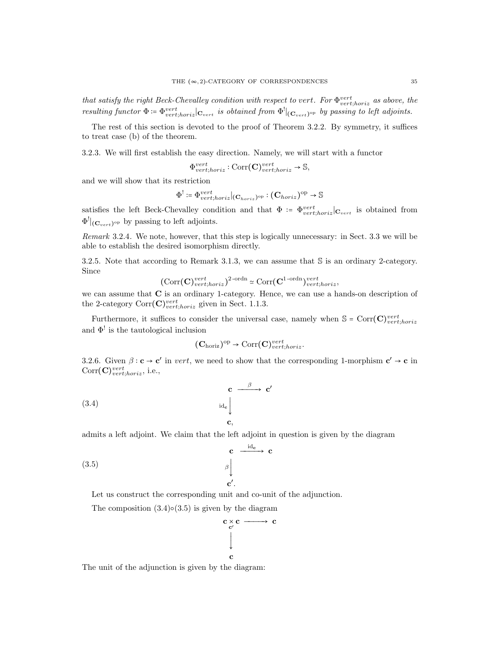that satisfy the right Beck-Chevalley condition with respect to vert. For  $\Phi_{vert;horiz}^{vert}$  as above, the resulting functor  $\Phi = \Phi_{vert;horiz}^{vert} |_{\mathbf{C}_{vert}}$  is obtained from  $\Phi^{\text{!}}|_{(\mathbf{C}_{vert})^{\text{op}}}$  by passing to left adjoints.

The rest of this section is devoted to the proof of Theorem 3.2.2. By symmetry, it suffices to treat case (b) of the theorem.

3.2.3. We will first establish the easy direction. Namely, we will start with a functor

$$
\Phi_{vert;horiz}^{vert}: \text{Corr}(\mathbf{C})_{vert;horiz}^{vert} \to \mathbb{S},
$$

and we will show that its restriction

$$
\Phi^! := \Phi_{vert,horiz}^{vert}|_{(\mathbf{C}_{horiz})^{\mathrm{op}}} : (\mathbf{C}_{horiz})^{\mathrm{op}} \to \mathbb{S}
$$

satisfies the left Beck-Chevalley condition and that  $\Phi = \Phi_{vert,horiz}^{vert} |_{\mathbf{C}_{vert}}$  is obtained from  $\Phi^!|_{(\mathbf{C}_{vert})^\text{op}}$  by passing to left adjoints.

Remark 3.2.4. We note, however, that this step is logically unnecessary: in Sect. 3.3 we will be able to establish the desired isomorphism directly.

3.2.5. Note that according to Remark 3.1.3, we can assume that S is an ordinary 2-category. Since

$$
(\text{Corr}(\mathbf{C})_{vert,horiz}^{vert})^{2\text{-ordn}} \simeq \text{Corr}(\mathbf{C}^{1\text{-ordn}})_{vert,horiz}^{vert}
$$

we can assume that **C** is an ordinary 1-category. Hence, we can use a hands-on description of the 2-category  $Corr(\mathbf{C})_{vert,horiz}^{vert}$  given in Sect. 1.1.3.

Furthermore, it suffices to consider the universal case, namely when  $\mathbb{S} = \text{Corr}(\mathbf{C})_{vert, horiz}^{vert}$ and  $\Phi^!$  is the tautological inclusion

$$
(\mathbf{C}_{\text{horiz}})^{\text{op}} \to \text{Corr}(\mathbf{C})_{\text{vert;horiz}}^{\text{vert}}.
$$

3.2.6. Given  $\beta : \mathbf{c} \to \mathbf{c}'$  in vert, we need to show that the corresponding 1-morphism  $\mathbf{c}' \to \mathbf{c}$  in  $Corr(\mathbf{C})_{vert;horiz}^{vert}$ , i.e.,

(3.4) 
$$
\begin{array}{c}\n\mathbf{c} \longrightarrow \mathbf{c'}\\
\downarrow \\
\mathbf{c},\n\end{array}
$$

admits a left adjoint. We claim that the left adjoint in question is given by the diagram

(3.5) 
$$
\begin{array}{c}\n \mathbf{c} \xrightarrow{\text{id}_{\mathbf{c}}} \mathbf{c} \\
 \downarrow \\
 \mathbf{c'}.\n \end{array}
$$

Let us construct the corresponding unit and co-unit of the adjunction.

The composition  $(3.4) \circ (3.5)$  is given by the diagram



The unit of the adjunction is given by the diagram: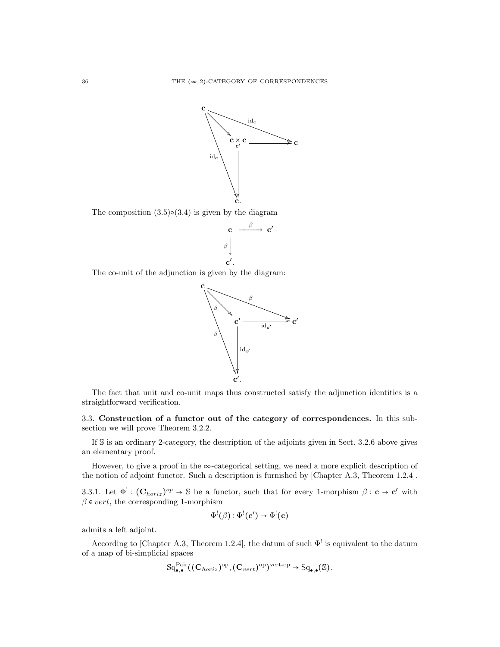

The composition  $(3.5) \circ (3.4)$  is given by the diagram



The co-unit of the adjunction is given by the diagram:



The fact that unit and co-unit maps thus constructed satisfy the adjunction identities is a straightforward verification.

3.3. Construction of a functor out of the category of correspondences. In this subsection we will prove Theorem 3.2.2.

If S is an ordinary 2-category, the description of the adjoints given in Sect. 3.2.6 above gives an elementary proof.

However, to give a proof in the  $\infty$ -categorical setting, we need a more explicit description of the notion of adjoint functor. Such a description is furnished by [Chapter A.3, Theorem 1.2.4].

3.3.1. Let  $\Phi^! : (\mathbf{C}_{horiz})^{op} \to \mathbb{S}$  be a functor, such that for every 1-morphism  $\beta : \mathbf{c} \to \mathbf{c}'$  with  $\beta \in vert$ , the corresponding 1-morphism

$$
\Phi^!(\beta) : \Phi^!(\mathbf{c}') \to \Phi^!(\mathbf{c})
$$

admits a left adjoint.

According to [Chapter A.3, Theorem 1.2.4], the datum of such  $\Phi^!$  is equivalent to the datum of a map of bi-simplicial spaces

$$
\mathrm{Sq}_{\bullet,\bullet}^{\mathrm{Pair}}((\mathbf{C}_{horiz})^{\mathrm{op}},(\mathbf{C}_{vert})^{\mathrm{op}})^{\mathrm{vert}\mathrm{-op}} \to \mathrm{Sq}_{\bullet,\bullet}(\mathbb{S}).
$$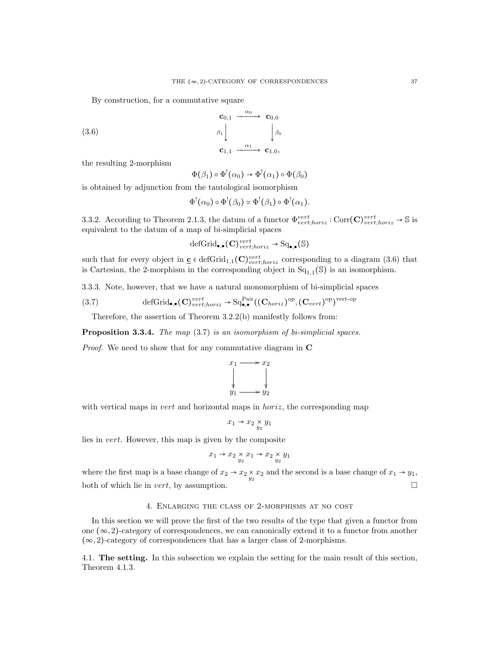By construction, for a commutative square

$$
\begin{array}{ccc}\n\mathbf{c}_{0,1} & \xrightarrow{\alpha_0} & \mathbf{c}_{0,0} \\
\beta_1 \downarrow & & \downarrow \beta_0 \\
\mathbf{c}_{1,1} & \xrightarrow{\alpha_1} & \mathbf{c}_{1,0},\n\end{array}
$$

the resulting 2-morphism

(3.6)

$$
\Phi(\beta_1) \circ \Phi^! (\alpha_0) \to \Phi^! (\alpha_1) \circ \Phi(\beta_0)
$$

is obtained by adjunction from the tautological isomorphism

$$
\Phi^!(\alpha_0) \circ \Phi^!(\beta_0) \simeq \Phi^!(\beta_1) \circ \Phi^!(\alpha_1).
$$

3.3.2. According to Theorem 2.1.3, the datum of a functor  $\Phi_{vert,horiz}^{vert}$ : Corr $(\mathbf{C})_{vert,horiz}^{vert} \rightarrow \mathbb{S}$  is equivalent to the datum of a map of bi-simplicial spaces

$$
\mathrm{defGrid}_{\bullet,\bullet}(\mathbf{C})^{vert}_{vert,horiz} \to \mathrm{Sq}_{\bullet,\bullet}(\mathbb{S})
$$

such that for every object in  $\underline{\mathbf{c}} \in \text{defGrid}_{1,1}(\mathbf{C})_{vert,horiz}^{vert}$  corresponding to a diagram (3.6) that is Cartesian, the 2-morphism in the corresponding object in  $Sq_{1,1}(\mathbb{S})$  is an isomorphism.

3.3.3. Note, however, that we have a natural monomorphism of bi-simplicial spaces

(3.7) 
$$
\text{defGrid}_{\bullet,\bullet}(\mathbf{C})^{vert}_{vert,horiz} \to \text{Sq}^{\text{Pair}}_{\bullet,\bullet}((\mathbf{C}_{horiz})^{\text{op}}, (\mathbf{C}_{vert})^{\text{op}})^{\text{vert-op}}
$$

Therefore, the assertion of Theorem 3.2.2(b) manifestly follows from:

Proposition 3.3.4. The map (3.7) is an isomorphism of bi-simplicial spaces.

Proof. We need to show that for any commutative diagram in C



with vertical maps in *vert* and horizontal maps in  $horiz$ , the corresponding map

$$
x_1 \to x_2 \underset{y_2}{\times} y_1
$$

lies in vert. However, this map is given by the composite

$$
x_1 \to x_2 \underset{y_2}{\times} x_1 \to x_2 \underset{y_2}{\times} y_1
$$

where the first map is a base change of  $x_2 \to x_2 \times x_2$  and the second is a base change of  $x_1 \to y_1$ , both of which lie in *vert*, by assumption.  $\square$ 

#### 4. Enlarging the class of 2-morphisms at no cost

In this section we will prove the first of the two results of the type that given a functor from one  $(\infty, 2)$ -category of correspondences, we can canonically extend it to a functor from another  $(\infty, 2)$ -category of correspondences that has a larger class of 2-morphisms.

4.1. The setting. In this subsection we explain the setting for the main result of this section, Theorem 4.1.3.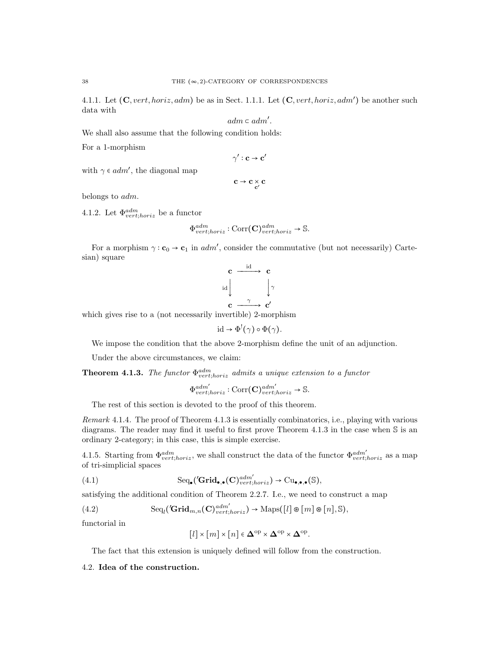4.1.1. Let  $(C, vert, horiz, adm)$  be as in Sect. 1.1.1. Let  $(C, vert, horiz, adm')$  be another such data with

$$
adm\subset adm'.
$$

We shall also assume that the following condition holds:

For a 1-morphism

$$
\gamma':\mathbf{c}\to\mathbf{c}'
$$

$$
c \to c \underset{c'}{\times} c
$$

belongs to adm.

4.1.2. Let  $\Phi^{adm}_{vert;horiz}$  be a functor

with  $\gamma \in adm'$ , the diagonal map

$$
\Phi^{adm}_{vert;horiz} : \text{Corr}(\mathbf{C})^{adm}_{vert;horiz} \to \mathbb{S}.
$$

For a morphism  $\gamma : \mathbf{c}_0 \to \mathbf{c}_1$  in *adm'*, consider the commutative (but not necessarily) Cartesian) square

$$
\begin{array}{ccc}\n\mathbf{c} & \xrightarrow{\text{id}} & \mathbf{c} \\
\downarrow{\text{id}} & & \downarrow{\gamma} \\
\mathbf{c} & \xrightarrow{\gamma} & \mathbf{c}'\n\end{array}
$$

which gives rise to a (not necessarily invertible) 2-morphism

$$
\mathrm{id} \to \Phi^!(\gamma) \circ \Phi(\gamma).
$$

We impose the condition that the above 2-morphism define the unit of an adjunction.

Under the above circumstances, we claim:

**Theorem 4.1.3.** The functor  $\Phi_{vert;horiz}^{adm}$  admits a unique extension to a functor

$$
\Phi_{vert,horiz}^{adm'} : \text{Corr}(\mathbf{C})_{vert,horiz}^{adm'} \to \mathbb{S}.
$$

The rest of this section is devoted to the proof of this theorem.

Remark 4.1.4. The proof of Theorem 4.1.3 is essentially combinatorics, i.e., playing with various diagrams. The reader may find it useful to first prove Theorem 4.1.3 in the case when S is an ordinary 2-category; in this case, this is simple exercise.

4.1.5. Starting from  $\Phi_{vert;horiz}^{adm}$ , we shall construct the data of the functor  $\Phi_{vert;horiz}^{adm'}$  as a map of tri-simplicial spaces

(4.1) 
$$
\mathrm{Seq}_{\bullet}(\mathbf{Grid}_{\bullet,\bullet}(\mathbf{C})^{adm'}_{vert;horiz}) \to \mathrm{Cu}_{\bullet,\bullet,\bullet}(\mathbb{S}),
$$

satisfying the additional condition of Theorem 2.2.7. I.e., we need to construct a map

(4.2) 
$$
\mathrm{Seq}_{l}(\mathbf{Grid}_{m,n}(\mathbf{C})^{adm'}_{vert;loriz}) \to \mathrm{Maps}([l] \otimes [m] \otimes [n], \mathbb{S}),
$$

functorial in

$$
[l] \times [m] \times [n] \in \mathbf{\Delta}^{\mathrm{op}} \times \mathbf{\Delta}^{\mathrm{op}} \times \mathbf{\Delta}^{\mathrm{op}}.
$$

The fact that this extension is uniquely defined will follow from the construction.

#### 4.2. Idea of the construction.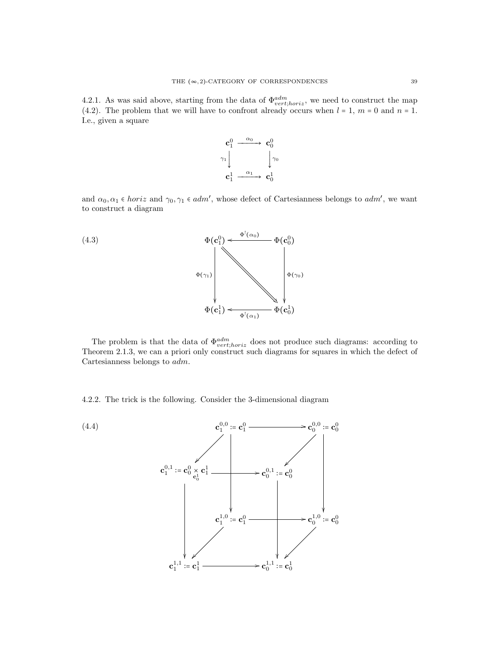4.2.1. As was said above, starting from the data of  $\Phi_{vert,horiz}^{adm}$ , we need to construct the map (4.2). The problem that we will have to confront already occurs when  $l = 1, m = 0$  and  $n = 1$ . I.e., given a square



and  $\alpha_0, \alpha_1 \in \text{horiz}$  and  $\gamma_0, \gamma_1 \in \text{adm}'$ , whose defect of Cartesianness belongs to  $\text{adm}'$ , we want to construct a diagram



The problem is that the data of  $\Phi_{vert;horiz}^{adm}$  does not produce such diagrams: according to Theorem 2.1.3, we can a priori only construct such diagrams for squares in which the defect of Cartesianness belongs to adm.

4.2.2. The trick is the following. Consider the 3-dimensional diagram

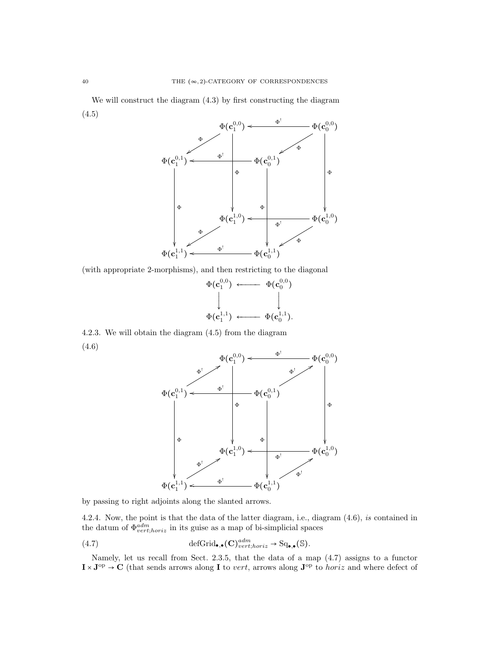We will construct the diagram (4.3) by first constructing the diagram (4.5)



(with appropriate 2-morphisms), and then restricting to the diagonal



4.2.3. We will obtain the diagram (4.5) from the diagram (4.6)



by passing to right adjoints along the slanted arrows.

4.2.4. Now, the point is that the data of the latter diagram, i.e., diagram (4.6), is contained in the datum of  $\Phi_{vert;horiz}^{adm}$  in its guise as a map of bi-simplicial spaces

(4.7) 
$$
\text{defGrid}_{\bullet,\bullet}(\mathbf{C})^{adm}_{vert;horiz} \to \text{Sq}_{\bullet,\bullet}(\mathbb{S}).
$$

Namely, let us recall from Sect. 2.3.5, that the data of a map (4.7) assigns to a functor  $I \times J^{\text{op}} \to C$  (that sends arrows along  $I$  to *vert*, arrows along  $J^{\text{op}}$  to *horiz* and where defect of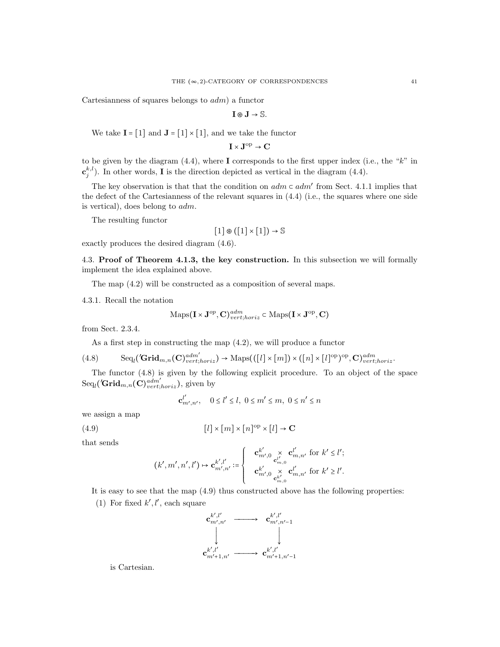Cartesianness of squares belongs to  $adm$ ) a functor

 $I \otimes J \rightarrow \mathbb{S}$ .

We take  $I = [1]$  and  $J = [1] \times [1]$ , and we take the functor

 $I \times J^{\text{op}} \to C$ 

to be given by the diagram  $(4.4)$ , where I corresponds to the first upper index (i.e., the "k" in  $\mathbf{c}_{j}^{k,l}$ ). In other words, **I** is the direction depicted as vertical in the diagram (4.4).

The key observation is that that the condition on  $adm \subset adm'$  from Sect. 4.1.1 implies that the contribution of the Contribution on a fit the contract of the Contribution on a fit of the contract of the Contract on  $\mathbb{R}$ . the defect of the Cartesianness of the relevant squares in (4.4) (i.e., the squares where one side is vertical), does belong to adm.

The resulting functor

$$
[1]\circledast ([1]\times [1])\to \mathbb{S}
$$

exactly produces the desired diagram (4.6).

4.3. Proof of Theorem 4.1.3, the key construction. In this subsection we will formally implement the idea explained above.

The map (4.2) will be constructed as a composition of several maps.

4.3.1. Recall the notation

$$
\mathrm{Maps}(\mathbf{I} \times \mathbf{J}^{op}, \mathbf{C})^{adm}_{vert;horiz} \subset \mathrm{Maps}(\mathbf{I} \times \mathbf{J}^{op}, \mathbf{C})
$$

from Sect. 2.3.4.

As a first step in constructing the map (4.2), we will produce a functor

$$
(4.8) \qquad \text{Seq}_{l}(\text{Grid}_{m,n}(\mathbf{C})^{adm'}_{vert,loriz}) \to \text{Maps}(([l] \times [m]) \times ([n] \times [l]^{\text{op}})^{\text{op}}, \mathbf{C})^{adm}_{vert;loriz}.
$$

The functor (4.8) is given by the following explicit procedure. To an object of the space  $\text{Seq}_l(\mathbf{Grid}_{m,n}(\mathbf{C})^{adm'}_{vert;horiz}),$  given by

$$
\mathbf{c}_{m',n'}^{l'}, \quad 0 \le l' \le l, \ 0 \le m' \le m, \ 0 \le n' \le n
$$

we assign a map

(4.9) 
$$
[l] \times [m] \times [n]^{\text{op}} \times [l] \to \mathbf{C}
$$

that sends

$$
(k', m', n', l') \mapsto \mathbf{c}_{m', n'}^{k', l'} \coloneqq \left\{ \begin{array}{c} \mathbf{c}_{m', 0}^{k'} \underset{\mathbf{c}_{m, 0}^{l'}}{\times} \mathbf{c}_{m, n'}^{l'} \text{ for } k' \leq l';\\ \mathbf{c}_{m', 0}^{k'} \underset{\mathbf{c}_{m, 0}^{k'}}{\times} \mathbf{c}_{m, n'}^{l'} \text{ for } k' \geq l'. \end{array} \right.
$$

It is easy to see that the map (4.9) thus constructed above has the following properties:

(1) For fixed  $k', l'$ , each square



is Cartesian.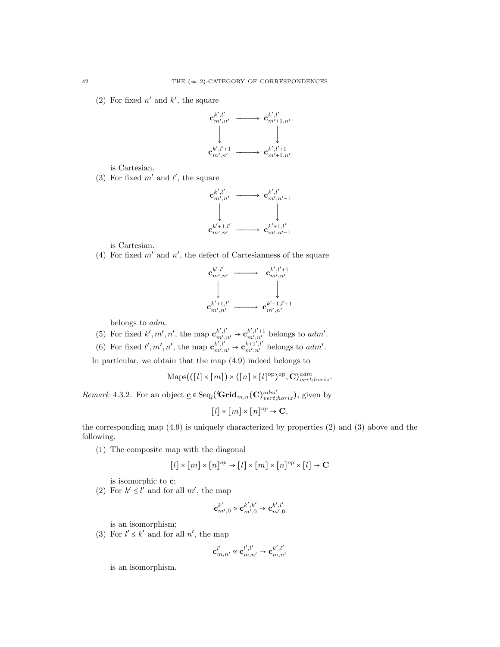(2) For fixed  $n'$  and  $k'$ , the square



is Cartesian.

(3) For fixed  $m'$  and  $l'$ , the square



is Cartesian.

(4) For fixed  $m'$  and  $n'$ , the defect of Cartesianness of the square



belongs to adm.

(5) For fixed  $k', m', n'$ , the map  $\mathbf{c}_{m',n'}^{k',l'} \to \mathbf{c}_{m',n'}^{k',l'+1}$  belongs to  $adm'.$ 

(6) For fixed  $l', m', n'$ , the map  $\mathbf{c}_{m',n'}^{k',l'} \rightarrow \mathbf{c}_{m',n'}^{k+1',l'}$  belongs to *adm'*.

In particular, we obtain that the map (4.9) indeed belongs to

$$
\mathrm{Maps}(([l] \times [m]) \times ([n] \times [l]^{\mathrm{op}})^{\mathrm{op}}, \mathbf{C})_{vert; horiz}^{adm}.
$$

*Remark* 4.3.2. For an object  $\underline{\mathbf{c}} \in \text{Seq}_{l}(\mathbf{Grid}_{m,n}(\mathbf{C})_{vert,loriz}^{adm'})$ , given by

$$
[l] \times [m] \times [n]^{op} \to \mathbf{C},
$$

the corresponding map (4.9) is uniquely characterized by properties (2) and (3) above and the following.

(1) The composite map with the diagonal

$$
[l] \times [m] \times [n]^{op} \to [l] \times [m] \times [n]^{op} \times [l] \to \mathbf{C}
$$

is isomorphic to c;

(2) For  $k' \le l'$  and for all  $m'$ , the map

$$
\mathbf{c}_{m',0}^{k'} \simeq \mathbf{c}_{m',0}^{k',k'} \to \mathbf{c}_{m',0}^{k',l'}
$$

is an isomorphism;

(3) For  $l' \leq k'$  and for all  $n'$ , the map

$$
\mathbf{c}_{m,n'}^{l'}\simeq\mathbf{c}_{m,n'}^{l',l'}\rightarrow\mathbf{c}_{m,n'}^{k',l'}
$$

is an isomorphism.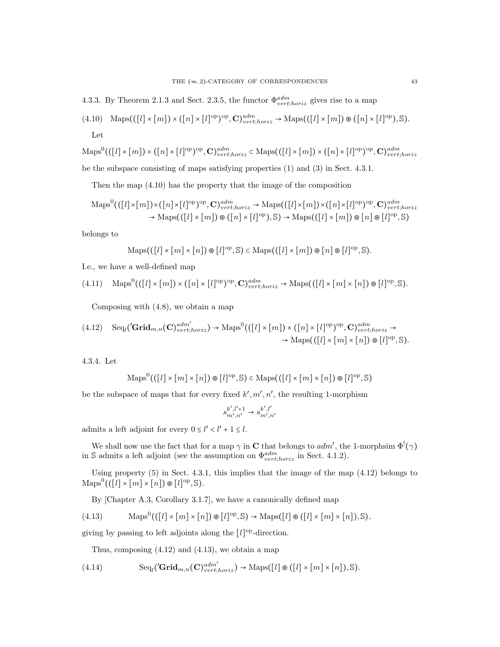4.3.3. By Theorem 2.1.3 and Sect. 2.3.5, the functor  $\Phi_{vert,horiz}^{adm}$  gives rise to a map

(4.10) 
$$
\text{Maps}(([l] \times [m]) \times ([n] \times [l]^{\text{op}})^{\text{op}}, \mathbf{C})^{adm}_{vert;horiz} \to \text{Maps}(([l] \times [m]) \otimes ([n] \times [l]^{\text{op}}), \mathbb{S}).
$$
  
Let

 $\mathrm{Maps}^{0}(([l] \times [m]) \times ([n] \times [l]^{\mathrm{op}})^{\mathrm{op}}, \mathbf{C})^{adm}_{vert;horiz} \subset \mathrm{Maps}(([l] \times [m]) \times ([n] \times [l]^{\mathrm{op}})^{\mathrm{op}}, \mathbf{C})^{adm}_{vert;horiz}$ be the subspace consisting of maps satisfying properties (1) and (3) in Sect. 4.3.1.

Then the map (4.10) has the property that the image of the composition

$$
\mathrm{Maps}^{0}(([l] \times [m]) \times ([n] \times [l]^{\mathrm{op}})^{\mathrm{op}}, \mathbf{C})_{vert; horiz}^{adm} \rightarrow \mathrm{Maps}(([l] \times [m]) \times ([n] \times [l]^{\mathrm{op}})^{\mathrm{op}}, \mathbf{C})_{vert; horiz}^{adm}
$$

$$
\rightarrow \mathrm{Maps}(([l] \times [m]) \otimes ([n] \times [l]^{\mathrm{op}}), \mathbb{S}) \rightarrow \mathrm{Maps}(([l] \times [m]) \otimes [n] \otimes [l]^{\mathrm{op}}, \mathbb{S})
$$

belongs to

$$
\operatorname{Maps}((\left[l\right] \times \left[m\right] \times \left[n\right]) \circledast \left[l\right]^{\mathrm{op}}, \mathbb{S}) \subset \operatorname{Maps}((\left[l\right] \times \left[m\right]) \circledast \left[n\right] \circledast \left[l\right]^{\mathrm{op}}, \mathbb{S}).
$$

I.e., we have a well-defined map

$$
(4.11)\quad \operatorname{Maps}^0(([l] \times [m]) \times ([n] \times [l]^{\text{op}})^{\text{op}}, \mathbf{C})^{adm}_{vert, horiz} \to \operatorname{Maps}(([l] \times [m] \times [n]) \otimes [l]^{\text{op}}, \mathbb{S}).
$$

Composing with (4.8), we obtain a map

$$
(4.12) \quad \text{Seq}_{l}(\mathbf{Grid}_{m,n}(\mathbf{C})^{adm'}_{vert,loriz}) \to \text{Maps}^{0}(([l] \times [m]) \times ([n] \times [l]^{\text{op}})^{\text{op}}, \mathbf{C})^{adm}_{vert;horiz} \to \\ \rightarrow \text{Maps}(([l] \times [m] \times [n]) \otimes [l]^{\text{op}}, \mathbb{S}).
$$

4.3.4. Let

$$
\mathrm{Maps}^{0}((\left[l\right] \times \left[m\right] \times \left[n\right]) \circledast \left[l\right]^{op}, \mathbb{S}) \subset \mathrm{Maps}((\left[l\right] \times \left[m\right] \times \left[n\right]) \circledast \left[l\right]^{op}, \mathbb{S})
$$

be the subspace of maps that for every fixed  $k', m', n'$ , the resulting 1-morphism

$$
s_{m',n'}^{k',l'+1}\rightarrow s_{m',n'}^{k',l'}
$$

admits a left adjoint for every  $0 \le l' < l' + 1 \le l$ .

We shall now use the fact that for a map  $\gamma$  in **C** that belongs to *adm'*, the 1-morphsim  $\Phi^!(\gamma)$ in S admits a left adjoint (see the assumption on  $\Phi_{vert;horiz}^{adm}$  in Sect. 4.1.2).

Using property  $(5)$  in Sect. 4.3.1, this implies that the image of the map  $(4.12)$  belongs to  $\mathrm{Maps}^0((\llbracket l\rrbracket \times \llbracket m \rrbracket \times \llbracket n \rrbracket) \circledast \llbracket l \rrbracket^{\mathrm{op}}, \mathbb{S}).$ 

By [Chapter A.3, Corollary 3.1.7], we have a canonically defined map

(4.13) 
$$
\operatorname{Maps}^{0}(([l] \times [m] \times [n]) \otimes [l]^{op}, \mathbb{S}) \to \operatorname{Maps}([l] \otimes ([l] \times [m] \times [n]), \mathbb{S}),
$$

giving by passing to left adjoints along the  $[l]^{\text{op}}$ -direction.

Thus, composing  $(4.12)$  and  $(4.13)$ , we obtain a map

(4.14) 
$$
\mathrm{Seq}_{l}(\mathbf{Grid}_{m,n}(\mathbf{C})_{vert,loriz}^{adm'}) \rightarrow \mathrm{Maps}([l] \otimes ([l] \times [m] \times [n]), \mathbb{S}).
$$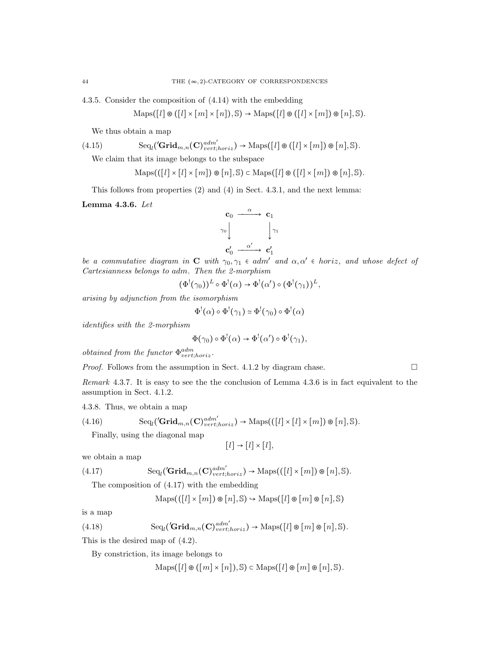4.3.5. Consider the composition of (4.14) with the embedding

$$
Maps([l] \otimes ([l] \times [m] \times [n]), \mathbb{S}) \to Maps([l] \otimes ([l] \times [m]) \otimes [n], \mathbb{S}).
$$

We thus obtain a map

(4.15) 
$$
\text{Seq}_l(\mathbf{Grid}_{m,n}(\mathbf{C})_{vert,loriz}^{adm'}) \to \text{Maps}([l] \otimes ([l] \times [m]) \otimes [n], \mathbb{S}).
$$

We claim that its image belongs to the subspace

$$
Maps(([l] \times [l] \times [m]) \otimes [n], \mathbb{S}) \subset Maps([l] \otimes ([l] \times [m]) \otimes [n], \mathbb{S}).
$$

This follows from properties (2) and (4) in Sect. 4.3.1, and the next lemma:

Lemma 4.3.6. Let



be a commutative diagram in C with  $\gamma_0, \gamma_1 \in \text{adm}'$  and  $\alpha, \alpha' \in \text{horiz}$ , and whose defect of Cartesianness belongs to adm. Then the 2-morphism

$$
(\Phi^!(\gamma_0))^L \circ \Phi^!(\alpha) \to \Phi^!(\alpha') \circ (\Phi^!(\gamma_1))^L,
$$

arising by adjunction from the isomorphism

$$
\Phi^!(\alpha) \circ \Phi^!(\gamma_1) \simeq \Phi^!(\gamma_0) \circ \Phi^!(\alpha)
$$

identifies with the 2-morphism

$$
\Phi(\gamma_0) \circ \Phi^!(\alpha) \to \Phi^!(\alpha') \circ \Phi^!(\gamma_1),
$$

*obtained from the functor*  $\Phi_{vert,horiz}^{adm}$ .

*Proof.* Follows from the assumption in Sect. 4.1.2 by diagram chase.  $\square$ 

Remark 4.3.7. It is easy to see the the conclusion of Lemma 4.3.6 is in fact equivalent to the assumption in Sect. 4.1.2.

4.3.8. Thus, we obtain a map

(4.16) 
$$
\mathrm{Seq}_{l}(\mathbf{Grid}_{m,n}(\mathbf{C})_{vert,loriz}^{adm'}) \rightarrow \mathrm{Maps}(([l] \times [l] \times [m]) \otimes [n], \mathbb{S}).
$$

Finally, using the diagonal map

$$
[l] \to [l] \times [l],
$$

we obtain a map

(4.17) 
$$
\mathrm{Seq}_{l}(\mathbf{Grid}_{m,n}(\mathbf{C})_{vert,horiz}^{adm'}) \rightarrow \mathrm{Maps}(([l] \times [m]) \otimes [n], \mathbb{S}).
$$

The composition of (4.17) with the embedding

$$
Maps(([l] \times [m]) \otimes [n], \mathbb{S}) \hookrightarrow \mathrm{Maps}([l] \otimes [m] \otimes [n], \mathbb{S})
$$

is a map

(4.18) 
$$
\mathrm{Seq}_{l}(\mathbf{Grid}_{m,n}(\mathbf{C})^{adm'}_{vert;loriz}) \rightarrow \mathrm{Maps}([l] \otimes [m] \otimes [n], \mathbb{S}).
$$

This is the desired map of (4.2).

By constriction, its image belongs to

 $\text{Maps}([l] \otimes ([m] \times [n]), \mathbb{S}) \subset \text{Maps}([l] \otimes [m] \otimes [n], \mathbb{S}).$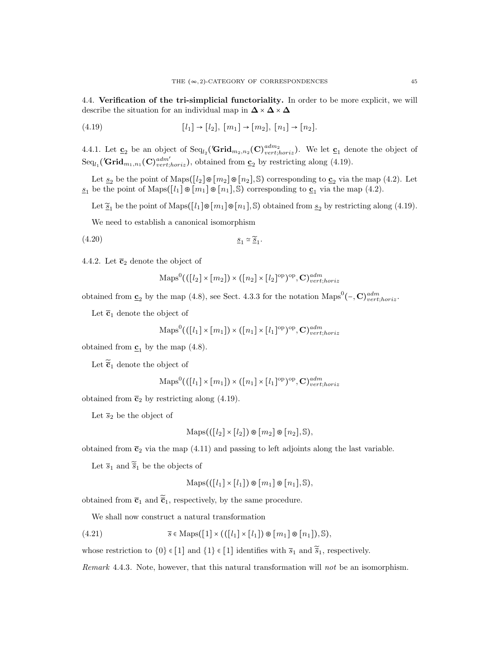4.4. Verification of the tri-simplicial functoriality. In order to be more explicit, we will describe the situation for an individual map in  $\Delta \times \Delta \times \Delta$ 

(4.19) 
$$
[l_1] \to [l_2], [m_1] \to [m_2], [n_1] \to [n_2].
$$

4.4.1. Let  $\underline{\mathbf{c}}_2$  be an object of  $\text{Seq}_{l_2}(\mathbf{Grid}_{m_2,n_2}(\mathbf{C})^{adm_2}_{vert,loriz})$ . We let  $\underline{\mathbf{c}}_1$  denote the object of  $Seq_{l_1}$ ('Grid<sub>m<sub>1,n1</sub></sub>(C)<sup>*ddm'*</sup><sub>vert;horiz</sub>), obtained from  $\underline{c}_2$  by restricting along (4.19).

Let  $s_2$  be the point of Maps( $\left[\ell_2\right] \otimes \left[m_2\right] \otimes \left[n_2\right]$ , S) corresponding to  $c_2$  via the map (4.2). Let  $\underline{s}_1$  be the point of Maps( $\overline{\left[l_1\right]}\otimes \overline{\left[m_1\right]}\otimes \overline{\left[n_1\right]}, \mathbb{S}$ ) corresponding to  $\underline{\mathbf{c}}_1$  via the map (4.2).

Let  $\tilde{\underline{s}}_1$  be the point of Maps( $[l_1] \otimes [m_1] \otimes [n_1], \mathbb{S}$ ) obtained from  $\underline{s}_2$  by restricting along (4.19).

We need to establish a canonical isomorphism

(4.20) s<sup>1</sup> <sup>≃</sup> ̃s<sup>1</sup> .

4.4.2. Let  $\overline{c}_2$  denote the object of

$$
\mathrm{Maps}^{0}(([l_2] \times [m_2]) \times ([n_2] \times [l_2]^{\mathrm{op}})^{\mathrm{op}}, \mathbf{C})^{adm}_{vert;horiz}
$$

obtained from  $\underline{\mathbf{c}}_2$  by the map (4.8), see Sect. 4.3.3 for the notation Maps<sup>0</sup>(-,  $\mathbf{C}$ )<sup>adm</sup><sub>vert;horiz</sub>.

Let  $\bar{c}_1$  denote the object of

$$
\mathrm{Maps}^{0}(([l_{1}]\times[m_{1}])\times([n_{1}]\times[l_{1}]^{\mathrm{op}})^{\mathrm{op}},\mathbf{C})_{vert;horiz}^{adm}
$$

obtained from  $\underline{\mathbf{c}}_1$  by the map (4.8).

Let  $\tilde{\bar{c}}_1$  denote the object of

$$
\mathrm{Maps}^{0}(([l_{1}]\times[m_{1}])\times([n_{1}]\times[l_{1}]^{\mathrm{op}})^{\mathrm{op}},\mathbf{C})_{vert;loriz}^{adm}
$$

obtained from  $\bar{c}_2$  by restricting along (4.19).

Let  $\overline{s}_2$  be the object of

$$
Maps(([l_2] \times [l_2]) \otimes [m_2] \otimes [n_2], \mathbb{S}),
$$

obtained from  $\bar{c}_2$  via the map (4.11) and passing to left adjoints along the last variable.

Let  $\overline{s}_1$  and  $\overline{\widetilde{s}}_1$  be the objects of

$$
Maps(([l_1] \times [l_1]) \otimes [m_1] \otimes [n_1], \mathbb{S}),
$$

obtained from  $\bar{c}_1$  and  $\tilde{\bar{c}}_1$ , respectively, by the same procedure.

We shall now construct a natural transformation

(4.21) 
$$
\overline{s} \in \text{Maps}([1] \times (([l_1] \times [l_1]) \otimes [m_1] \otimes [n_1]), \mathbb{S}),
$$

whose restriction to  $\{0\} \in [1]$  and  $\{1\} \in [1]$  identifies with  $\overline{s}_1$  and  $\widetilde{\overline{s}}_1,$  respectively.

Remark 4.4.3. Note, however, that this natural transformation will not be an isomorphism.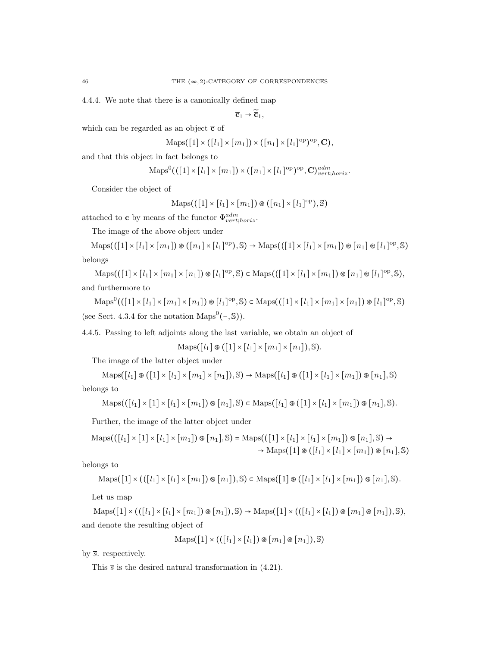4.4.4. We note that there is a canonically defined map

 $\overline{\mathbf{c}}_1 \rightarrow \widetilde{\overline{\mathbf{c}}}_1,$ 

which can be regarded as an object  $\bar{c}$  of

$$
\operatorname{Maps}([1] \times ([l_1] \times [m_1]) \times ([n_1] \times [l_1]^\mathrm{op})^\mathrm{op}, \mathbf{C}),
$$

and that this object in fact belongs to

$$
\mathrm{Maps}^{0}(([1] \times [l_1] \times [m_1]) \times ([n_1] \times [l_1]^{\mathrm{op}})^{\mathrm{op}}, \mathbf{C})^{adm}_{vert;horiz}.
$$

Consider the object of

$$
Maps(([1] \times [l_1] \times [m_1]) \otimes ([n_1] \times [l_1]^{op}), \mathbb{S})
$$

attached to  $\bar{c}$  by means of the functor  $\Phi^{adm}_{vert;horiz}$ .

The image of the above object under

 $\text{Maps}(([1] \times [l_1] \times [m_1]) \otimes ([n_1] \times [l_1]^{op}), \mathbb{S}) \to \text{Maps}(([1] \times [l_1] \times [m_1]) \otimes [n_1] \otimes [l_1]^{op}, \mathbb{S})$ belongs

 $\text{Maps}(([1] \times [l_1] \times [m_1] \times [n_1]) \otimes [l_1]^\text{op}, \mathbb{S}) \subset \text{Maps}(([1] \times [l_1] \times [m_1]) \otimes [n_1] \otimes [l_1]^\text{op}, \mathbb{S}),$ and furthermore to

 $\operatorname{Maps}^0((\begin{bmatrix}1\end{bmatrix}\times\begin{bmatrix}n_1\end{bmatrix}\times\begin{bmatrix}m_1\end{bmatrix}\times\begin{bmatrix}n_1\end{bmatrix})\otimes\begin{bmatrix}l_1\end{bmatrix}^{\mathrm{op}},\mathbb{S})\subset\operatorname{Maps}((\begin{bmatrix}1\end{bmatrix}\times\begin{bmatrix}l_1\end{bmatrix}\times\begin{bmatrix}m_1\end{bmatrix}\times\begin{bmatrix}n_1\end{bmatrix})\otimes\begin{bmatrix}l_1\end{bmatrix}^{\mathrm{op}},\mathbb{S})$ (see Sect. 4.3.4 for the notation Maps<sup>0</sup> $(-, S)$ ).

4.4.5. Passing to left adjoints along the last variable, we obtain an object of

 $\text{Maps}([l_1] \otimes ([1] \times [l_1] \times [m_1] \times [n_1]), \mathbb{S}).$ 

The image of the latter object under

 $\text{Maps}([l_1] \otimes ([1] \times [l_1] \times [m_1] \times [n_1]), \mathbb{S}) \rightarrow \text{Maps}([l_1] \otimes ([1] \times [l_1] \times [m_1]) \otimes [n_1], \mathbb{S})$ belongs to

$$
\mathrm{Maps}(([l_1] \times [1] \times [l_1] \times [m_1]) \otimes [n_1], \mathbb{S}) \subset \mathrm{Maps}([l_1] \otimes ([1] \times [l_1] \times [m_1]) \otimes [n_1], \mathbb{S}).
$$

Further, the image of the latter object under

$$
\text{Maps}(([l_1] \times [1] \times [l_1] \times [m_1]) \otimes [n_1], \mathbb{S}) = \text{Maps}(([1] \times [l_1] \times [l_1] \times [m_1]) \otimes [n_1], \mathbb{S}) \to
$$
  

$$
\rightarrow \text{Maps}([1] \otimes ([l_1] \times [l_1] \times [m_1]) \otimes [n_1], \mathbb{S})
$$

belongs to

$$
\operatorname{Maps}(\left[1\right] \times ((\left[l_1\right] \times \left[l_1\right] \times \left[m_1\right]) \circledast \left[n_1\right]), \mathbb{S}) \subset \operatorname{Maps}(\left[1\right] \circledast (\left[l_1\right] \times \left[l_1\right] \times \left[m_1\right]) \circledast \left[n_1\right], \mathbb{S}).
$$

Let us map

 $\text{Maps}([1] \times (([l_1] \times [l_1] \times [m_1]) \otimes [n_1]), \mathbb{S}) \rightarrow \text{Maps}([1] \times (([l_1] \times [l_1]) \otimes [m_1] \otimes [n_1]), \mathbb{S}),$ and denote the resulting object of

$$
Maps([1] \times (([l_1] \times [l_1]) \otimes [m_1] \otimes [n_1]), \mathbb{S})
$$

by  $\overline{s}$ . respectively.

This  $\bar{s}$  is the desired natural transformation in (4.21).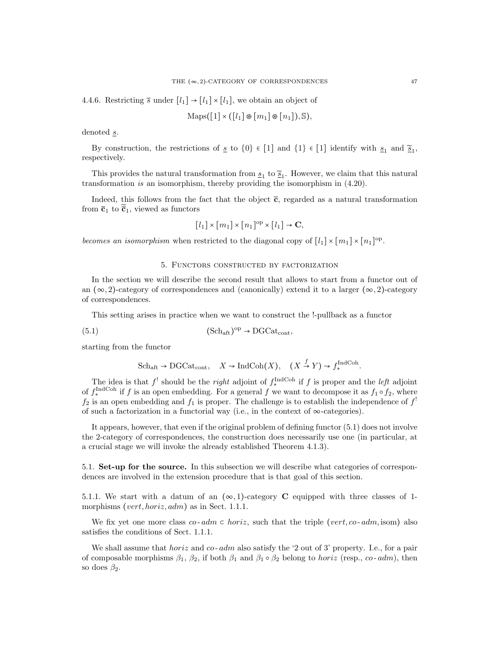4.4.6. Restricting  $\overline{s}$  under  $[l_1] \rightarrow [l_1] \times [l_1]$ , we obtain an object of

$$
Maps([1] \times ([l_1] \otimes [m_1] \otimes [n_1]), \mathbb{S}),
$$

denoted s.

By construction, the restrictions of  $\underline{s}$  to  $\{0\} \in [1]$  and  $\{1\} \in [1]$  identify with  $\underline{s}_1$  and  $\underline{\widetilde{s}}_1$ , respectively.

This provides the natural transformation from  $\underline{s}_1$  to  $\underline{\tilde{s}}_1$ . However, we claim that this natural transformation is an isomorphism, thereby providing the isomorphism in (4.20).

Indeed, this follows from the fact that the object  $\bar{c}$ , regarded as a natural transformation from  $\bar{c}_1$  to  $\bar{c}_1$ , viewed as functors

$$
[l_1] \times [m_1] \times [n_1]^{\text{op}} \times [l_1] \to \mathbf{C},
$$

becomes an isomorphism when restricted to the diagonal copy of  $[l_1] \times [m_1] \times [n_1]^{op}$ .

#### 5. Functors constructed by factorization

In the section we will describe the second result that allows to start from a functor out of an  $(\infty, 2)$ -category of correspondences and (canonically) extend it to a larger  $(\infty, 2)$ -category of correspondences.

This setting arises in practice when we want to construct the !-pullback as a functor

(5.1) 
$$
(Sch_{\text{aft}})^{\text{op}} \to \text{DGCat}_{\text{cont}},
$$

starting from the functor

$$
\text{Sch}_{\text{aft}} \to \text{DGCat}_{\text{cont}}, \quad X \to \text{IndCoh}(X), \quad (X \stackrel{f}{\to} Y) \to f_*^{\text{IndCoh}}.
$$

The idea is that  $f^!$  should be the *right* adjoint of  $f_*^{\text{IndCoh}}$  if f is proper and the *left* adjoint of  $f_*^{\text{IndCoh}}$  if f is an open embedding. For a general f we want to decompose it as  $f_1 \circ f_2$ , where  $f_2$  is an open embedding and  $f_1$  is proper. The challenge is to establish the independence of  $f^!$ of such a factorization in a functorial way (i.e., in the context of  $\infty$ -categories).

It appears, however, that even if the original problem of defining functor (5.1) does not involve the 2-category of correspondences, the construction does necessarily use one (in particular, at a crucial stage we will invoke the already established Theorem 4.1.3).

5.1. Set-up for the source. In this subsection we will describe what categories of correspondences are involved in the extension procedure that is that goal of this section.

5.1.1. We start with a datum of an  $(\infty, 1)$ -category **C** equipped with three classes of 1morphisms (vert, horiz, adm) as in Sect. 1.1.1.

We fix yet one more class co-  $adm \subset horiz$ , such that the triple (vert, co-  $adm$ , isom) also satisfies the conditions of Sect. 1.1.1.

We shall assume that *horiz* and  $\cos a$  also satisfy the '2 out of 3' property. I.e., for a pair of composable morphisms  $\beta_1$ ,  $\beta_2$ , if both  $\beta_1$  and  $\beta_1 \circ \beta_2$  belong to *horiz* (resp., *co-adm*), then so does  $\beta_2$ .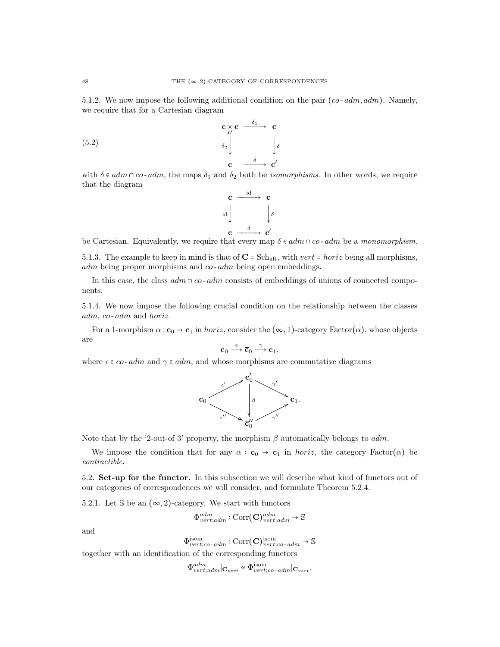5.1.2. We now impose the following additional condition on the pair  $(co - adm, adm)$ . Namely, we require that for a Cartesian diagram

(5.2)  $c \underset{c'}{\times} c \xrightarrow{\delta_1} c$  $\delta_2$  $\downarrow$ δ  $c \longrightarrow c'$ 

with  $\delta \in \text{adm} \cap \text{co-adm}$ , the maps  $\delta_1$  and  $\delta_2$  both be *isomorphisms*. In other words, we require that the diagram



be Cartesian. Equivalently, we require that every map  $\delta \in \mathrm{adm} \cap \mathrm{co}\text{-}\mathrm{adm}$  be a monomorphism.

5.1.3. The example to keep in mind is that of  $C = Sch_{\text{aff}}$ , with  $vert = horiz$  being all morphisms,  $adm$  being proper morphisms and  $co$ - $adm$  being open embeddings.

In this case, the class  $\alpha dm \cap \alpha o$ -  $\alpha dm$  consists of embeddings of unions of connected components.

5.1.4. We now impose the following crucial condition on the relationship between the classes adm, co- adm and horiz.

For a 1-morphism  $\alpha$  :  $\mathbf{c}_0 \to \mathbf{c}_1$  in *horiz*, consider the  $(\infty, 1)$ -category Factor $(\alpha)$ , whose objects are

$$
\mathbf{c}_0 \xrightarrow{\varepsilon} \overline{\mathbf{c}}_0 \xrightarrow{\gamma} \mathbf{c}_1,
$$

where  $\epsilon \in \infty$ - adm and  $\gamma \in \alpha dm$ , and whose morphisms are commutative diagrams



Note that by the '2-out-of 3' property, the morphism  $\beta$  automatically belongs to adm.

We impose the condition that for any  $\alpha : \mathbf{c}_0 \to \mathbf{c}_1$  in horiz, the category Factor( $\alpha$ ) be contractible.

5.2. Set-up for the functor. In this subsection we will describe what kind of functors out of our categories of correspondences we will consider, and formulate Theorem 5.2.4.

5.2.1. Let  $\mathbb S$  be an  $(\infty, 2)$ -category. We start with functors

$$
\Phi^{adm}_{vert;adm} : \text{Corr}(\mathbf{C})^{adm}_{vert;adm} \to \mathbb{S}
$$

and

$$
\Phi^\mathrm{isom}_{vert;co\text{-}\,adm}:\mathrm{Corr}(\mathbf{C})^\mathrm{isom}_{vert;co\text{-}\,adm}\to \mathbb{S}
$$

together with an identification of the corresponding functors

 $\Phi_{vert;adm}^{adm} | \mathbf{C}_{vert} \simeq \Phi_{vert;co-adm}^{isom} | \mathbf{C}_{vert}.$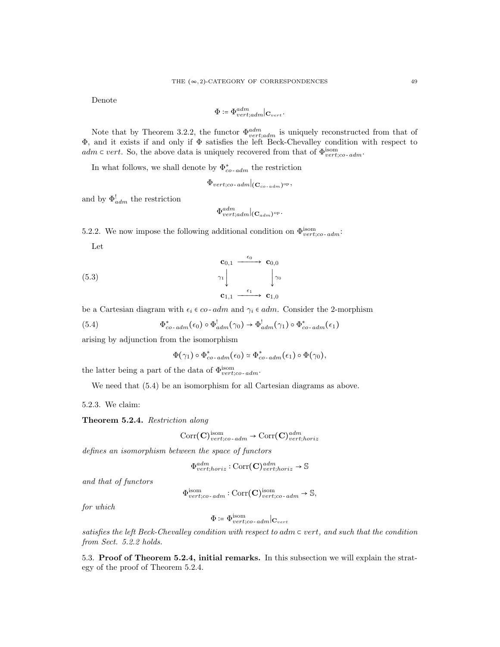Denote

$$
\Phi \coloneqq \Phi^{adm}_{vert;adm} |_{\mathbf{C}_{vert}}.
$$

Note that by Theorem 3.2.2, the functor  $\Phi_{vert;adm}^{adm}$  is uniquely reconstructed from that of Φ, and it exists if and only if Φ satisfies the left Beck-Chevalley condition with respect to  $adm \subset vert.$  So, the above data is uniquely recovered from that of  $\Phi_{vert;co-dm}^{isom}$ .

In what follows, we shall denote by  $\Phi_{co-adm}^*$  the restriction

 $\Phi_{vert;co\text{-}adm}|_{(\mathbf{C}_{co\text{-}adm})^\mathrm{op}},$ 

and by  $\Phi_{adm}^!$  the restriction

$$
\Phi^{adm}_{vert;adm}|_{(\mathbf{C}_{adm})^{\mathrm{op}}}.
$$

5.2.2. We now impose the following additional condition on  $\Phi_{vert;co-dm}^{isom}$ : Let

$$
\begin{array}{ccc}\n\mathbf{c}_{0,1} & \xrightarrow{\epsilon_0} & \mathbf{c}_{0,0} \\
\gamma_1 & & \downarrow \\
\mathbf{c}_{1,1} & \xrightarrow{\epsilon_1} & \mathbf{c}_{1,0}\n\end{array}
$$

be a Cartesian diagram with  $\epsilon_i \in \infty$ - adm and  $\gamma_i \in \infty$ . Consider the 2-morphism

(5.4) 
$$
\Phi_{co\text{-}adm}^*(\epsilon_0) \circ \Phi_{adm}^!(\gamma_0) \to \Phi_{adm}^!(\gamma_1) \circ \Phi_{co\text{-}adm}^*(\epsilon_1)
$$

arising by adjunction from the isomorphism

 $\Phi(\gamma_1) \circ \Phi_{co-adm}^*(\epsilon_0) \simeq \Phi_{co-adm}^*(\epsilon_1) \circ \Phi(\gamma_0),$ 

the latter being a part of the data of  $\Phi_{vert;co-adm}^{isom}$ .

We need that  $(5.4)$  be an isomorphism for all Cartesian diagrams as above.

5.2.3. We claim:

Theorem 5.2.4. Restriction along

$$
Corr(\mathbf{C})_{vert;co\text{-}adm}^{\text{isom}} \to \text{Corr}(\mathbf{C})_{vert;loriz}^{adm}
$$

defines an isomorphism between the space of functors

$$
\Phi^{adm}_{vert;horiz} : \text{Corr}(\mathbf{C})^{adm}_{vert;horiz} \to \mathbb{S}
$$

and that of functors

$$
\Phi^{\text{isom}}_{vert;co\text{-}adm}: \text{Corr}(\mathbf{C})^{\text{isom}}_{vert;co\text{-}adm} \to \mathbb{S},
$$

for which

$$
\Phi \coloneqq \Phi^{\rm isom}_{vert;co\text{-}adm}|\mathbf{C}_{vert}
$$

satisfies the left Beck-Chevalley condition with respect to adm  $\in$  vert, and such that the condition from Sect. 5.2.2 holds.

5.3. Proof of Theorem 5.2.4, initial remarks. In this subsection we will explain the strategy of the proof of Theorem 5.2.4.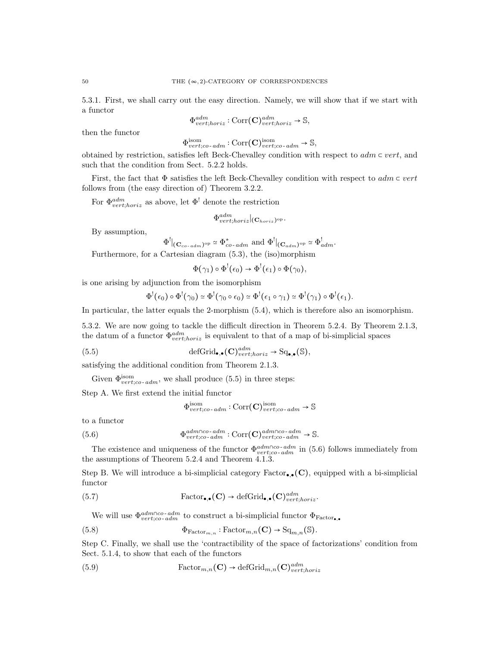5.3.1. First, we shall carry out the easy direction. Namely, we will show that if we start with a functor

$$
\Phi^{adm}_{vert;horiz} : \text{Corr}(\mathbf{C})^{adm}_{vert;horiz} \to \mathbb{S},
$$

then the functor

 $\Phi_{vert;co-adm}^{\text{isom}} : \text{Corr}(\mathbf{C})_{vert;co-adm}^{\text{isom}} \to \mathbb{S},$ 

obtained by restriction, satisfies left Beck-Chevalley condition with respect to  $adm \subset vert$ , and such that the condition from Sect. 5.2.2 holds.

First, the fact that  $\Phi$  satisfies the left Beck-Chevalley condition with respect to  $adm \subset vert$ follows from (the easy direction of) Theorem 3.2.2.

For  $\Phi_{vert,horiz}^{adm}$  as above, let  $\Phi^!$  denote the restriction

$$
\Phi^{adm}_{vert;horiz}|_{(\mathbf{C}_{horiz})^{\mathrm{op}}}.
$$

By assumption,

$$
\Phi^!|_{(\mathbf{C}_{co\text{-}adm})^{\mathrm{op}}} \simeq \Phi^*_{co\text{-}adm} \text{ and } \Phi^!|_{(\mathbf{C}_{adm})^{\mathrm{op}}} \simeq \Phi^!_{adm}.
$$

Furthermore, for a Cartesian diagram (5.3), the (iso)morphism

$$
\Phi(\gamma_1) \circ \Phi^! (\epsilon_0) \to \Phi^! (\epsilon_1) \circ \Phi(\gamma_0),
$$

is one arising by adjunction from the isomorphism

$$
\Phi^!(\epsilon_0) \circ \Phi^!(\gamma_0) \simeq \Phi^!(\gamma_0 \circ \epsilon_0) \simeq \Phi^!(\epsilon_1 \circ \gamma_1) \simeq \Phi^!(\gamma_1) \circ \Phi^!(\epsilon_1).
$$

In particular, the latter equals the 2-morphism (5.4), which is therefore also an isomorphism.

5.3.2. We are now going to tackle the difficult direction in Theorem 5.2.4. By Theorem 2.1.3, the datum of a functor  $\Phi_{vert,horiz}^{adm}$  is equivalent to that of a map of bi-simplicial spaces

(5.5) 
$$
\text{defGrid}_{\bullet,\bullet}(\mathbf{C})^{adm}_{vert;horiz} \to \text{Sq}_{\bullet,\bullet}(\mathbb{S}),
$$

satisfying the additional condition from Theorem 2.1.3.

Given  $\Phi_{vert;co-adm}^{isom}$ , we shall produce (5.5) in three steps:

Step A. We first extend the initial functor

$$
\Phi^{\rm isom}_{vert;co\text{-}\,adm}:\text{Corr}(\mathbf{C})^{\rm isom}_{vert;co\text{-}\,adm}\to \mathbb{S}
$$

to a functor

(5.6) 
$$
\Phi_{vert;co\text{-}adm}^{adm\cap co\text{-}adm}:Corr(\mathbf{C})_{vert;co\text{-}adm}^{adm\cap co\text{-}adm}\to \mathbb{S}.
$$

The existence and uniqueness of the functor  $\Phi_{vert;co-dm}^{adm\cap co-dm}$  in (5.6) follows immediately from the assumptions of Theorem 5.2.4 and Theorem 4.1.3.

Step B. We will introduce a bi-simplicial category  $\text{Factor}_{\bullet,\bullet}(\mathbf{C})$ , equipped with a bi-simplicial functor

(5.7) Factor<sub>•</sub>
$$
(\mathbf{C}) \rightarrow \text{defGrid}_{\bullet,\bullet}(\mathbf{C})^{adm}_{vert;horiz}.
$$

We will use  $\Phi_{vert;co-dm}^{adm \cap co-adm}$  to construct a bi-simplicial functor  $\Phi_{Factor_{\bullet,\bullet}}$ 

(5.8) 
$$
\Phi_{\text{Factor}_{m,n}} : \text{Factor}_{m,n}(\mathbf{C}) \to \text{Sq}_{m,n}(\mathbb{S}).
$$

Step C. Finally, we shall use the 'contractibility of the space of factorizations' condition from Sect. 5.1.4, to show that each of the functors

(5.9) 
$$
\text{Factor}_{m,n}(\mathbf{C}) \to \text{defGrid}_{m,n}(\mathbf{C})^{\text{adm}}_{\text{vert;horiz}}
$$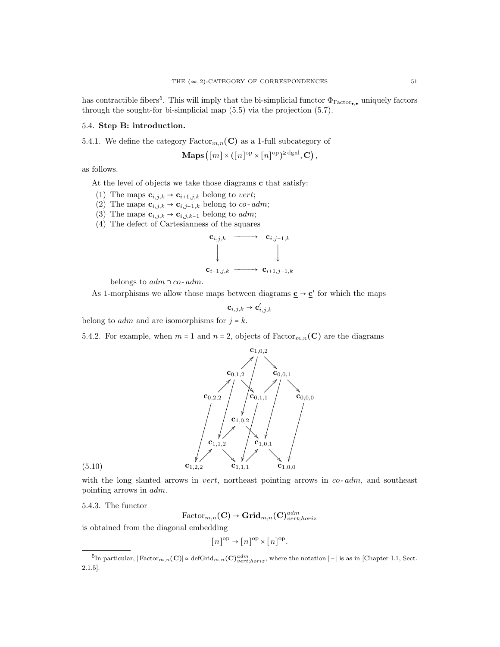has contractible fibers<sup>5</sup>. This will imply that the bi-simplicial functor  $\Phi_{\text{Factor},\bullet}$  uniquely factors through the sought-for bi-simplicial map (5.5) via the projection (5.7).

# 5.4. Step B: introduction.

5.4.1. We define the category  $\text{Factor}_{m,n}(\mathbf{C})$  as a 1-full subcategory of

$$
\mathbf{Maps}([m] \times ([n]^\mathrm{op} \times [n]^\mathrm{op})^{\ge \mathrm{dgnl}}, \mathbf{C}),
$$

as follows.

At the level of objects we take those diagrams  $\mathbf c$  that satisfy:

- (1) The maps  $\mathbf{c}_{i,j,k} \rightarrow \mathbf{c}_{i+1,j,k}$  belong to vert;
- (2) The maps  $\mathbf{c}_{i,j,k} \to \mathbf{c}_{i,j-1,k}$  belong to *co-adm*;
- (3) The maps  $\mathbf{c}_{i,j,k} \rightarrow \mathbf{c}_{i,j,k-1}$  belong to *adm*;
- (4) The defect of Cartesianness of the squares



belongs to  $adm \cap co \text{-} adm$ .

As 1-morphisms we allow those maps between diagrams  $\underline{\mathbf{c}} \to \underline{\mathbf{c}}'$  for which the maps

$$
\mathbf{c}_{i,j,k}\to \mathbf{c}'_{i,j,k}
$$

belong to *adm* and are isomorphisms for  $j = k$ .

5.4.2. For example, when  $m = 1$  and  $n = 2$ , objects of  $Factor_{m,n}(C)$  are the diagrams



with the long slanted arrows in *vert*, northeast pointing arrows in  $co$ - $adm$ , and southeast pointing arrows in adm.

5.4.3. The functor

 $\mathrm{Factor}_{m,n}(\mathbf{C}) \to \mathbf{Grid}_{m,n}(\mathbf{C})^{adm}_{vert;horiz}$ 

is obtained from the diagonal embedding

$$
[n]^{\text{op}} \to [n]^{\text{op}} \times [n]^{\text{op}}.
$$

<sup>&</sup>lt;sup>5</sup>In particular,  $|\text{Factor}_{m,n}(\mathbf{C})| \approx \text{defGrid}_{m,n}(\mathbf{C})^{adm}_{vert;horiz}$ , where the notation  $|-|$  is as in [Chapter I.1, Sect. 2.1.5].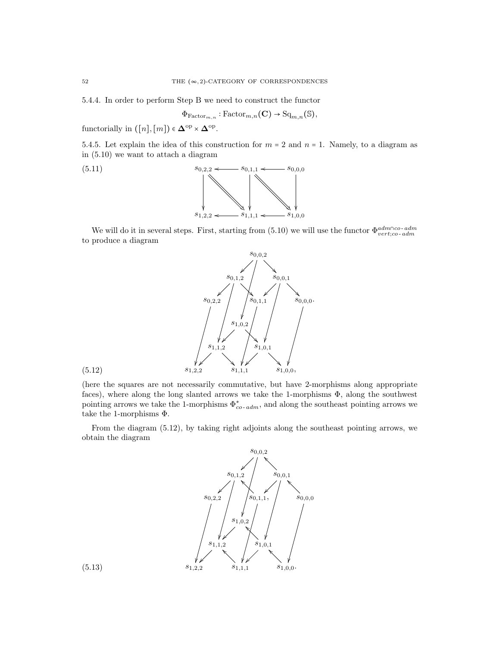5.4.4. In order to perform Step B we need to construct the functor

$$
\Phi_{\mathrm{Factor}_{m,n}}:\mathrm{Factor}_{m,n}(\mathbf{C})\to\mathrm{Sq}_{m,n}(\mathbb{S}),
$$

functorially in  $([n],[m]) \in \mathbf{\Delta}^{\text{op}} \times \mathbf{\Delta}^{\text{op}}$ .

5.4.5. Let explain the idea of this construction for  $m = 2$  and  $n = 1$ . Namely, to a diagram as in (5.10) we want to attach a diagram



We will do it in several steps. First, starting from (5.10) we will use the functor  $\Phi_{vert;co-ddm}^{adm\cap co-adm}$ to produce a diagram



(here the squares are not necessarily commutative, but have 2-morphisms along appropriate faces), where along the long slanted arrows we take the 1-morphisms  $\Phi$ , along the southwest pointing arrows we take the 1-morphisms  $\Phi_{co-adm}^*$ , and along the southeast pointing arrows we take the 1-morphisms Φ.

From the diagram (5.12), by taking right adjoints along the southeast pointing arrows, we obtain the diagram



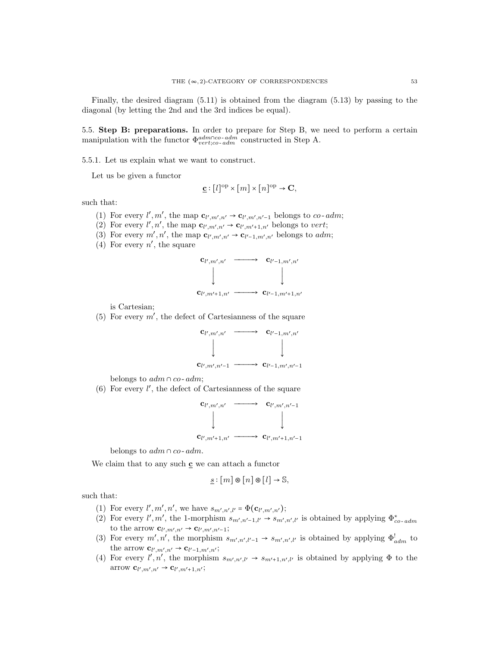Finally, the desired diagram (5.11) is obtained from the diagram (5.13) by passing to the diagonal (by letting the 2nd and the 3rd indices be equal).

5.5. Step B: preparations. In order to prepare for Step B, we need to perform a certain manipulation with the functor  $\Phi_{vert;co-adm}^{adm \cap co-adm}$  constructed in Step A.

5.5.1. Let us explain what we want to construct.

Let us be given a functor

$$
\underline{\mathbf{c}} : [l]^{\mathrm{op}} \times [m] \times [n]^{\mathrm{op}} \to \mathbf{C},
$$

such that:

- (1) For every  $l', m'$ , the map  $\mathbf{c}_{l',m',n'} \to \mathbf{c}_{l',m',n'-1}$  belongs to co-adm;
- (2) For every  $l', n'$ , the map  $\mathbf{c}_{l',m',n'} \to \mathbf{c}_{l',m'+1,n'}$  belongs to vert;
- (3) For every  $m', n'$ , the map  $\mathbf{c}_{l',m',n'} \to \mathbf{c}_{l'-1,m',n'}$  belongs to *adm*;
- (4) For every  $n'$ , the square



is Cartesian;

(5) For every  $m'$ , the defect of Cartesianness of the square



belongs to  $adm \cap co$ - $adm$ ;

 $(6)$  For every  $l'$ , the defect of Cartesianness of the square



belongs to  $adm \cap co \text{-} adm$ .

We claim that to any such **c** we can attach a functor

$$
\underline{s} : [m] \circledast [n] \circledast [l] \to \mathbb{S},
$$

such that:

- (1) For every  $l', m', n'$ , we have  $s_{m',n',l'} = \Phi(\mathbf{c}_{l',m',n'})$ ;
- (2) For every  $l', m'$ , the 1-morphism  $s_{m',n'-1,l'} \rightarrow s_{m',n',l'}$  is obtained by applying  $\Phi_{co-adm}^*$ to the arrow  $\mathbf{c}_{l',m',n'} \to \mathbf{c}_{l',m',n'-1}$ ;
- (3) For every  $m', n'$ , the morphism  $s_{m',n',l'-1} \rightarrow s_{m',n',l'}$  is obtained by applying  $\Phi_{adm}^!$  to the arrow  $\mathbf{c}_{l',m',n'} \to \mathbf{c}_{l'-1,m',n'};$
- (4) For every  $l', n'$ , the morphism  $s_{m',n',l'} \rightarrow s_{m'+1,n',l'}$  is obtained by applying  $\Phi$  to the arrow  $\mathbf{c}_{l',m',n'} \to \mathbf{c}_{l',m'+1,n'};$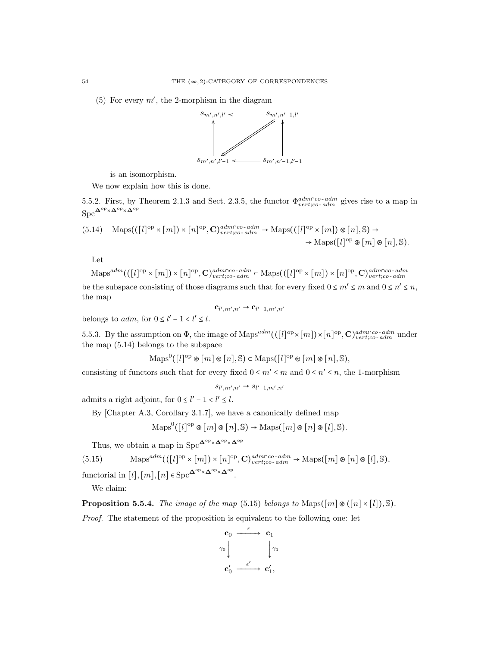(5) For every  $m'$ , the 2-morphism in the diagram



is an isomorphism.

We now explain how this is done.

5.5.2. First, by Theorem 2.1.3 and Sect. 2.3.5, the functor  $\Phi_{vert;co-dm}^{adm \cap co-dm}$  gives rise to a map in  $Spc^{\mathbf{\Delta}^{op}\times \mathbf{\Delta}^{op}\times \mathbf{\Delta}^{op}}$ 

$$
(5.14) \quad \text{Maps}(([l]^{\text{op}} \times [m]) \times [n]^{\text{op}}, \mathbf{C})^{adm \cap \text{co-}adm}_{vert; \text{co-}adm} \to \text{Maps}(([l]^{\text{op}} \times [m]) \otimes [n], \mathbb{S}) \to \\ \to \text{Maps}([l]^{\text{op}} \otimes [m] \otimes [n], \mathbb{S}).
$$

Let

$$
\operatorname{Maps}^{adm}(([l]^{\text{op}} \times [m]) \times [n]^{\text{op}}, \mathbf{C})^{adm \cap co\text{-}adm}_{vert;co\text{-}adm} \subset \operatorname{Maps}(([l]^{\text{op}} \times [m]) \times [n]^{\text{op}}, \mathbf{C})^{adm \cap co\text{-}adm}_{vert;co\text{-}adm}
$$

be the subspace consisting of those diagrams such that for every fixed  $0 \le m' \le m$  and  $0 \le n' \le n$ , the map

 ${\bf c}_{l',m',n'}\to {\bf c}_{l'-1,m',n'}$ 

belongs to  $adm$ , for  $0 \leq l' - 1 < l' \leq l$ .

5.5.3. By the assumption on  $\Phi$ , the image of Maps<sup>adm</sup>(([l]<sup>op</sup> ×[m])×[n]<sup>op</sup>,  $\mathbf{C}$ )<sup>adm∩co-adm</sup> under the map (5.14) belongs to the subspace

$$
\operatorname{Maps}^{0}([l]^{\mathrm{op}} \otimes [m] \otimes [n], \mathbb{S}) \subset \operatorname{Maps}([l]^{\mathrm{op}} \otimes [m] \otimes [n], \mathbb{S}),
$$

consisting of functors such that for every fixed  $0 \le m' \le m$  and  $0 \le n' \le n$ , the 1-morphism

$$
s_{l',m',n'} \rightarrow s_{l'-1,m',n'}
$$

admits a right adjoint, for  $0 \le l' - 1 < l' \le l$ .

By [Chapter A.3, Corollary 3.1.7], we have a canonically defined map

$$
\operatorname{Maps}^0([l]^{\operatorname{op}} \otimes [m] \otimes [n], \mathbb{S}) \to \operatorname{Maps}([m] \otimes [n] \otimes [l], \mathbb{S}).
$$

Thus, we obtain a map in  $\mathrm{Spc}^{\mathbf{\Delta}^{\mathrm{op}}\times\mathbf{\Delta}^{\mathrm{op}}\times\mathbf{\Delta}^{\mathrm{op}}}$ 

(5.15) 
$$
\operatorname{Maps}^{adm}((\llbracket l\rrbracket^{\text{op}} \times \llbracket m\rrbracket) \times \llbracket n\rrbracket^{\text{op}}, \mathbf{C})^{adm \cap co\text{-}adm}_{vert;co\text{-}adm} \to \operatorname{Maps}(\llbracket m\rrbracket \otimes \llbracket n\rrbracket \otimes \llbracket l\rrbracket, \mathbb{S}),
$$

functorial in  $[l], [m], [n] \in \text{Spc}^{\mathbf{\Delta}^{\text{op}} \times \mathbf{\Delta}^{\text{op}} \times \mathbf{\Delta}^{\text{op}}}.$ 

We claim:

**Proposition 5.5.4.** The image of the map (5.15) belongs to Maps( $\lceil m \rceil \otimes (\lceil n \rceil \times \lceil l \rceil)$ ,  $\mathbb{S}$ ).

Proof. The statement of the proposition is equivalent to the following one: let

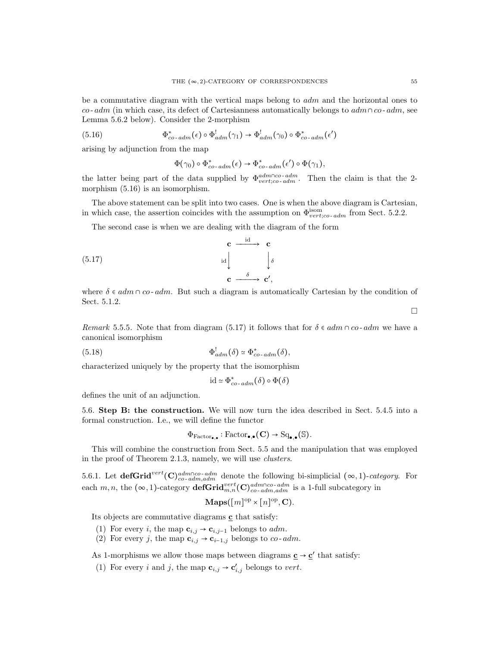be a commutative diagram with the vertical maps belong to adm and the horizontal ones to co- adm (in which case, its defect of Cartesianness automatically belongs to  $adm \cap co$ - adm, see Lemma 5.6.2 below). Consider the 2-morphism

(5.16) 
$$
\Phi_{co\text{-}adm}^*(\epsilon) \circ \Phi_{adm}^! (\gamma_1) \to \Phi_{adm}^! (\gamma_0) \circ \Phi_{co\text{-}adm}^*(\epsilon')
$$

arising by adjunction from the map

$$
\Phi(\gamma_0) \circ \Phi_{co\text{-}adm}^*(\epsilon) \to \Phi_{co\text{-}adm}^*(\epsilon') \circ \Phi(\gamma_1),
$$

the latter being part of the data supplied by  $\Phi_{vert;co-adm}^{adm\cap co-adm}$ . Then the claim is that the 2morphism (5.16) is an isomorphism.

The above statement can be split into two cases. One is when the above diagram is Cartesian, in which case, the assertion coincides with the assumption on  $\Phi_{vert;co-dm}^{isom}$  from Sect. 5.2.2.

The second case is when we are dealing with the diagram of the form

$$
\begin{array}{ccc}\n\mathbf{c} & \xrightarrow{\text{id}} & \mathbf{c} \\
\downarrow{\text{id}} & & \downarrow{\delta} \\
\mathbf{c} & \xrightarrow{\delta} & \mathbf{c}',\n\end{array}
$$

where  $\delta \in \alpha dm \cap \alpha o$ - adm. But such a diagram is automatically Cartesian by the condition of Sect. 5.1.2.

Remark 5.5.5. Note that from diagram (5.17) it follows that for  $\delta \in \alpha dm \cap \alpha o$ -  $\alpha dm$  we have a canonical isomorphism

(5.18) 
$$
\Phi_{adm}^!(\delta) \simeq \Phi_{co\text{-}adm}^*(\delta),
$$

characterized uniquely by the property that the isomorphism

$$
\mathrm{id} \simeq \Phi_{co\text{-}adm}^*(\delta) \circ \Phi(\delta)
$$

defines the unit of an adjunction.

5.6. Step B: the construction. We will now turn the idea described in Sect. 5.4.5 into a formal construction. I.e., we will define the functor

$$
\Phi_{\mathrm{Factor}_{\bullet,\bullet}}:\mathrm{Factor}_{\bullet,\bullet}(\mathbf{C})\to \mathrm{Sq}_{\bullet,\bullet}(\mathbb{S}).
$$

This will combine the construction from Sect. 5.5 and the manipulation that was employed in the proof of Theorem 2.1.3, namely, we will use clusters.

5.6.1. Let  $\det(\mathbf{Grid}^{vert}(\mathbf{C})^{adm\cap co-adm}_{co-adm,adm}$  denote the following bi-simplicial  $(\infty,1)$ -category. For each  $m, n$ , the  $(\infty, 1)$ -category **defGrid** $_{m,n}^{vert}(\mathbf{C})_{co - adm, adm}^{adm \cap co - adm}$  is a 1-full subcategory in

$$
\mathbf{Maps}([m]^{\text{op}} \times [n]^{\text{op}}, \mathbf{C}).
$$

Its objects are commutative diagrams  $\mathbf c$  that satisfy:

- (1) For every *i*, the map  $\mathbf{c}_{i,j} \to \mathbf{c}_{i,j-1}$  belongs to *adm*.
- (2) For every j, the map  $\mathbf{c}_{i,j} \rightarrow \mathbf{c}_{i-1,j}$  belongs to co-adm.

As 1-morphisms we allow those maps between diagrams  $\underline{\mathbf{c}} \to \underline{\mathbf{c}}'$  that satisfy:

(1) For every *i* and *j*, the map  $\mathbf{c}_{i,j} \to \mathbf{c}'_{i,j}$  belongs to *vert*.

 $\Box$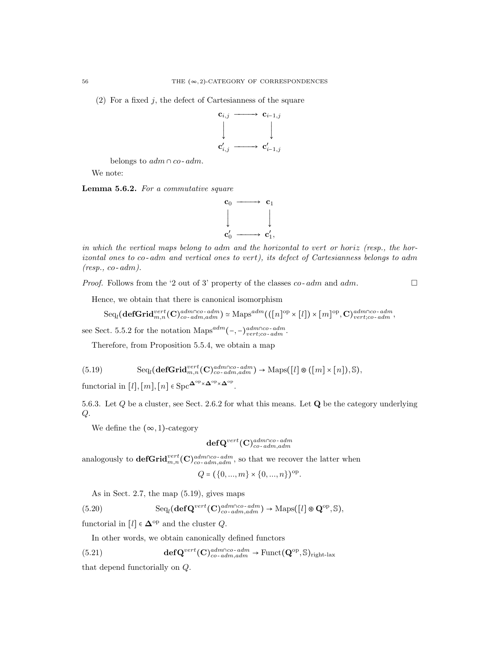$(2)$  For a fixed j, the defect of Cartesianness of the square



belongs to  $adm \cap co \text{-} adm$ .

We note:

Lemma 5.6.2. For a commutative square



in which the vertical maps belong to adm and the horizontal to vert or horiz (resp., the horizontal ones to co- adm and vertical ones to vert), its defect of Cartesianness belongs to adm  $(resp., co-adm).$ 

*Proof.* Follows from the '2 out of 3' property of the classes  $co$ - $adm$  and  $adm$ .

Hence, we obtain that there is canonical isomorphism

$$
\mathrm{Seq}_l(\mathbf{defGrid}_{m,n}^{vert}(\mathbf{C})^{adm\cap co\text{-}adm}_{co\text{-}adm,adm})\simeq \mathrm{Maps}^{adm}(([n]^{\mathrm{op}}\times [l])\times [m]^{\mathrm{op}},\mathbf{C})^{adm\cap co\text{-}adm}_{vert;co\text{-}adm},
$$

see Sect. 5.5.2 for the notation Maps<sup>adm</sup>(-,-)<sup>adm∩co-adm</sup>.

Therefore, from Proposition 5.5.4, we obtain a map

(5.19) 
$$
\text{Seq}_{l}(\text{defGrid}_{m,n}^{vert}(\mathbf{C})_{co\text{-}adm,adm}^{adm\cap co\text{-}adm}) \rightarrow \text{Maps}([l] \circledast ([m] \times [n]), \mathbb{S}),
$$

functorial in  $[l], [m], [n] \in \text{Spc}^{\mathbf{\Delta}^{\text{op}} \times \mathbf{\Delta}^{\text{op}} \times \mathbf{\Delta}^{\text{op}}}.$ 

5.6.3. Let  $Q$  be a cluster, see Sect. 2.6.2 for what this means. Let  $Q$  be the category underlying  $Q$ .

We define the  $(\infty, 1)$ -category

$$
\mathbf{defQ}^{vert}(\mathbf{C})^{adm \cap co\text{-}adm}_{co\text{-}adm,adm}
$$

analogously to  $\mathbf{defGrid}_{m,n}^{vert}(\mathbf{C})_{co\text{-}adm,adm}^{adm\cap co\text{-}adm}$ , so that we recover the latter when

$$
Q = (\{0, ..., m\} \times \{0, ..., n\})^{\text{op}}.
$$

As in Sect. 2.7, the map (5.19), gives maps

(5.20) 
$$
\text{Seq}_l(\text{def}\mathbf{Q}^{vert}(\mathbf{C})^{adm\cap co\text{-}adm}_{co\text{-}adm,adm}) \to \text{Maps}([l] \otimes \mathbf{Q}^{\text{op}}, \mathbb{S}),
$$

functorial in  $[l] \in \mathbf{\Delta}^{\text{op}}$  and the cluster  $Q$ .

In other words, we obtain canonically defined functors

(5.21) 
$$
\mathbf{def} \mathbf{Q}^{vert}(\mathbf{C})^{adm \cap co\text{-}adm}_{co\text{-}adm,adm} \to \text{Funct}(\mathbf{Q}^{\text{op}}, \mathbb{S})_{\text{right-lax}}
$$

that depend functorially on Q.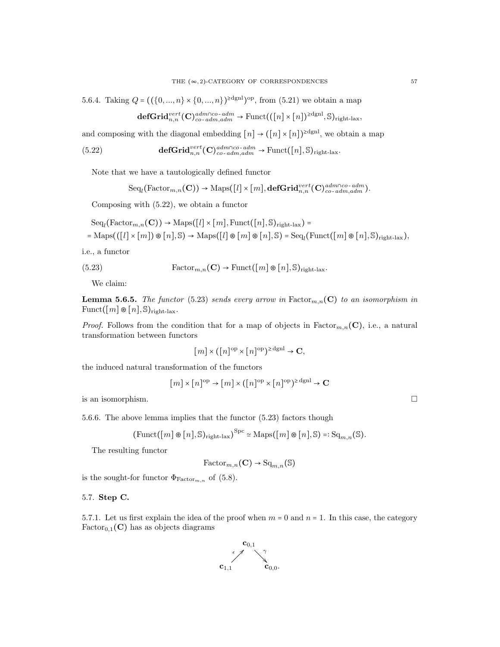5.6.4. Taking  $Q = ((\{0, ..., n\} \times \{0, ..., n\})^{\geq dgn})^{\text{op}}, \text{ from } (5.21)$  we obtain a map

$$
\mathbf{defGrid}_{n,n}^{vert}(\mathbf{C})_{co\text{-}adm,adm}^{adm\cap co\text{-}adm}\rightarrow \mathrm{Funct}((n]\times [n])^{\geq dgnl},\mathbb{S})_{right\text{-}lax},
$$

and composing with the diagonal embedding  $[n] \rightarrow ([n] \times [n])^{2dgnl}$ , we obtain a map

(5.22) def
$$
\mathbf{Grid}_{n,n}^{vert}(\mathbf{C})_{co\text{-}adm,adm}^{adm\cap co\text{-}adm} \to \text{Funct}([n],\mathbb{S})_{right\text{-}lax}.
$$

Note that we have a tautologically defined functor

$$
\text{Seq}_{l}(\text{Factor}_{m,n}(\mathbf{C})) \rightarrow \text{Maps}([l] \times [m], \text{defGrid}_{n,n}^{vert}(\mathbf{C})_{co \text{-}adm,adm}^{adm \cap co \text{-}adm}).
$$

Composing with (5.22), we obtain a functor

$$
Seq_{l}(\text{Factor}_{m,n}(\mathbf{C})) \to \text{Maps}([l] \times [m], \text{Funct}([n], \mathbb{S})_{\text{right-lax}}) =
$$
  
= Maps(((l] \times [m]) \otimes [n], \mathbb{S}) \to \text{Maps}([l] \otimes [m] \otimes [n], \mathbb{S}) = Seq\_{l}(\text{Funct}([m] \otimes [n], \mathbb{S})\_{\text{right-lax}}),

i.e., a functor

(5.23) 
$$
\text{Factor}_{m,n}(\mathbf{C}) \to \text{Funct}([m] \otimes [n], \mathbb{S})_{\text{right-law}}.
$$

We claim:

**Lemma 5.6.5.** The functor (5.23) sends every arrow in Factor<sub>m,n</sub>(C) to an isomorphism in  $\text{Funct}([m] \otimes [n], \mathbb{S})_{\text{right-lax}}$ .

*Proof.* Follows from the condition that for a map of objects in  $\text{Factor}_{m,n}(\mathbf{C})$ , i.e., a natural transformation between functors

$$
[m] \times ([n]^{\text{op}} \times [n]^{\text{op}})^{\geq \text{dgnl}} \to \mathbf{C},
$$

the induced natural transformation of the functors

$$
[m] \times [n]^{\text{op}} \to [m] \times ([n]^{\text{op}} \times [n]^{\text{op}})^{\geq \text{dgnl}} \to \mathbf{C}
$$

is an isomorphism.  $\Box$ 

5.6.6. The above lemma implies that the functor 
$$
(5.23)
$$
 factors though

$$
(\mathrm{Funct}(\llbracket m \rrbracket \circledast \llbracket n \rrbracket, \mathbb{S})_{\mathrm{right-lax}})^{\mathrm{Spc}} \simeq \mathrm{Maps}(\llbracket m \rrbracket \circledast \llbracket n \rrbracket, \mathbb{S}) =: \mathrm{Sq}_{m,n}(\mathbb{S}).
$$

The resulting functor

$$
\mathrm{Factor}_{m,n}(\mathbf{C}) \to \mathrm{Sq}_{m,n}(\mathbb{S})
$$

is the sought-for functor  $\Phi_{\text{Factor}_{m,n}}$  of (5.8).

## 5.7. Step C.

5.7.1. Let us first explain the idea of the proof when  $m = 0$  and  $n = 1$ . In this case, the category  $Factor_{0,1}(C)$  has as objects diagrams

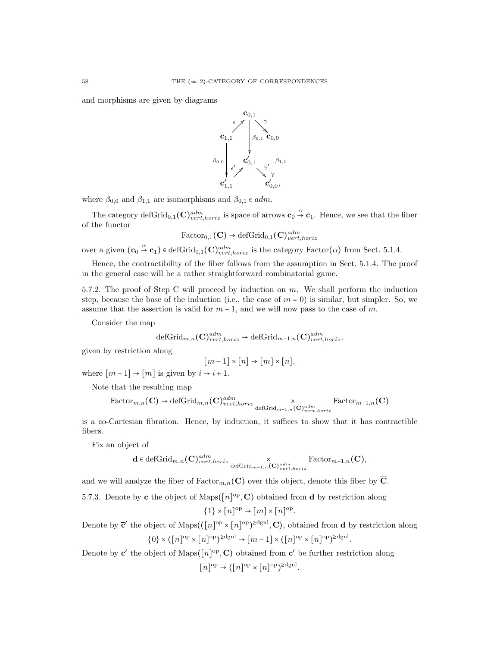and morphisms are given by diagrams



where  $\beta_{0,0}$  and  $\beta_{1,1}$  are isomorphisms and  $\beta_{0,1} \in adm$ .

The category defGrid<sub>0,1</sub> (C)<sup>adm</sup><sub>vert,horiz</sub> is space of arrows  $\mathbf{c}_0 \overset{\alpha}{\rightarrow} \mathbf{c}_1$ . Hence, we see that the fiber of the functor

$$
\text{Factor}_{0,1}(\mathbf{C}) \to \text{defGrid}_{0,1}(\mathbf{C})^{adm}_{vert,loriz}
$$

over a given  $(\mathbf{c}_0 \overset{\alpha}{\rightarrow} \mathbf{c}_1) \in \text{defGrid}_{0,1}(\mathbf{C})^{adm}_{vert,horiz}$  is the category Factor( $\alpha$ ) from Sect. 5.1.4.

Hence, the contractibility of the fiber follows from the assumption in Sect. 5.1.4. The proof in the general case will be a rather straightforward combinatorial game.

5.7.2. The proof of Step C will proceed by induction on  $m$ . We shall perform the induction step, because the base of the induction (i.e., the case of  $m = 0$ ) is similar, but simpler. So, we assume that the assertion is valid for  $m-1$ , and we will now pass to the case of m.

Consider the map

$$
\mathrm{defGrid}_{m,n}(\mathbf{C})^{adm}_{vert,horiz} \to \mathrm{defGrid}_{m-1,n}(\mathbf{C})^{adm}_{vert,horiz},
$$

given by restriction along

$$
[m-1] \times [n] \to [m] \times [n],
$$

where  $[m-1] \rightarrow [m]$  is given by  $i \mapsto i+1$ .

Note that the resulting map

Factor<sub>m,n</sub>(**C**) 
$$
\rightarrow
$$
 defGrid<sub>m,n</sub>(**C**)<sup>adm</sup><sub>vert,horiz</sub> defGrid<sub>m-1,n</sub>(**C**)<sup>adm</sup><sub>vert,horiz</sub> Factor<sub>m-1,n</sub>(**C**)

is a co-Cartesian fibration. Hence, by induction, it suffices to show that it has contractible fibers.

Fix an object of

$$
\mathbf{d} \in \operatorname{defGrid}_{m,n}(\mathbf{C})^{adm}_{vert,horiz} \times \operatorname{Factor}_{m-1,n}(\mathbf{C}),
$$
  
 
$$
\operatorname{Factor}_{m-1,n}(\mathbf{C}),
$$

and we will analyze the fiber of  $\text{Factor}_{m,n}(\mathbf{C})$  over this object, denote this fiber by  $\overline{\mathbf{C}}$ .

5.7.3. Denote by  $\underline{\mathbf{c}}$  the object of Maps( $[n]^\text{op}, \mathbf{C}$ ) obtained from **d** by restriction along  $\{1\} \times [n]^{\text{op}} \to [m] \times [n]^{\text{op}}.$ 

Denote by  $\bar{\mathbf{c}}'$  the object of Maps(( $[n]^\text{op} \times [n]^\text{op}$ )<sup>2dgnl</sup>, **C**), obtained from **d** by restriction along  $\{0\} \times (\lfloor n \rfloor^{\text{op}} \times \lfloor n \rfloor^{\text{op}})^{\geq \text{dgnl}} \to \lfloor m - 1 \rfloor \times (\lfloor n \rfloor^{\text{op}} \times \lfloor n \rfloor^{\text{op}})^{\geq \text{dgnl}}.$ 

Denote by  $\underline{\mathbf{c}}'$  the object of Maps( $[n]^\text{op}, \mathbf{C}$ ) obtained from  $\overline{\mathbf{c}}'$  be further restriction along  $[n]^{\text{op}} \to ([n]^{\text{op}} \times [n]^{\text{op}})^{\geq \text{dgnl}}.$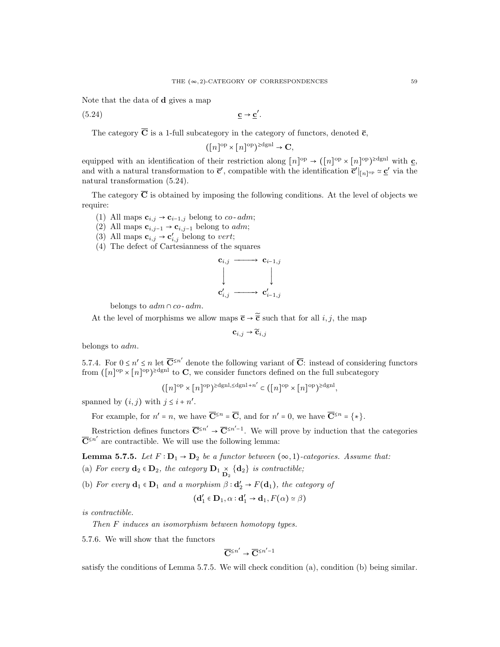′ .

Note that the data of d gives a map

(5.24) c → c  $\frac{c}{c}$  → c

The category  $\overline{C}$  is a 1-full subcategory in the category of functors, denoted  $\overline{c}$ ,

$$
([n]^{\text{op}} \times [n]^{\text{op}})^{\geq \text{dgnl}} \to \mathbf{C},
$$

equipped with an identification of their restriction along  $[n]^{op} \rightarrow ([n]^{op} \times [n]^{op})^{\geq \text{dgnl}}$  with  $\underline{c}$ , and with a natural transformation to  $\bar{\mathbf{c}}'$ , compatible with the identification  $\bar{\mathbf{c}}'|_{[n]^\text{op}} \simeq \underline{\mathbf{c}}'$  via the natural transformation (5.24).

The category  $\overline{C}$  is obtained by imposing the following conditions. At the level of objects we require:

- (1) All maps  $\mathbf{c}_{i,j} \rightarrow \mathbf{c}_{i-1,j}$  belong to *co*-*adm*;
- (2) All maps  $\mathbf{c}_{i,j-1} \rightarrow \mathbf{c}_{i,j-1}$  belong to *adm*;
- (3) All maps  $\mathbf{c}_{i,j} \to \mathbf{c}'_{i,j}$  belong to vert;
- (4) The defect of Cartesianness of the squares

$$
\begin{array}{ccc}\n\mathbf{c}_{i,j} & \longrightarrow & \mathbf{c}_{i-1,j} \\
\downarrow & & \downarrow \\
\mathbf{c}'_{i,j} & \longrightarrow & \mathbf{c}'_{i-1,j}\n\end{array}
$$

belongs to  $adm \cap co \text{-} adm$ .

At the level of morphisms we allow maps  $\bar{c} \rightarrow \tilde{\bar{c}}$  such that for all i, j, the map

$$
\mathbf{c}_{i,j}\to\widetilde{\mathbf{c}}_{i,j}
$$

belongs to adm.

5.7.4. For  $0 \le n' \le n$  let  $\overline{C}^{\le n'}$  denote the following variant of  $\overline{C}$ : instead of considering functors from  $([n]^\text{op} \times [n]^\text{op})^{\ge \text{dgnl}}$  to C, we consider functors defined on the full subcategory

$$
([n]^\mathrm{op} \times [n]^\mathrm{op})^{\ge \mathrm{dgnl}, \le \mathrm{dgnl} + n'} \subset ([n]^\mathrm{op} \times [n]^\mathrm{op})^{\ge \mathrm{dgnl}},
$$

spanned by  $(i, j)$  with  $j \leq i + n'$ .

For example, for  $n' = n$ , we have  $\overline{\mathbf{C}}^{\leq n} = \overline{\mathbf{C}}$ , and for  $n' = 0$ , we have  $\overline{\mathbf{C}}^{\leq n} = \{ * \}.$ 

Restriction defines functors  $\overline{\mathbf{C}}^{\\\leq n'} \to \overline{\mathbf{C}}^{\\\leq n'-1}$ . We will prove by induction that the categories  $\overline{\mathbf{C}}^{n'}$  are contractible. We will use the following lemma:

**Lemma 5.7.5.** Let  $F : D_1 \rightarrow D_2$  be a functor between  $(\infty, 1)$ -categories. Assume that:

(a) For every  $\mathbf{d}_2 \in \mathbf{D}_2$ , the category  $\mathbf{D}_1 \underset{\mathbf{D}_2}{\times} {\mathbf{d}_2}$  is contractible;

(b) For every  $\mathbf{d}_1 \in \mathbf{D}_1$  and a morphism  $\beta : \mathbf{d}'_2 \to F(\mathbf{d}_1)$ , the category of

$$
(\mathbf{d}'_1 \in \mathbf{D}_1, \alpha : \mathbf{d}'_1 \to \mathbf{d}_1, F(\alpha) \simeq \beta)
$$

is contractible.

Then F induces an isomorphism between homotopy types.

5.7.6. We will show that the functors

$$
\overline{\mathbf{C}}^{\leq n'} \to \overline{\mathbf{C}}^{\leq n'-1}
$$

satisfy the conditions of Lemma 5.7.5. We will check condition (a), condition (b) being similar.